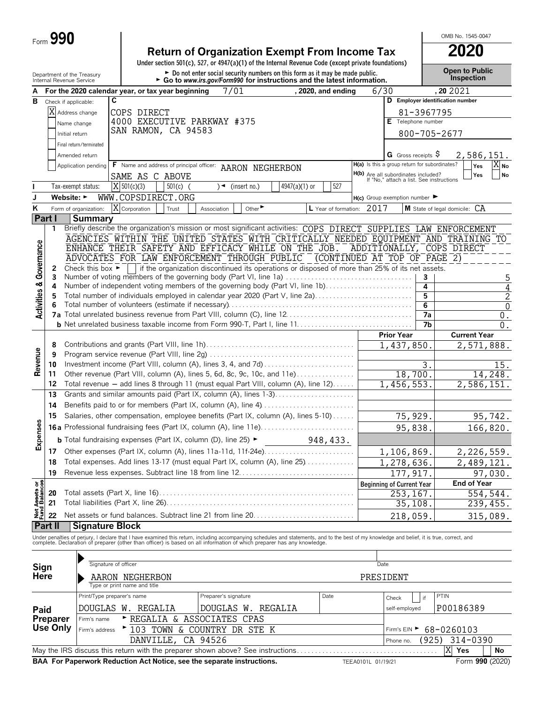| Hom | 90 |  |
|-----|----|--|
|     |    |  |

|                                        | Form 990                                          |                                                        |                                                                                                                                                                                                                                   |                                                                                 |            | OMB No. 1545-0047                          |
|----------------------------------------|---------------------------------------------------|--------------------------------------------------------|-----------------------------------------------------------------------------------------------------------------------------------------------------------------------------------------------------------------------------------|---------------------------------------------------------------------------------|------------|--------------------------------------------|
|                                        |                                                   |                                                        | <b>Return of Organization Exempt From Income Tax</b><br>Under section 501(c), 527, or 4947(a)(1) of the Internal Revenue Code (except private foundations)                                                                        |                                                                                 |            | 2020                                       |
|                                        |                                                   | Department of the Treasury<br>Internal Revenue Service | Do not enter social security numbers on this form as it may be made public.<br>$\triangleright$ Go to www.irs.gov/Form990 for instructions and the latest information.                                                            |                                                                                 |            | <b>Open to Public</b><br><b>Inspection</b> |
|                                        | For the 2020 calendar year, or tax year beginning |                                                        | , 20 20 21                                                                                                                                                                                                                        |                                                                                 |            |                                            |
| в                                      |                                                   | C<br>Check if applicable:                              |                                                                                                                                                                                                                                   |                                                                                 |            | D Employer identification number           |
|                                        |                                                   | X Address change                                       | COPS DIRECT                                                                                                                                                                                                                       |                                                                                 | 81-3967795 |                                            |
|                                        |                                                   | Name change                                            | 4000 EXECUTIVE PARKWAY #375                                                                                                                                                                                                       | E Telephone number                                                              |            |                                            |
|                                        |                                                   | Initial return                                         | SAN RAMON, CA 94583                                                                                                                                                                                                               |                                                                                 |            | 800-705-2677                               |
|                                        |                                                   | Final return/terminated                                |                                                                                                                                                                                                                                   |                                                                                 |            |                                            |
|                                        |                                                   | Amended return                                         |                                                                                                                                                                                                                                   | G Gross receipts $\varsigma$                                                    |            | 2,586,151.                                 |
|                                        |                                                   | Application pending                                    | F Name and address of principal officer: AARON NEGHERBON                                                                                                                                                                          | H(a) Is this a group return for subordinates?                                   |            | X <sub>No</sub><br>Yes                     |
|                                        |                                                   |                                                        | SAME AS C ABOVE                                                                                                                                                                                                                   | H(b) Are all subordinates included?<br>If "No," attach a list. See instructions |            | Yes<br><b>No</b>                           |
|                                        |                                                   | Tax-exempt status:                                     | $X \overline{501}$ (c)(3)<br>527<br>$501(c)$ (<br>$\sqrt{4}$ (insert no.)<br>4947(a)(1) or                                                                                                                                        |                                                                                 |            |                                            |
|                                        |                                                   | Website: $\blacktriangleright$                         | WWW.COPSDIRECT.ORG                                                                                                                                                                                                                | $H(c)$ Group exemption number                                                   |            |                                            |
| ĸ                                      |                                                   | Form of organization:                                  | X Corporation<br>Other <sup>&gt;</sup><br>L Year of formation:<br>Association<br>Trust                                                                                                                                            | 2017                                                                            |            | M State of legal domicile: CA              |
|                                        | Part I                                            | Summary                                                |                                                                                                                                                                                                                                   |                                                                                 |            |                                            |
|                                        | 1                                                 |                                                        | Briefly describe the organization's mission or most significant activities: COPS DIRECT SUPPLIES LAW ENFORCEMENT                                                                                                                  |                                                                                 |            |                                            |
|                                        |                                                   |                                                        | AGENCIES WITHIN THE UNITED STATES WITH CRITICALLY NEEDED EQUIPMENT AND TRAINING TO<br>ENHANCE THEIR SAFETY AND EFFICACY WHILE ON THE JOB.                                                                                         | ADDITIONALLY, COPS DIRECT                                                       |            |                                            |
|                                        |                                                   |                                                        | ADVOCATES FOR LAW ENFORCEMENT THROUGH PUBLIC (CONTINUED AT TOP OF PAGE 2)                                                                                                                                                         |                                                                                 |            |                                            |
| Governance                             | 2                                                 | Check this box $\blacktriangleright$                   | if the organization discontinued its operations or disposed of more than 25% of its net assets.                                                                                                                                   |                                                                                 |            |                                            |
|                                        | 3                                                 |                                                        | Number of voting members of the governing body (Part VI, line 1a)                                                                                                                                                                 |                                                                                 | 3          | 5                                          |
|                                        | 4                                                 |                                                        | Number of independent voting members of the governing body (Part VI, line 1b)                                                                                                                                                     |                                                                                 | 4          | $\overline{4}$                             |
| <b>Activities &amp;</b>                | 5                                                 |                                                        | Total number of individuals employed in calendar year 2020 (Part V, line 2a)                                                                                                                                                      |                                                                                 | 5          | $\overline{2}$                             |
|                                        | 6                                                 |                                                        |                                                                                                                                                                                                                                   |                                                                                 | 6<br>7a    | $\overline{0}$                             |
|                                        |                                                   |                                                        |                                                                                                                                                                                                                                   |                                                                                 | 7b         | $0$ .<br>0.                                |
|                                        |                                                   |                                                        |                                                                                                                                                                                                                                   | <b>Prior Year</b>                                                               |            | <b>Current Year</b>                        |
|                                        | 8                                                 |                                                        |                                                                                                                                                                                                                                   | 1,437,850                                                                       |            | 2,571,888.                                 |
| Revenue                                | 9                                                 |                                                        |                                                                                                                                                                                                                                   |                                                                                 |            |                                            |
|                                        | 10                                                |                                                        | Investment income (Part VIII, column (A), lines 3, 4, and 7d)                                                                                                                                                                     |                                                                                 | 3.         | 15.                                        |
|                                        | 11                                                |                                                        | Other revenue (Part VIII, column (A), lines 5, 6d, 8c, 9c, 10c, and 11e)                                                                                                                                                          | 18,700.                                                                         |            | 14,248.                                    |
|                                        | 12                                                |                                                        | Total revenue - add lines 8 through 11 (must equal Part VIII, column (A), line 12)                                                                                                                                                | 1,456,553.                                                                      |            | 2,586,151.                                 |
|                                        | 13                                                |                                                        | Grants and similar amounts paid (Part IX, column (A), lines 1-3)                                                                                                                                                                  |                                                                                 |            |                                            |
|                                        | 14                                                |                                                        |                                                                                                                                                                                                                                   |                                                                                 |            |                                            |
| Ĝθ                                     | 15                                                |                                                        | Salaries, other compensation, employee benefits (Part IX, column (A), lines 5-10)                                                                                                                                                 | 75,929.                                                                         |            | 95,742.                                    |
|                                        |                                                   |                                                        |                                                                                                                                                                                                                                   | 95,838.                                                                         |            | 166,820.                                   |
| Expense                                |                                                   |                                                        | <b>b</b> Total fundraising expenses (Part IX, column (D), line 25) ►<br>948,433.                                                                                                                                                  |                                                                                 |            |                                            |
|                                        | 17                                                |                                                        | Other expenses (Part IX, column (A), lines 11a-11d, 11f-24e)                                                                                                                                                                      | 1,106,869.                                                                      |            | 2,226,559.                                 |
|                                        | 18                                                |                                                        | Total expenses. Add lines 13-17 (must equal Part IX, column (A), line 25)                                                                                                                                                         | 1,278,636.                                                                      |            | 2,489,121.                                 |
|                                        | 19                                                |                                                        | Revenue less expenses. Subtract line 18 from line 12                                                                                                                                                                              | 177, 917.                                                                       |            | 97,030.                                    |
|                                        |                                                   |                                                        |                                                                                                                                                                                                                                   | <b>Beginning of Current Year</b>                                                |            | <b>End of Year</b>                         |
| <b>Net Assets or<br/>Fund Balances</b> | 20                                                |                                                        |                                                                                                                                                                                                                                   | $\overline{253, 167}$ .                                                         |            | 554,544.                                   |
|                                        | 21                                                |                                                        |                                                                                                                                                                                                                                   | 35,108.                                                                         |            | 239, 455.                                  |
|                                        | 22                                                |                                                        |                                                                                                                                                                                                                                   | 218,059.                                                                        |            | 315,089.                                   |
|                                        | Part II                                           | <b>Signature Block</b>                                 |                                                                                                                                                                                                                                   |                                                                                 |            |                                            |
|                                        |                                                   |                                                        | Under penalties of perjury, I declare that I have examined this return, including accompanying schedules and statements, and to the best of my knowledge and belief, it is true, correct, and<br>complete. Declaration of prepare |                                                                                 |            |                                            |
|                                        |                                                   |                                                        |                                                                                                                                                                                                                                   |                                                                                 |            |                                            |

|                                                                                                   | Signature of officer       |                                                                        |                                        |           |                    | Date          |                   |  |
|---------------------------------------------------------------------------------------------------|----------------------------|------------------------------------------------------------------------|----------------------------------------|-----------|--------------------|---------------|-------------------|--|
| Sign<br>Here                                                                                      |                            | AARON NEGHERBON                                                        |                                        | PRESIDENT |                    |               |                   |  |
|                                                                                                   |                            | Type or print name and title                                           |                                        |           |                    |               |                   |  |
|                                                                                                   | Print/Type preparer's name |                                                                        | Preparer's signature                   |           | Date               | lif<br>Check  | PTIN              |  |
| Paid                                                                                              | DOUGLAS W.                 | REGALIA                                                                | DOUGLAS W. REGALIA                     |           |                    | self-employed | P00186389         |  |
| Preparer<br>Use Only                                                                              | Firm's name                | Exegalia & ASSOCIATES CPAS                                             |                                        |           |                    |               |                   |  |
|                                                                                                   | Firm's address             | ► 103 TOWN & COUNTRY DR STE K                                          | Firm's EIN $\triangleright$ 68-0260103 |           |                    |               |                   |  |
|                                                                                                   |                            | DANVILLE, CA 94526                                                     |                                        |           |                    | Phone no.     | (925)<br>314-0390 |  |
| X<br>May the IRS discuss this return with the preparer shown above? See instructions<br>No<br>Yes |                            |                                                                        |                                        |           |                    |               |                   |  |
|                                                                                                   |                            | BAA For Paperwork Reduction Act Notice, see the separate instructions. |                                        |           | TEEA0101L 01/19/21 |               | Form 990 (2020)   |  |
|                                                                                                   |                            |                                                                        |                                        |           |                    |               |                   |  |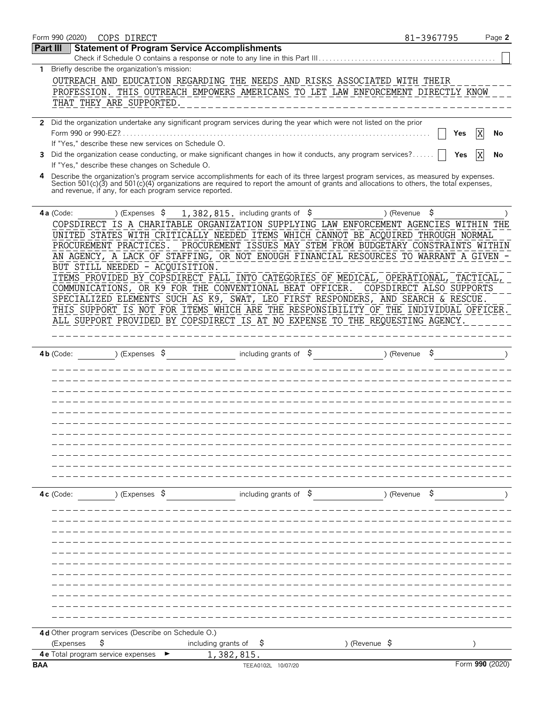| Part III     | Form 990 (2020)<br>COPS DIRECT                          | <b>Statement of Program Service Accomplishments</b>                                                                                      | 81-3967795<br>Page 2     |
|--------------|---------------------------------------------------------|------------------------------------------------------------------------------------------------------------------------------------------|--------------------------|
|              |                                                         | Check if Schedule O contains a response or note to any line in this Part III.                                                            |                          |
| $\mathbf{1}$ | Briefly describe the organization's mission:            |                                                                                                                                          |                          |
|              |                                                         | OUTREACH AND EDUCATION REGARDING THE NEEDS AND RISKS ASSOCIATED WITH THEIR                                                               |                          |
|              |                                                         |                                                                                                                                          |                          |
|              |                                                         | PROFESSION. THIS OUTREACH EMPOWERS AMERICANS TO LET LAW ENFORCEMENT DIRECTLY KNOW                                                        |                          |
|              | THAT THEY ARE SUPPORTED.                                |                                                                                                                                          |                          |
|              |                                                         | 2 Did the organization undertake any significant program services during the year which were not listed on the prior                     |                          |
|              | Form 990 or 990-EZ?                                     |                                                                                                                                          | Yes                      |
|              | If "Yes," describe these new services on Schedule O.    |                                                                                                                                          |                          |
| 3            |                                                         | Did the organization cease conducting, or make significant changes in how it conducts, any program services?                             | Yes                      |
|              | If "Yes," describe these changes on Schedule O.         |                                                                                                                                          |                          |
| 4            |                                                         | Describe the organization's program service accomplishments for each of its three largest program services, as measured by expenses.     |                          |
|              | and revenue, if any, for each program service reported. | Section 501(c)(3) and 501(c)(4) organizations are required to report the amount of grants and allocations to others, the total expenses, |                          |
|              | ) (Expenses $\sqrt{5}$<br>$4a$ (Code:                   | 1, 382, 815. including grants of $$$                                                                                                     | \$<br>) (Revenue         |
|              |                                                         | COPSDIRECT IS A CHARITABLE ORGANIZATION SUPPLYING LAW ENFORCEMENT AGENCIES WITHIN THE                                                    |                          |
|              |                                                         | UNITED STATES WITH CRITICALLY NEEDED ITEMS WHICH CANNOT BE ACOUIRED THROUGH NORMAL                                                       |                          |
|              | PROCUREMENT PRACTICES.                                  | PROCUREMENT ISSUES MAY STEM FROM BUDGETARY CONSTRAINTS WITHIN                                                                            |                          |
|              |                                                         | AN AGENCY, A LACK OF STAFFING, OR NOT ENOUGH FINANCIAL RESOURCES TO WARRANT A GIVEN -                                                    |                          |
|              | BUT STILL NEEDED - ACQUISITION.                         |                                                                                                                                          |                          |
|              |                                                         | ITEMS PROVIDED BY COPSDIRECT FALL INTO CATEGORIES OF MEDICAL, OPERATIONAL, TACTICAL,                                                     |                          |
|              |                                                         | COMMUNICATIONS, OR K9 FOR THE CONVENTIONAL BEAT OFFICER.                                                                                 | COPSDIRECT ALSO SUPPORTS |
|              |                                                         | SPECIALIZED ELEMENTS SUCH AS K9, SWAT, LEO FIRST RESPONDERS, AND SEARCH & RESCUE.                                                        |                          |
|              |                                                         | THIS SUPPORT IS NOT FOR ITEMS WHICH ARE THE RESPONSIBILITY OF THE INDIVIDUAL OFFICER.                                                    |                          |
|              |                                                         | ALL SUPPORT PROVIDED BY COPSDIRECT IS AT NO EXPENSE TO THE REQUESTING AGENCY.                                                            |                          |
|              |                                                         |                                                                                                                                          |                          |
|              |                                                         |                                                                                                                                          |                          |
|              | ) (Expenses $\sqrt{5}$<br>$4b$ (Code:                   | including grants of $\frac{1}{2}$                                                                                                        | ) (Revenue               |
|              |                                                         |                                                                                                                                          |                          |
|              |                                                         |                                                                                                                                          |                          |
|              |                                                         |                                                                                                                                          |                          |
|              |                                                         |                                                                                                                                          |                          |
|              |                                                         |                                                                                                                                          |                          |
|              |                                                         |                                                                                                                                          |                          |
|              |                                                         |                                                                                                                                          |                          |
|              |                                                         |                                                                                                                                          |                          |
|              |                                                         |                                                                                                                                          |                          |
|              |                                                         |                                                                                                                                          |                          |
|              |                                                         |                                                                                                                                          |                          |
|              |                                                         |                                                                                                                                          |                          |
|              | 4c (Code:<br>) (Expenses \$                             | including grants of $\frac{1}{2}$                                                                                                        | ) (Revenue \$            |
|              |                                                         |                                                                                                                                          |                          |
|              |                                                         |                                                                                                                                          |                          |
|              |                                                         |                                                                                                                                          |                          |
|              |                                                         |                                                                                                                                          |                          |
|              |                                                         |                                                                                                                                          |                          |
|              |                                                         |                                                                                                                                          |                          |
|              |                                                         |                                                                                                                                          |                          |
|              |                                                         |                                                                                                                                          |                          |
|              |                                                         |                                                                                                                                          |                          |
|              |                                                         |                                                                                                                                          |                          |
|              |                                                         |                                                                                                                                          |                          |
|              |                                                         |                                                                                                                                          |                          |
|              |                                                         |                                                                                                                                          |                          |
|              | 4d Other program services (Describe on Schedule O.)     |                                                                                                                                          |                          |
|              | \$<br>(Expenses                                         | including grants of<br>Ş                                                                                                                 | ) (Revenue $\frac{1}{2}$ |
|              |                                                         |                                                                                                                                          |                          |
|              | 4e Total program service expenses                       | 1,382,815.                                                                                                                               | Form 990 (2020)          |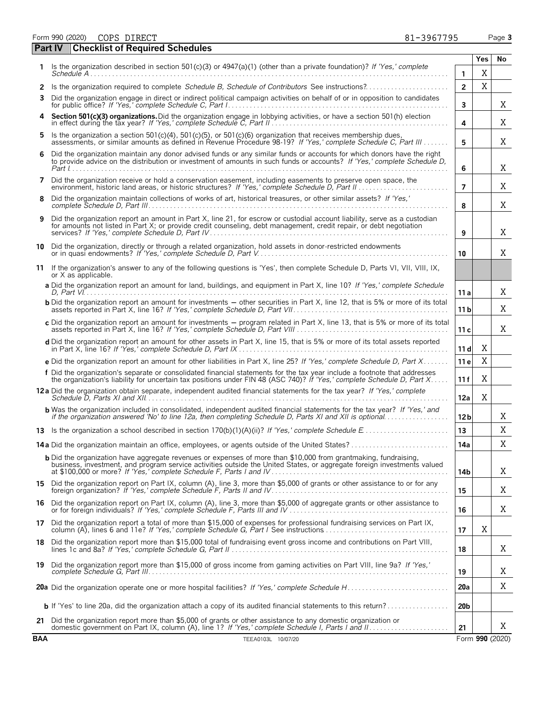Form 990 (2020) Page **3** COPS DIRECT 81-3967795

|    | <b>Checklist of Required Schedules</b><br><b>Part IV</b>                                                                                                                                                                                            |                 |     |    |
|----|-----------------------------------------------------------------------------------------------------------------------------------------------------------------------------------------------------------------------------------------------------|-----------------|-----|----|
|    |                                                                                                                                                                                                                                                     |                 | Yes | No |
| 1  | Is the organization described in section 501(c)(3) or 4947(a)(1) (other than a private foundation)? If 'Yes,' complete                                                                                                                              | $\mathbf{1}$    | X   |    |
| 2  | Is the organization required to complete Schedule B, Schedule of Contributors See instructions?                                                                                                                                                     | $\overline{2}$  | X   |    |
| 3  | Did the organization engage in direct or indirect political campaign activities on behalf of or in opposition to candidates                                                                                                                         | 3               |     | Χ  |
| 4  | Section 501(c)(3) organizations. Did the organization engage in lobbying activities, or have a section 501(h) election<br>in effect during the tax year? If 'Yes,' complete Schedule C, Part II.                                                    | 4               |     | X  |
| 5  | Is the organization a section 501(c)(4), 501(c)(5), or 501(c)(6) organization that receives membership dues,<br>assessments, or similar amounts as defined in Revenue Procedure 98-19? If 'Yes,' complete Schedule C, Part III                      | 5               |     | Χ  |
| 6  | Did the organization maintain any donor advised funds or any similar funds or accounts for which donors have the right<br>to provide advice on the distribution or investment of amounts in such funds or accounts? If 'Yes,' complete Schedule D,  | 6               |     | Χ  |
| 7  | Did the organization receive or hold a conservation easement, including easements to preserve open space, the                                                                                                                                       | $\overline{7}$  |     | Χ  |
| 8  | Did the organization maintain collections of works of art, historical treasures, or other similar assets? If 'Yes,'                                                                                                                                 | 8               |     | Χ  |
|    | Did the organization report an amount in Part X, line 21, for escrow or custodial account liability, serve as a custodian<br>for amounts not listed in Part X; or provide credit counseling, debt management, credit repair, or debt negotiation    | 9               |     | X  |
|    | 10 Did the organization, directly or through a related organization, hold assets in donor-restricted endowments                                                                                                                                     | 10              |     | X  |
|    | 11 If the organization's answer to any of the following questions is 'Yes', then complete Schedule D, Parts VI, VII, VIII, IX,<br>or X as applicable.                                                                                               |                 |     |    |
|    | a Did the organization report an amount for land, buildings, and equipment in Part X, line 10? If 'Yes,' complete Schedule                                                                                                                          | 11 a            |     | Χ  |
|    | <b>b</b> Did the organization report an amount for investments – other securities in Part X, line 12, that is 5% or more of its total                                                                                                               | 11 <sub>b</sub> |     | Χ  |
|    | c Did the organization report an amount for investments - program related in Part X, line 13, that is 5% or more of its total                                                                                                                       | 11c             |     | Χ  |
|    | d Did the organization report an amount for other assets in Part X, line 15, that is 5% or more of its total assets reported                                                                                                                        | 11d             | Χ   |    |
|    | e Did the organization report an amount for other liabilities in Part X, line 25? If 'Yes,' complete Schedule D, Part X                                                                                                                             | 11 e            | X   |    |
|    | f Did the organization's separate or consolidated financial statements for the tax year include a footnote that addresses<br>the organization's liability for uncertain tax positions under FIN 48 (ASC 740)? If 'Yes,' complete Schedule D, Part X | 11f             | Χ   |    |
|    | 12a Did the organization obtain separate, independent audited financial statements for the tax year? If 'Yes,' complete                                                                                                                             | 12a             | Χ   |    |
|    | <b>b</b> Was the organization included in consolidated, independent audited financial statements for the tax year? If 'Yes,' and if the organization answered 'No' to line 12a, then completing Schedule D, Parts XI and XII is opt                 | 12 <sub>b</sub> |     | Χ  |
|    |                                                                                                                                                                                                                                                     | 13              |     | X  |
|    |                                                                                                                                                                                                                                                     | 14a             |     | Χ  |
|    | <b>b</b> Did the organization have aggregate revenues or expenses of more than \$10,000 from grantmaking, fundraising,<br>business, investment, and program service activities outside the United States, or aggregate foreign investments valued   | 14b             |     | X  |
|    | 15 Did the organization report on Part IX, column (A), line 3, more than \$5,000 of grants or other assistance to or for any                                                                                                                        | 15              |     | Χ  |
| 16 | Did the organization report on Part IX, column (A), line 3, more than \$5,000 of aggregate grants or other assistance to                                                                                                                            | 16              |     | Χ  |
|    | 17 Did the organization report a total of more than \$15,000 of expenses for professional fundraising services on Part IX, column (A), lines 6 and 11e? If 'Yes,' complete Schedule G, Part I See instructions                                      | 17              | X   |    |
|    | 18 Did the organization report more than \$15,000 total of fundraising event gross income and contributions on Part VIII,                                                                                                                           | 18              |     | Χ  |
|    | 19 Did the organization report more than \$15,000 of gross income from gaming activities on Part VIII, line 9a? If 'Yes,'                                                                                                                           | 19              |     | Χ  |
|    |                                                                                                                                                                                                                                                     | 20a             |     | Χ  |
|    | <b>b</b> If 'Yes' to line 20a, did the organization attach a copy of its audited financial statements to this return?                                                                                                                               | 20 <sub>b</sub> |     |    |
| 21 | Did the organization report more than \$5,000 of grants or other assistance to any domestic organization or                                                                                                                                         | 21              |     | Χ  |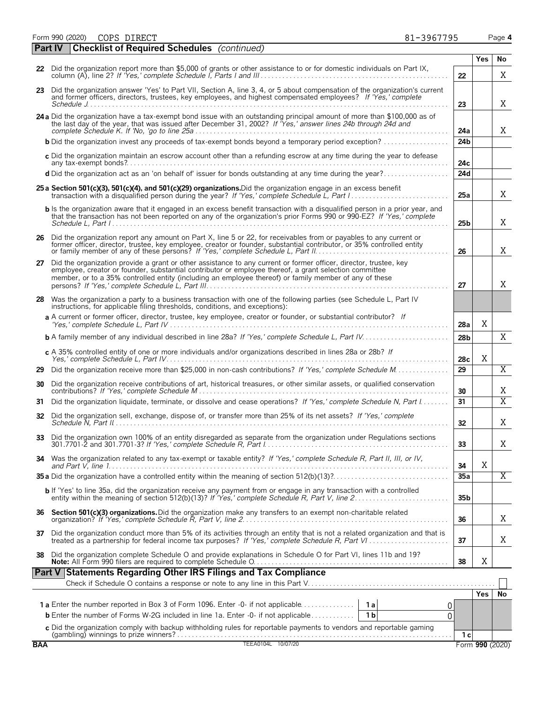Form 990 (2020) Page **4** COPS DIRECT 81-3967795

| 81-3967795 |  |  |  |
|------------|--|--|--|
|            |  |  |  |

|    | <b>Checklist of Required Schedules</b> (continued)<br>Part IV                                                                                                                                                                                                                                                                         |                 |     |                |
|----|---------------------------------------------------------------------------------------------------------------------------------------------------------------------------------------------------------------------------------------------------------------------------------------------------------------------------------------|-----------------|-----|----------------|
|    |                                                                                                                                                                                                                                                                                                                                       |                 | Yes | No             |
|    | 22 Did the organization report more than \$5,000 of grants or other assistance to or for domestic individuals on Part IX,                                                                                                                                                                                                             | 22              |     | Χ              |
|    | 23 Did the organization answer 'Yes' to Part VII, Section A, line 3, 4, or 5 about compensation of the organization's current<br>and former officers, directors, trustees, key employees, and highest compensated employees? If 'Yes,' complete                                                                                       | 23              |     | Χ              |
|    | 24 a Did the organization have a tax-exempt bond issue with an outstanding principal amount of more than \$100,000 as of<br>the last day of the year, that was issued after December 31, 2002? If Yes,' answer lines 24b through 24d and                                                                                              | 24a             |     | X              |
|    | <b>b</b> Did the organization invest any proceeds of tax-exempt bonds beyond a temporary period exception?                                                                                                                                                                                                                            | 24 <sub>b</sub> |     |                |
|    | c Did the organization maintain an escrow account other than a refunding escrow at any time during the year to defease                                                                                                                                                                                                                | 24c             |     |                |
|    | d Did the organization act as an 'on behalf of' issuer for bonds outstanding at any time during the year?                                                                                                                                                                                                                             | 24d             |     |                |
|    | 25 a Section 501(c)(3), 501(c)(4), and 501(c)(29) organizations. Did the organization engage in an excess benefit                                                                                                                                                                                                                     | 25a             |     | Χ              |
|    | b Is the organization aware that it engaged in an excess benefit transaction with a disqualified person in a prior year, and<br>that the transaction has not been reported on any of the organization's prior Forms 990 or 990-EZ? If 'Yes,' complete                                                                                 | 25 <sub>b</sub> |     | Χ              |
| 26 | Did the organization report any amount on Part X, line 5 or 22, for receivables from or payables to any current or<br>former officer, director, trustee, key employee, creator or founder, substantial contributor, or 35% controlled entity                                                                                          | 26              |     | Χ              |
| 27 | Did the organization provide a grant or other assistance to any current or former officer, director, trustee, key<br>employee, creator or founder, substantial contributor or employee thereof, a grant selection committee<br>member, or to a 35% controlled entity (including an employee thereof) or family member of any of these | 27              |     | X              |
| 28 | Was the organization a party to a business transaction with one of the following parties (see Schedule L, Part IV<br>instructions, for applicable filing thresholds, conditions, and exceptions):                                                                                                                                     |                 |     |                |
|    | a A current or former officer, director, trustee, key employee, creator or founder, or substantial contributor? If                                                                                                                                                                                                                    | 28a             | Χ   |                |
|    |                                                                                                                                                                                                                                                                                                                                       | 28 <sub>b</sub> |     | X              |
|    | c A 35% controlled entity of one or more individuals and/or organizations described in lines 28a or 28b? If                                                                                                                                                                                                                           | 28c             | Χ   |                |
| 29 |                                                                                                                                                                                                                                                                                                                                       | 29              |     | $\overline{X}$ |
| 30 | Did the organization receive contributions of art, historical treasures, or other similar assets, or qualified conservation                                                                                                                                                                                                           | 30              |     | Χ              |
| 31 | Did the organization liquidate, terminate, or dissolve and cease operations? If 'Yes,' complete Schedule N, Part I                                                                                                                                                                                                                    | 31              |     | $\overline{X}$ |
| 32 | Did the organization sell, exchange, dispose of, or transfer more than 25% of its net assets? If 'Yes,' complete                                                                                                                                                                                                                      | 32              |     | Χ              |
|    | 33 Did the organization own 100% of an entity disregarded as separate from the organization under Regulations sections                                                                                                                                                                                                                | 33              |     | Χ              |
| 34 | Was the organization related to any tax-exempt or taxable entity? If 'Yes,' complete Schedule R, Part II, III, or IV,                                                                                                                                                                                                                 | 34              | X   |                |
|    |                                                                                                                                                                                                                                                                                                                                       | 35a             |     | Χ              |
|    | b If 'Yes' to line 35a, did the organization receive any payment from or engage in any transaction with a controlled<br>entity within the meaning of section 512(b)(13)? If 'Yes,' complete Schedule R, Part V, line 2                                                                                                                | 35b             |     |                |
|    | 36 Section 501(c)(3) organizations. Did the organization make any transfers to an exempt non-charitable related                                                                                                                                                                                                                       | 36              |     | Χ              |
| 37 | Did the organization conduct more than 5% of its activities through an entity that is not a related organization and that is treated as a partnership for federal income tax purposes? If 'Yes,' complete Schedule R, Part VI.                                                                                                        | 37              |     | Χ              |
| 38 | Did the organization complete Schedule O and provide explanations in Schedule O for Part VI, lines 11b and 19?                                                                                                                                                                                                                        | 38              | X   |                |
|    | Part V Statements Regarding Other IRS Filings and Tax Compliance                                                                                                                                                                                                                                                                      |                 |     |                |
|    |                                                                                                                                                                                                                                                                                                                                       |                 | Yes | No             |
|    |                                                                                                                                                                                                                                                                                                                                       | 0               |     |                |
|    | <b>b</b> Enter the number of Forms W-2G included in line 1a. Enter -0- if not applicable<br>1 <sub>b</sub>                                                                                                                                                                                                                            | $\Omega$        |     |                |
|    | c Did the organization comply with backup withholding rules for reportable payments to vendors and reportable gaming                                                                                                                                                                                                                  |                 |     |                |
|    |                                                                                                                                                                                                                                                                                                                                       | 1 с             |     |                |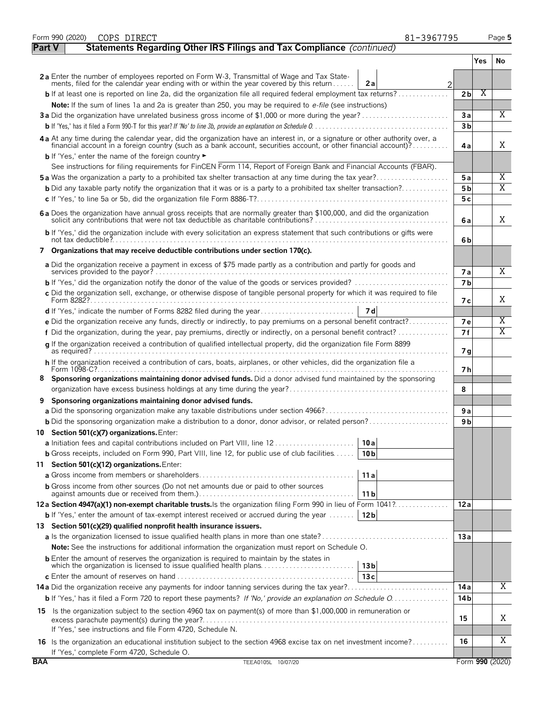|               | Form 990 (2020)<br>COPS DIRECT<br>81-3967795                                                                                                                                                                                                     |                |     | Page 5                |
|---------------|--------------------------------------------------------------------------------------------------------------------------------------------------------------------------------------------------------------------------------------------------|----------------|-----|-----------------------|
| <b>Part V</b> | Statements Regarding Other IRS Filings and Tax Compliance (continued)                                                                                                                                                                            |                |     |                       |
|               |                                                                                                                                                                                                                                                  |                | Yes | No                    |
|               | 2a Enter the number of employees reported on Form W-3, Transmittal of Wage and Tax State-<br>ments, filed for the calendar year ending with or within the year covered by this return<br>2a<br>2                                                 |                |     |                       |
|               | <b>b</b> If at least one is reported on line 2a, did the organization file all required federal employment tax returns?                                                                                                                          | 2 <sub>b</sub> | Χ   |                       |
|               | Note: If the sum of lines 1a and 2a is greater than 250, you may be required to e-file (see instructions)                                                                                                                                        |                |     |                       |
|               |                                                                                                                                                                                                                                                  | 3a             |     | Χ                     |
|               |                                                                                                                                                                                                                                                  | 3 <sub>b</sub> |     |                       |
|               | 4a At any time during the calendar year, did the organization have an interest in, or a signature or other authority over, a<br>financial account in a foreign country (such as a bank account, securities account, or other financial account)? | 4а             |     | Χ                     |
|               | <b>b</b> If 'Yes,' enter the name of the foreign country                                                                                                                                                                                         |                |     |                       |
|               | See instructions for filing requirements for FinCEN Form 114, Report of Foreign Bank and Financial Accounts (FBAR).<br><b>5a</b> Was the organization a party to a prohibited tax shelter transaction at any time during the tax year?           | 5a             |     | Χ                     |
|               | <b>b</b> Did any taxable party notify the organization that it was or is a party to a prohibited tax shelter transaction?                                                                                                                        | 5 <sub>b</sub> |     | $\overline{\text{X}}$ |
|               |                                                                                                                                                                                                                                                  | 5c             |     |                       |
|               | 6 a Does the organization have annual gross receipts that are normally greater than \$100,000, and did the organization                                                                                                                          |                |     |                       |
|               | solicit any contributions that were not tax deductible as charitable contributions?                                                                                                                                                              | 6a             |     | X                     |
|               | b If 'Yes,' did the organization include with every solicitation an express statement that such contributions or gifts were                                                                                                                      | 6b             |     |                       |
|               | 7 Organizations that may receive deductible contributions under section 170(c).                                                                                                                                                                  |                |     |                       |
|               | a Did the organization receive a payment in excess of \$75 made partly as a contribution and partly for goods and                                                                                                                                | <b>7a</b>      |     | Χ                     |
|               | <b>b</b> If 'Yes,' did the organization notify the donor of the value of the goods or services provided? $\ldots$                                                                                                                                | 7 <sub>b</sub> |     |                       |
|               | c Did the organization sell, exchange, or otherwise dispose of tangible personal property for which it was required to file                                                                                                                      |                |     | Χ                     |
|               |                                                                                                                                                                                                                                                  | 7 с            |     |                       |
|               | e Did the organization receive any funds, directly or indirectly, to pay premiums on a personal benefit contract?                                                                                                                                | <b>7e</b>      |     | Χ                     |
|               |                                                                                                                                                                                                                                                  | 7f             |     | $\overline{\text{X}}$ |
|               | q If the organization received a contribution of qualified intellectual property, did the organization file Form 8899                                                                                                                            | 7 g            |     |                       |
|               | h If the organization received a contribution of cars, boats, airplanes, or other vehicles, did the organization file a<br>Form 1098-C?                                                                                                          | 7 h            |     |                       |
| 8             | Sponsoring organizations maintaining donor advised funds. Did a donor advised fund maintained by the sponsoring                                                                                                                                  |                |     |                       |
|               |                                                                                                                                                                                                                                                  | 8              |     |                       |
| 9             | Sponsoring organizations maintaining donor advised funds.                                                                                                                                                                                        |                |     |                       |
|               |                                                                                                                                                                                                                                                  | 9a             |     |                       |
|               | <b>b</b> Did the sponsoring organization make a distribution to a donor, donor advisor, or related person?                                                                                                                                       | 9 b            |     |                       |
|               | 10 Section 501(c)(7) organizations. Enter:                                                                                                                                                                                                       |                |     |                       |
|               | 10 a                                                                                                                                                                                                                                             |                |     |                       |
|               | <b>b</b> Gross receipts, included on Form 990, Part VIII, line 12, for public use of club facilities<br>10 b                                                                                                                                     |                |     |                       |
| 11.           | Section 501(c)(12) organizations. Enter:<br>11a                                                                                                                                                                                                  |                |     |                       |
|               | <b>b</b> Gross income from other sources (Do not net amounts due or paid to other sources                                                                                                                                                        |                |     |                       |
|               | 11 b                                                                                                                                                                                                                                             |                |     |                       |
|               | 12a Section 4947(a)(1) non-exempt charitable trusts. Is the organization filing Form 990 in lieu of Form 1041?                                                                                                                                   | 12a            |     |                       |
|               | <b>b</b> If 'Yes,' enter the amount of tax-exempt interest received or accrued during the year $\dots\dots$<br>12 <sub>b</sub>                                                                                                                   |                |     |                       |
|               | 13 Section 501(c)(29) qualified nonprofit health insurance issuers.                                                                                                                                                                              |                |     |                       |
|               |                                                                                                                                                                                                                                                  | 13 a           |     |                       |
|               | <b>Note:</b> See the instructions for additional information the organization must report on Schedule O.                                                                                                                                         |                |     |                       |
|               | <b>b</b> Enter the amount of reserves the organization is required to maintain by the states in<br>13 <sub>b</sub>                                                                                                                               |                |     |                       |
|               | 13c                                                                                                                                                                                                                                              |                |     |                       |
|               | 14a Did the organization receive any payments for indoor tanning services during the tax year?                                                                                                                                                   | 14 a           |     | Χ                     |
|               | <b>b</b> If 'Yes,' has it filed a Form 720 to report these payments? If 'No,' provide an explanation on Schedule O                                                                                                                               | 14 b           |     |                       |
|               | 15 Is the organization subject to the section 4960 tax on payment(s) of more than \$1,000,000 in remuneration or                                                                                                                                 | 15             |     | Χ                     |
|               | If 'Yes,' see instructions and file Form 4720, Schedule N.                                                                                                                                                                                       |                |     |                       |
|               | 16 Is the organization an educational institution subject to the section 4968 excise tax on net investment income?                                                                                                                               | 16             |     | Χ                     |
| BAA           | If 'Yes,' complete Form 4720, Schedule O.<br>TEEA0105L 10/07/20                                                                                                                                                                                  |                |     | Form 990 (2020)       |
|               |                                                                                                                                                                                                                                                  |                |     |                       |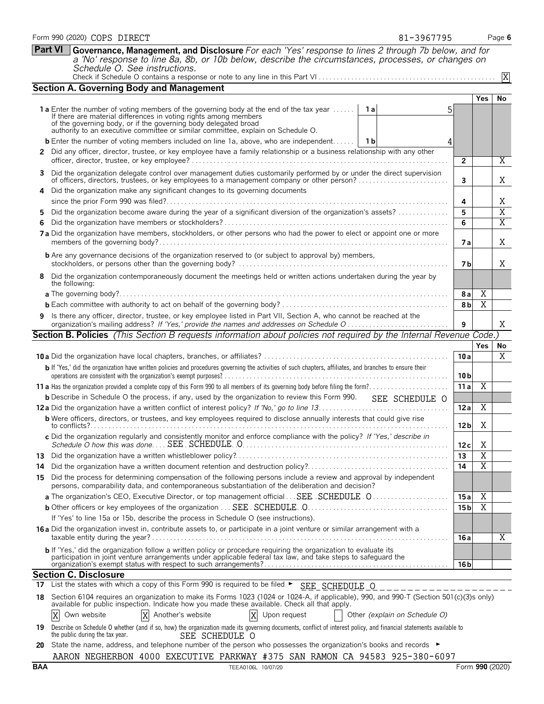|    | a 'No' response to line 8a, 8b, or 10b below, describe the circumstances, processes, or changes on<br>Schedule O. See instructions.                                                                                                                                                                                                  |                             |                | X                                       |
|----|--------------------------------------------------------------------------------------------------------------------------------------------------------------------------------------------------------------------------------------------------------------------------------------------------------------------------------------|-----------------------------|----------------|-----------------------------------------|
|    | <b>Section A. Governing Body and Management</b>                                                                                                                                                                                                                                                                                      |                             |                |                                         |
|    | 1 a Enter the number of voting members of the governing body at the end of the tax year<br><b>1a</b><br>5<br>If there are material differences in voting rights among members<br>of the governing body, or if the governing body delegated broad<br>authority to an executive committee or similar committee, explain on Schedule O. |                             | <b>Yes</b>     | No                                      |
|    | <b>b</b> Enter the number of voting members included on line 1a, above, who are independent   1b<br>4<br>2 Did any officer, director, trustee, or key employee have a family relationship or a business relationship with any other                                                                                                  | $\overline{2}$              |                | $\overline{X}$                          |
| 3  | Did the organization delegate control over management duties customarily performed by or under the direct supervision<br>of officers, directors, trustees, or key employees to a management company or other person?                                                                                                                 | 3                           |                | Χ                                       |
| 4  | Did the organization make any significant changes to its governing documents                                                                                                                                                                                                                                                         | 4                           |                | Χ                                       |
| 5  | Did the organization become aware during the year of a significant diversion of the organization's assets?                                                                                                                                                                                                                           | 5<br>6                      |                | $\overline{\text{X}}$<br>$\overline{X}$ |
|    | 7a Did the organization have members, stockholders, or other persons who had the power to elect or appoint one or more                                                                                                                                                                                                               | 7а                          |                | Χ                                       |
|    | <b>b</b> Are any governance decisions of the organization reserved to (or subject to approval by) members,                                                                                                                                                                                                                           | 7 b                         |                | Χ                                       |
| 8  | Did the organization contemporaneously document the meetings held or written actions undertaken during the year by<br>the following:                                                                                                                                                                                                 |                             |                |                                         |
|    |                                                                                                                                                                                                                                                                                                                                      | <b>8a</b><br>8 <sub>b</sub> | X<br>X         |                                         |
|    | 9 Is there any officer, director, trustee, or key employee listed in Part VII, Section A, who cannot be reached at the<br>organization's mailing address? If 'Yes,' provide the names and addresses on Schedule O                                                                                                                    | 9                           |                | Χ                                       |
|    | Section B. Policies (This Section B requests information about policies not required by the Internal Revenue Code.)                                                                                                                                                                                                                  |                             |                |                                         |
|    |                                                                                                                                                                                                                                                                                                                                      |                             | Yes            | No                                      |
|    |                                                                                                                                                                                                                                                                                                                                      | 10a                         |                | X                                       |
|    | b If 'Yes,' did the organization have written policies and procedures governing the activities of such chapters, affiliates, and branches to ensure their                                                                                                                                                                            | 10 <sub>b</sub>             |                |                                         |
|    |                                                                                                                                                                                                                                                                                                                                      | $\overline{1}$ 1 a          | $\overline{X}$ |                                         |
|    | <b>b</b> Describe in Schedule O the process, if any, used by the organization to review this Form 990.<br>SEE SCHEDULE O                                                                                                                                                                                                             |                             |                |                                         |
|    |                                                                                                                                                                                                                                                                                                                                      | 12a                         | X              |                                         |
|    | <b>b</b> Were officers, directors, or trustees, and key employees required to disclose annually interests that could give rise                                                                                                                                                                                                       | 12 <sub>b</sub>             | Χ              |                                         |
|    | c Did the organization regularly and consistently monitor and enforce compliance with the policy? If 'Yes,' describe in                                                                                                                                                                                                              | 12 c                        | X              |                                         |
|    |                                                                                                                                                                                                                                                                                                                                      | $\overline{13}$             | $\overline{X}$ |                                         |
| 14 | Did the organization have a written document retention and destruction policy?                                                                                                                                                                                                                                                       | 14                          | X              |                                         |
| 15 | Did the process for determining compensation of the following persons include a review and approval by independent<br>persons, comparability data, and contemporaneous substantiation of the deliberation and decision?                                                                                                              |                             |                |                                         |
|    | a The organization's CEO, Executive Director, or top management official SEE. SCHEDULE 0                                                                                                                                                                                                                                             | 15a                         | X              |                                         |
|    |                                                                                                                                                                                                                                                                                                                                      | 15 b                        | Χ              |                                         |
|    | If 'Yes' to line 15a or 15b, describe the process in Schedule O (see instructions).                                                                                                                                                                                                                                                  |                             |                |                                         |
|    | 16 a Did the organization invest in, contribute assets to, or participate in a joint venture or similar arrangement with a                                                                                                                                                                                                           | 16 a                        |                | Χ                                       |
|    | <b>b</b> If 'Yes,' did the organization follow a written policy or procedure requiring the organization to evaluate its<br>participation in joint venture arrangements under applicable federal tax law, and take steps to safeguard the                                                                                             | 16 b                        |                |                                         |
|    | <b>Section C. Disclosure</b>                                                                                                                                                                                                                                                                                                         |                             |                |                                         |
| 17 | List the states with which a copy of this Form 990 is required to be filed ► SEE_SCHEDULE O                                                                                                                                                                                                                                          |                             |                |                                         |
| 18 | Section 6104 requires an organization to make its Forms 1023 (1024 or 1024-A, if applicable), 990, and 990-T (Section 501(c)(3)s only)<br>available for public inspection. Indicate how you made these available. Check all that apply.                                                                                              |                             |                |                                         |
|    | X Upon request<br>X Another's website<br>Own website<br>Other (explain on Schedule O)<br>X                                                                                                                                                                                                                                           |                             |                |                                         |
| 19 | Describe on Schedule O whether (and if so, how) the organization made its governing documents, conflict of interest policy, and financial statements available to<br>the public during the tax year.<br>SEE SCHEDULE O                                                                                                               |                             |                |                                         |

**Part VI Governance, Management, and Disclosure** *For each 'Yes' response to lines 2 through 7b below, and for*

**20** State the name, address, and telephone number of the person who possesses the organization's books and records ► AARON NEGHERBON 4000 EXECUTIVE PARKWAY #375 SAN RAMON CA 94583 925-380-6097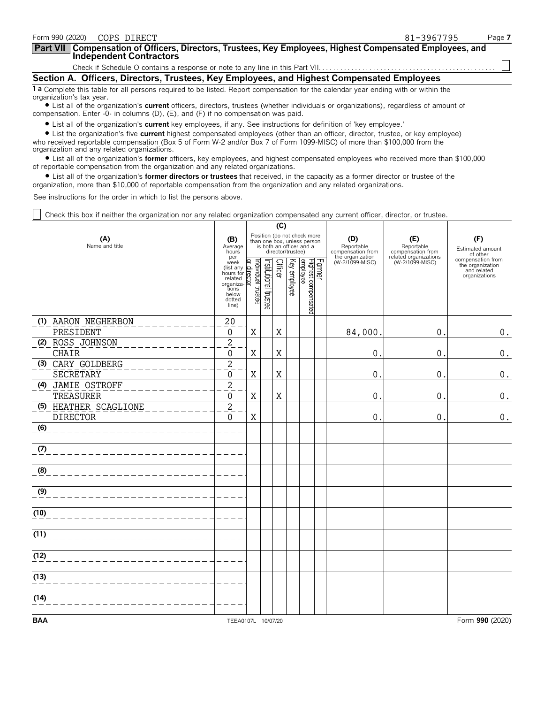| Form 990 (2020)<br>COPS DIRECT                                                                                                                                                                                                 | 81-3967795 | Page 7 |
|--------------------------------------------------------------------------------------------------------------------------------------------------------------------------------------------------------------------------------|------------|--------|
| <b>Part VII</b> Compensation of Officers, Directors, Trustees, Key Employees, Highest Compensated Employees, and Independent Contractors                                                                                       |            |        |
|                                                                                                                                                                                                                                |            |        |
| Section A. Officers, Directors, Trustees, Key Employees, and Highest Compensated Employees                                                                                                                                     |            |        |
| 1 a Complete this table for all persons required to be listed. Report compensation for the calendar year ending with or within the<br>organization's tax year.                                                                 |            |        |
| • List all of the organization's current officers, directors, trustees (whether individuals or organizations), regardless of amount of<br>compensation. Enter $-0$ - in columns (D), (E), and (F) if no compensation was paid. |            |        |
| • List all of the organization's <b>current</b> key employees, if any. See instructions for definition of 'key employee.'                                                                                                      |            |        |

? List the organization's five **current** highest compensated employees (other than an officer, director, trustee, or key employee) who received reportable compensation (Box 5 of Form W-2 and/or Box 7 of Form 1099-MISC) of more than \$100,000 from the organization and any related organizations.

? List all of the organization's **former** officers, key employees, and highest compensated employees who received more than \$100,000 of reportable compensation from the organization and any related organizations.

? List all of the organization's **former directors or trustees** that received, in the capacity as a former director or trustee of the organization, more than \$10,000 of reportable compensation from the organization and any related organizations.

See instructions for the order in which to list the persons above.

Check this box if neither the organization nor any related organization compensated any current officer, director, or trustee.

|                                    |                                                                                                                 | (C) |                                                  |   |                   |                                                                                        |                                           |                                                            |                                                                 |                                     |                 |                                                                       |
|------------------------------------|-----------------------------------------------------------------------------------------------------------------|-----|--------------------------------------------------|---|-------------------|----------------------------------------------------------------------------------------|-------------------------------------------|------------------------------------------------------------|-----------------------------------------------------------------|-------------------------------------|-----------------|-----------------------------------------------------------------------|
| (A)<br>Name and title              | (B)<br>Average<br>hours<br>per                                                                                  |     |                                                  |   | director/trustee) | Position (do not check more<br>than one box, unless person<br>is both an officer and a |                                           | (D)<br>Reportable<br>compensation from<br>the organization | (E)<br>Reportable<br>compensation from<br>related organizations | (F)<br>Estimated amount<br>of other |                 |                                                                       |
|                                    | per<br>week<br>(list any <b>Q</b><br>hours for <b>related</b><br>organiza-<br>tions<br>below<br>dotted<br>line) |     | Institutional trustee<br>Officer<br>Key employee |   | ndividual trustee |                                                                                        | Former<br>Highest compensated<br>employee |                                                            |                                                                 | (W-2/1099-MISC)                     | (W-2/1099-MISC) | compensation from<br>the organization<br>and related<br>organizations |
| (1) AARON NEGHERBON                | 20                                                                                                              |     |                                                  |   |                   |                                                                                        |                                           |                                                            |                                                                 |                                     |                 |                                                                       |
| PRESIDENT                          | 0                                                                                                               | Χ   |                                                  | Χ |                   |                                                                                        |                                           | 84,000                                                     | $\pmb{0}$                                                       | $0$ .                               |                 |                                                                       |
| (2) ROSS JOHNSON                   | $\overline{c}$                                                                                                  |     |                                                  |   |                   |                                                                                        |                                           |                                                            |                                                                 |                                     |                 |                                                                       |
| <b>CHAIR</b>                       | 0                                                                                                               | Χ   |                                                  | Χ |                   |                                                                                        |                                           | 0                                                          | 0                                                               | 0.                                  |                 |                                                                       |
| (3) CARY GOLDBERG                  | $\overline{c}$                                                                                                  |     |                                                  |   |                   |                                                                                        |                                           |                                                            |                                                                 |                                     |                 |                                                                       |
| <b>SECRETARY</b>                   | 0                                                                                                               | X   |                                                  | X |                   |                                                                                        |                                           | 0                                                          | 0                                                               | 0.                                  |                 |                                                                       |
| JAMIE OSTROFF<br>(4)               | $\overline{c}$                                                                                                  |     |                                                  |   |                   |                                                                                        |                                           |                                                            |                                                                 |                                     |                 |                                                                       |
| TREASURER<br>(5) HEATHER SCAGLIONE | 0<br>$\overline{2}$                                                                                             | X   |                                                  | X |                   |                                                                                        |                                           | 0                                                          | 0                                                               | 0.                                  |                 |                                                                       |
| <b>DIRECTOR</b>                    | $\overline{0}$                                                                                                  | X   |                                                  |   |                   |                                                                                        |                                           | 0                                                          | 0                                                               | 0.                                  |                 |                                                                       |
| (6)                                |                                                                                                                 |     |                                                  |   |                   |                                                                                        |                                           |                                                            |                                                                 |                                     |                 |                                                                       |
| (7)                                |                                                                                                                 |     |                                                  |   |                   |                                                                                        |                                           |                                                            |                                                                 |                                     |                 |                                                                       |
| (8)                                |                                                                                                                 |     |                                                  |   |                   |                                                                                        |                                           |                                                            |                                                                 |                                     |                 |                                                                       |
| (9)                                |                                                                                                                 |     |                                                  |   |                   |                                                                                        |                                           |                                                            |                                                                 |                                     |                 |                                                                       |
| (10)                               |                                                                                                                 |     |                                                  |   |                   |                                                                                        |                                           |                                                            |                                                                 |                                     |                 |                                                                       |
| (11)                               |                                                                                                                 |     |                                                  |   |                   |                                                                                        |                                           |                                                            |                                                                 |                                     |                 |                                                                       |
| (12)                               |                                                                                                                 |     |                                                  |   |                   |                                                                                        |                                           |                                                            |                                                                 |                                     |                 |                                                                       |
| (13)                               |                                                                                                                 |     |                                                  |   |                   |                                                                                        |                                           |                                                            |                                                                 |                                     |                 |                                                                       |
| (14)                               |                                                                                                                 |     |                                                  |   |                   |                                                                                        |                                           |                                                            |                                                                 |                                     |                 |                                                                       |
| <b>BAA</b>                         | TEEA0107L 10/07/20                                                                                              |     |                                                  |   |                   |                                                                                        |                                           |                                                            |                                                                 | Form 990 (2020)                     |                 |                                                                       |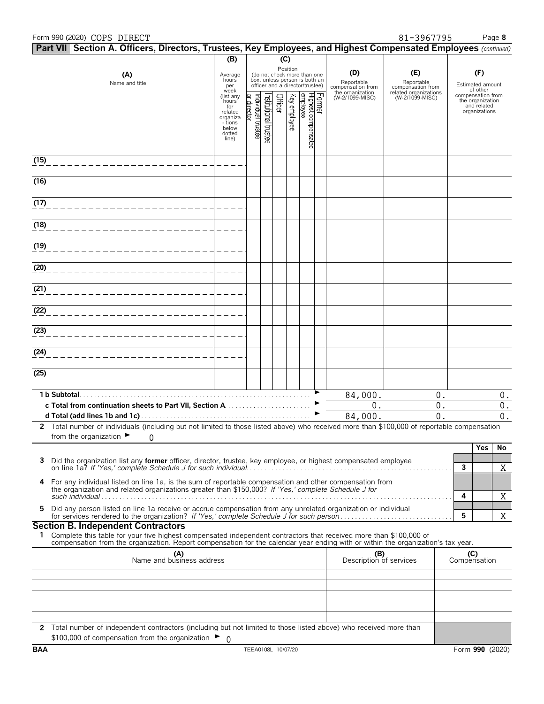#### Form 990 (2020) Page **8** COPS DIRECT 81-3967795

|            | Part VII Section A. Officers, Directors, Trustees, Key Employees, and Highest Compensated Employees (continued)                                                                                                 |                                                                                                 |                                  |                      |         |              |                                                                                                             |        |                                        |                                          |              |                                                                       |
|------------|-----------------------------------------------------------------------------------------------------------------------------------------------------------------------------------------------------------------|-------------------------------------------------------------------------------------------------|----------------------------------|----------------------|---------|--------------|-------------------------------------------------------------------------------------------------------------|--------|----------------------------------------|------------------------------------------|--------------|-----------------------------------------------------------------------|
|            |                                                                                                                                                                                                                 | (B)                                                                                             |                                  |                      |         | (C)          |                                                                                                             |        |                                        |                                          |              |                                                                       |
|            | (A)<br>Name and title                                                                                                                                                                                           | Average<br>hours<br>per                                                                         |                                  |                      |         |              | Position<br>(do not check more than one<br>box, unless person is both an<br>officer and a director/trustee) |        | (D)<br>Reportable<br>compensation from | (E)<br>Reportable<br>compensation from   |              | (F)<br>Estimated amount<br>of other                                   |
|            |                                                                                                                                                                                                                 | week<br>(list any<br>hours<br>for<br>related<br>organiza<br>- tions<br>below<br>dotted<br>line) | ar director<br>ndividual trustee | nstitutional trustee | Officer | Key employee | Highest compensated<br>employee                                                                             | Former | the organization<br>(W-2/1099-MISC)    | related organizations<br>(W-2/1099-MISC) |              | compensation from<br>the organization<br>and related<br>organizations |
| (15)       |                                                                                                                                                                                                                 |                                                                                                 |                                  |                      |         |              |                                                                                                             |        |                                        |                                          |              |                                                                       |
| (16)       |                                                                                                                                                                                                                 |                                                                                                 |                                  |                      |         |              |                                                                                                             |        |                                        |                                          |              |                                                                       |
| (17)       |                                                                                                                                                                                                                 |                                                                                                 |                                  |                      |         |              |                                                                                                             |        |                                        |                                          |              |                                                                       |
| (18)       |                                                                                                                                                                                                                 |                                                                                                 |                                  |                      |         |              |                                                                                                             |        |                                        |                                          |              |                                                                       |
| (19)       |                                                                                                                                                                                                                 |                                                                                                 |                                  |                      |         |              |                                                                                                             |        |                                        |                                          |              |                                                                       |
| (20)       |                                                                                                                                                                                                                 |                                                                                                 |                                  |                      |         |              |                                                                                                             |        |                                        |                                          |              |                                                                       |
| (21)       |                                                                                                                                                                                                                 |                                                                                                 |                                  |                      |         |              |                                                                                                             |        |                                        |                                          |              |                                                                       |
| (22)       |                                                                                                                                                                                                                 |                                                                                                 |                                  |                      |         |              |                                                                                                             |        |                                        |                                          |              |                                                                       |
| (23)       |                                                                                                                                                                                                                 |                                                                                                 |                                  |                      |         |              |                                                                                                             |        |                                        |                                          |              |                                                                       |
| (24)       |                                                                                                                                                                                                                 |                                                                                                 |                                  |                      |         |              |                                                                                                             |        |                                        |                                          |              |                                                                       |
| (25)       |                                                                                                                                                                                                                 |                                                                                                 |                                  |                      |         |              |                                                                                                             |        |                                        |                                          |              |                                                                       |
|            | 1 b Subtotal                                                                                                                                                                                                    |                                                                                                 |                                  |                      |         |              |                                                                                                             |        | 84,000.                                | 0.                                       |              | $0$ .                                                                 |
|            | c Total from continuation sheets to Part VII, Section A                                                                                                                                                         |                                                                                                 |                                  |                      |         |              |                                                                                                             |        | 0.                                     | 0.                                       |              | $0$ .                                                                 |
|            |                                                                                                                                                                                                                 |                                                                                                 |                                  |                      |         |              |                                                                                                             |        | 84,000.                                | $\mathbf{0}$ .                           |              | $0$ .                                                                 |
|            | 2 Total number of individuals (including but not limited to those listed above) who received more than \$100,000 of reportable compensation<br>from the organization $\blacktriangleright$<br>0                 |                                                                                                 |                                  |                      |         |              |                                                                                                             |        |                                        |                                          |              |                                                                       |
|            |                                                                                                                                                                                                                 |                                                                                                 |                                  |                      |         |              |                                                                                                             |        |                                        |                                          |              | Yes<br>No                                                             |
| з          | Did the organization list any <b>former</b> officer, director, trustee, key employee, or highest compensated employee                                                                                           |                                                                                                 |                                  |                      |         |              |                                                                                                             |        |                                        |                                          | 3            | X                                                                     |
| 4          | For any individual listed on line 1a, is the sum of reportable compensation and other compensation from<br>the organization and related organizations greater than \$150,000? If 'Yes,' complete Schedule J for |                                                                                                 |                                  |                      |         |              |                                                                                                             |        |                                        |                                          |              |                                                                       |
| 5          | Did any person listed on line 1a receive or accrue compensation from any unrelated organization or individual                                                                                                   |                                                                                                 |                                  |                      |         |              |                                                                                                             |        |                                        |                                          | 4            | Χ                                                                     |
|            |                                                                                                                                                                                                                 |                                                                                                 |                                  |                      |         |              |                                                                                                             |        |                                        |                                          | 5            | X                                                                     |
|            | <b>Section B. Independent Contractors</b><br>Complete this table for your five highest compensated independent contractors that received more than \$100,000 of                                                 |                                                                                                 |                                  |                      |         |              |                                                                                                             |        |                                        |                                          |              |                                                                       |
|            | compensation from the organization. Report compensation for the calendar year ending with or within the organization's tax year.<br>(A)                                                                         |                                                                                                 |                                  |                      |         |              |                                                                                                             |        | (B)                                    |                                          | (C)          |                                                                       |
|            | Name and business address                                                                                                                                                                                       |                                                                                                 |                                  |                      |         |              |                                                                                                             |        | Description of services                |                                          | Compensation |                                                                       |
|            |                                                                                                                                                                                                                 |                                                                                                 |                                  |                      |         |              |                                                                                                             |        |                                        |                                          |              |                                                                       |
|            |                                                                                                                                                                                                                 |                                                                                                 |                                  |                      |         |              |                                                                                                             |        |                                        |                                          |              |                                                                       |
|            |                                                                                                                                                                                                                 |                                                                                                 |                                  |                      |         |              |                                                                                                             |        |                                        |                                          |              |                                                                       |
|            | 2 Total number of independent contractors (including but not limited to those listed above) who received more than<br>\$100,000 of compensation from the organization ►                                         |                                                                                                 |                                  |                      |         |              |                                                                                                             |        |                                        |                                          |              |                                                                       |
| <b>BAA</b> |                                                                                                                                                                                                                 |                                                                                                 | TEEA0108L 10/07/20               |                      |         |              |                                                                                                             |        |                                        |                                          |              | Form 990 (2020)                                                       |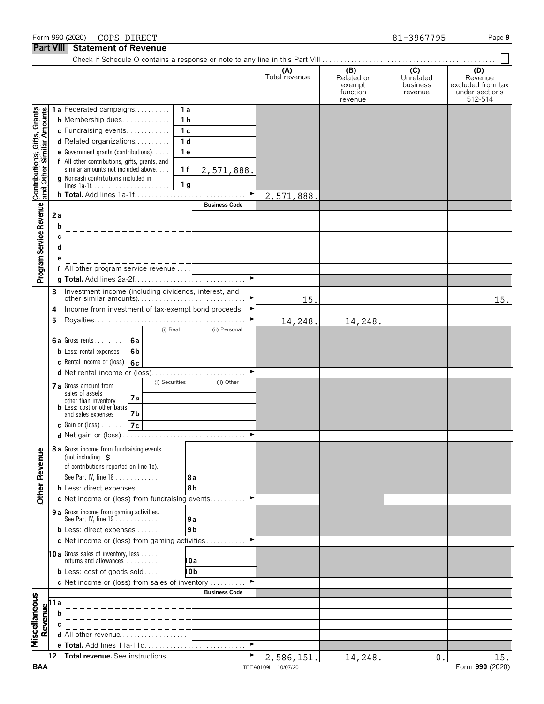# Form 990 (2020) Page **9** COPS DIRECT 81-3967795 **Part VIII Statement of Revenue**<br>Check if Schedule O contains

|                                                           | ן מוניחוון<br><b>PRIGHTER OF REACHING</b>                                                                             |                      |                      |                                                    |                                         |                                                                  |
|-----------------------------------------------------------|-----------------------------------------------------------------------------------------------------------------------|----------------------|----------------------|----------------------------------------------------|-----------------------------------------|------------------------------------------------------------------|
|                                                           |                                                                                                                       |                      | (A)<br>Total revenue | (B)<br>Related or<br>exempt<br>function<br>revenue | (C)<br>Unrelated<br>business<br>revenue | (D)<br>Revenue<br>excluded from tax<br>under sections<br>512-514 |
|                                                           | 1a Federated campaigns<br>1a                                                                                          |                      |                      |                                                    |                                         |                                                                  |
| Contributions, Gifts, Grants<br>and Other Similar Amounts | <b>b</b> Membership dues<br>1 <sub>b</sub>                                                                            |                      |                      |                                                    |                                         |                                                                  |
|                                                           | $c$ Fundraising events<br>1 <sub>c</sub>                                                                              |                      |                      |                                                    |                                         |                                                                  |
|                                                           | $d$ Related organizations $\ldots \ldots$<br>1 <sub>d</sub><br>e Government grants (contributions).<br>1 <sub>e</sub> |                      |                      |                                                    |                                         |                                                                  |
|                                                           | f All other contributions, gifts, grants, and                                                                         |                      |                      |                                                    |                                         |                                                                  |
|                                                           | 1f<br>similar amounts not included above                                                                              | 2,571,888.           |                      |                                                    |                                         |                                                                  |
|                                                           | g Noncash contributions included in<br>1 <sub>g</sub>                                                                 |                      |                      |                                                    |                                         |                                                                  |
|                                                           |                                                                                                                       | ▶                    | 2,571,888.           |                                                    |                                         |                                                                  |
|                                                           |                                                                                                                       | <b>Business Code</b> |                      |                                                    |                                         |                                                                  |
| Program Service Revenue                                   | 2a<br>-----------------                                                                                               |                      |                      |                                                    |                                         |                                                                  |
|                                                           | b                                                                                                                     |                      |                      |                                                    |                                         |                                                                  |
|                                                           | С                                                                                                                     |                      |                      |                                                    |                                         |                                                                  |
|                                                           | d                                                                                                                     |                      |                      |                                                    |                                         |                                                                  |
|                                                           | _ _ _ _ _ _ _ _ _ _ _ _ _ _ _<br>f All other program service revenue                                                  |                      |                      |                                                    |                                         |                                                                  |
|                                                           |                                                                                                                       | ٠                    |                      |                                                    |                                         |                                                                  |
|                                                           | Investment income (including dividends, interest, and<br>3                                                            |                      |                      |                                                    |                                         |                                                                  |
|                                                           | other similar amounts)                                                                                                |                      | 15                   |                                                    |                                         | 15.                                                              |
|                                                           | Income from investment of tax-exempt bond proceeds<br>4                                                               | ▶                    |                      |                                                    |                                         |                                                                  |
|                                                           | 5<br>(i) Real                                                                                                         | (ii) Personal        | 14,248.              | 14,248.                                            |                                         |                                                                  |
|                                                           | 6a Gross rents<br>  6 a                                                                                               |                      |                      |                                                    |                                         |                                                                  |
|                                                           | <b>b</b> Less: rental expenses<br>6b                                                                                  |                      |                      |                                                    |                                         |                                                                  |
|                                                           | c Rental income or (loss) $6c$                                                                                        |                      |                      |                                                    |                                         |                                                                  |
|                                                           | d Net rental income or (loss)                                                                                         |                      |                      |                                                    |                                         |                                                                  |
|                                                           | (i) Securities<br>7 a Gross amount from                                                                               | (ii) Other           |                      |                                                    |                                         |                                                                  |
|                                                           | sales of assets<br>7a                                                                                                 |                      |                      |                                                    |                                         |                                                                  |
|                                                           | other than inventory<br><b>b</b> Less: cost or other basis                                                            |                      |                      |                                                    |                                         |                                                                  |
|                                                           | 7b<br>and sales expenses                                                                                              |                      |                      |                                                    |                                         |                                                                  |
|                                                           | 7c<br><b>c</b> Gain or $(\text{loss})$                                                                                |                      |                      |                                                    |                                         |                                                                  |
|                                                           |                                                                                                                       |                      |                      |                                                    |                                         |                                                                  |
| <b>Other Revenue</b>                                      | 8 a Gross income from fundraising events<br>(not including $\mathbf S$                                                |                      |                      |                                                    |                                         |                                                                  |
|                                                           | of contributions reported on line 1c).                                                                                |                      |                      |                                                    |                                         |                                                                  |
|                                                           | See Part IV, line 18<br>8a                                                                                            |                      |                      |                                                    |                                         |                                                                  |
|                                                           | <b>b</b> Less: direct expenses $\ldots$<br>8b                                                                         |                      |                      |                                                    |                                         |                                                                  |
|                                                           | c Net income or (loss) from fundraising events                                                                        |                      |                      |                                                    |                                         |                                                                  |
|                                                           | 9 a Gross income from gaming activities.<br>See Part IV, line 19<br>9a                                                |                      |                      |                                                    |                                         |                                                                  |
|                                                           | <b>b</b> Less: direct expenses $\ldots$ .<br>9b                                                                       |                      |                      |                                                    |                                         |                                                                  |
|                                                           | c Net income or (loss) from gaming activities                                                                         |                      |                      |                                                    |                                         |                                                                  |
|                                                           | <b>10 a</b> Gross sales of inventory, less $\ldots$ .                                                                 |                      |                      |                                                    |                                         |                                                                  |
|                                                           | returns and allowances<br>10a                                                                                         |                      |                      |                                                    |                                         |                                                                  |
|                                                           | <b>b</b> Less: cost of goods sold<br>10b                                                                              |                      |                      |                                                    |                                         |                                                                  |
|                                                           | c Net income or (loss) from sales of inventory                                                                        |                      |                      |                                                    |                                         |                                                                  |
|                                                           |                                                                                                                       | <b>Business Code</b> |                      |                                                    |                                         |                                                                  |
| Miscellaneous                                             | 11 a                                                                                                                  |                      |                      |                                                    |                                         |                                                                  |
| Revenue                                                   |                                                                                                                       |                      |                      |                                                    |                                         |                                                                  |
|                                                           |                                                                                                                       |                      |                      |                                                    |                                         |                                                                  |
|                                                           | e Total. Add lines 11a-11d                                                                                            |                      |                      |                                                    |                                         |                                                                  |
|                                                           | Total revenue. See instructions<br>12                                                                                 |                      | 2,586,151            | 14,248.                                            | $\mathbf{0}$                            | 15.                                                              |
| <b>BAA</b>                                                |                                                                                                                       |                      | TEEA0109L 10/07/20   |                                                    |                                         | Form 990 (2020)                                                  |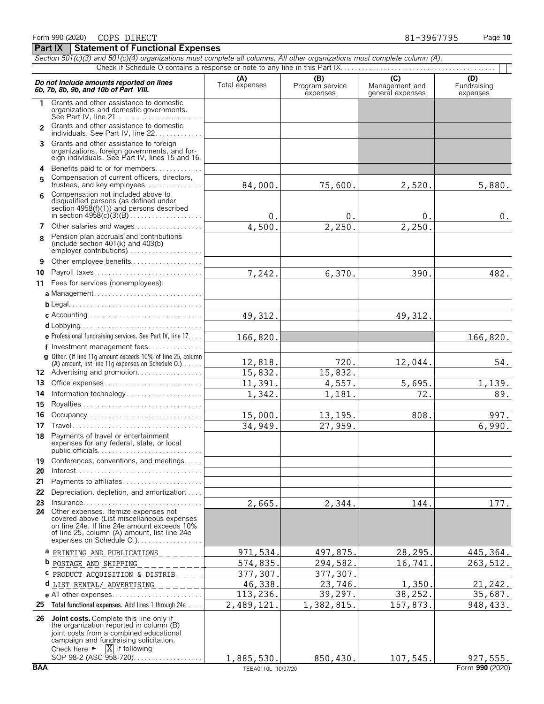|          | Do not include amounts reported on lines<br>6b, 7b, 8b, 9b, and 10b of Part VIII.                                                                                                                                                             | (A)<br>Total expenses | (B)<br>Program service<br>expenses | $\overline{C}$<br>Management and<br>general expenses | (D)<br>Fundraising<br>expenses |
|----------|-----------------------------------------------------------------------------------------------------------------------------------------------------------------------------------------------------------------------------------------------|-----------------------|------------------------------------|------------------------------------------------------|--------------------------------|
| 1        | Grants and other assistance to domestic<br>organizations and domestic governments.                                                                                                                                                            |                       |                                    |                                                      |                                |
|          | Grants and other assistance to domestic<br>individuals. See Part IV, line 22.                                                                                                                                                                 |                       |                                    |                                                      |                                |
| 3        | Grants and other assistance to foreign<br>organizations, foreign governments, and for-<br>eign individuals. See Part IV, lines 15 and 16.                                                                                                     |                       |                                    |                                                      |                                |
| 4        | Benefits paid to or for members                                                                                                                                                                                                               |                       |                                    |                                                      |                                |
| 5        | Compensation of current officers, directors,<br>trustees, and key employees                                                                                                                                                                   | 84,000.               | 75,600.                            | 2,520.                                               | 5,880.                         |
|          | Compensation not included above to<br>disqualified persons (as defined under<br>section $4958(f)(1)$ and persons described<br>in section $4958(c)(3)(B)$                                                                                      | $0$ .                 | 0.                                 | 0.                                                   | $0$ .                          |
| 7        | Other salaries and wages                                                                                                                                                                                                                      | 4,500                 | 2,250.                             | 2,250.                                               |                                |
| 8        | Pension plan accruals and contributions<br>(include section $401(k)$ and $403(b)$<br>employer contributions)                                                                                                                                  |                       |                                    |                                                      |                                |
| 9        | Other employee benefits                                                                                                                                                                                                                       |                       |                                    |                                                      |                                |
| 10       | Payroll taxes                                                                                                                                                                                                                                 | 7,242.                | 6,370.                             | 390.                                                 | 482.                           |
| 11       | Fees for services (nonemployees):                                                                                                                                                                                                             |                       |                                    |                                                      |                                |
|          | a Management                                                                                                                                                                                                                                  |                       |                                    |                                                      |                                |
|          |                                                                                                                                                                                                                                               |                       |                                    |                                                      |                                |
|          |                                                                                                                                                                                                                                               | 49, 312.              |                                    | 49, 312.                                             |                                |
|          |                                                                                                                                                                                                                                               |                       |                                    |                                                      |                                |
|          | e Professional fundraising services. See Part IV, line 17.                                                                                                                                                                                    | 166,820.              |                                    |                                                      | 166,820.                       |
|          | f Investment management fees                                                                                                                                                                                                                  |                       |                                    |                                                      |                                |
|          | g Other. (If line 11q amount exceeds 10% of line 25, column                                                                                                                                                                                   | 12,818.               | 720.                               | 12,044.                                              | 54.                            |
|          | (A) amount, list line 11g expenses on Schedule $0.$ )<br>12 Advertising and promotion                                                                                                                                                         | 15,832.               | 15,832.                            |                                                      |                                |
| 13       |                                                                                                                                                                                                                                               |                       |                                    |                                                      |                                |
| 14       | Information technology                                                                                                                                                                                                                        | 11,391.<br>1,342.     | 4,557.<br>1,181.                   | 5,695.<br>72.                                        | 1,139.<br>89.                  |
| 15       |                                                                                                                                                                                                                                               |                       |                                    |                                                      |                                |
| 16       |                                                                                                                                                                                                                                               | 15,000.               |                                    |                                                      |                                |
| 17       |                                                                                                                                                                                                                                               |                       | 13, 195.                           | 808.                                                 | 997.                           |
| 18       | Payments of travel or entertainment<br>expenses for any federal, state, or local<br>public officials                                                                                                                                          | 34,949.               | 27,959.                            |                                                      | 6,990.                         |
| 19<br>20 | Conferences, conventions, and meetings<br>$Interest. \ldots \ldots \ldots \ldots \ldots \ldots \ldots \ldots \ldots \ldots \ldots \ldots \ldots$                                                                                              |                       |                                    |                                                      |                                |
| $21 \,$  | Payments to affiliates                                                                                                                                                                                                                        |                       |                                    |                                                      |                                |
| 22       | Depreciation, depletion, and amortization                                                                                                                                                                                                     |                       |                                    |                                                      |                                |
|          | 23 Insurance                                                                                                                                                                                                                                  | 2,665.                | 2,344.                             | 144.                                                 | 177.                           |
|          | 24 Other expenses. Itemize expenses not<br>covered above (List miscellaneous expenses<br>on line 24e. If line 24e amount exceeds 10%<br>of line 25, column (A) amount, list line 24e<br>expenses on Schedule O.)                              |                       |                                    |                                                      |                                |
|          | a <u>PRINTING AND PUBLICATIONS</u> ______                                                                                                                                                                                                     | 971, 534.             | 497,875.                           | 28, 295.                                             | 445,364.                       |
|          | <b>b</b> POSTAGE AND SHIPPING                                                                                                                                                                                                                 | 574,835               | 294,582                            | 16,741                                               | 263,512.                       |
|          | C PRODUCT ACQUISITION & DISTRIB ___                                                                                                                                                                                                           | 377,307               | 377,307                            |                                                      |                                |
|          | d LIST RENTAL/ ADVERTISING                                                                                                                                                                                                                    | 46,338.               | 23,746.                            | 1,350.                                               | 21, 242.                       |
|          |                                                                                                                                                                                                                                               | 113,236.              | 39,297.                            | 38,252.                                              | 35,687.                        |
| 25       | Total functional expenses. Add lines 1 through 24e                                                                                                                                                                                            | 2,489,121             | 1,382,815.                         | 157,873.                                             | 948, 433.                      |
|          | 26 Joint costs. Complete this line only if<br>the organization reported in column (B)<br>joint costs from a combined educational<br>campaign and fundraising solicitation.<br>$\overline{X}$ if following<br>Check here $\blacktriangleright$ |                       |                                    |                                                      |                                |
|          | SOP 98-2 (ASC 958-720)                                                                                                                                                                                                                        | 1,885,530.            | 850,430.                           | 107,545.                                             | 927,555.                       |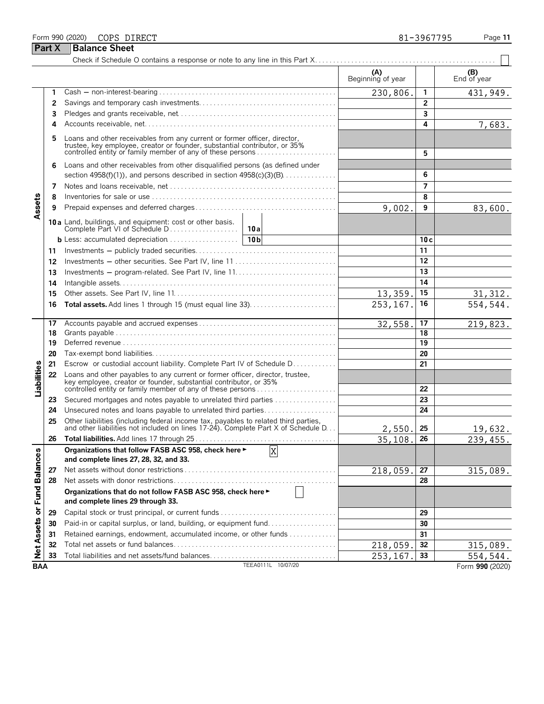#### Form 990 (2020) Page **11** COPS DIRECT 81-3967795

**Part X** Balance Sheet

Check if Schedule O contains a response or note to any line in this Part X. . . . . . . . . . . . . . . . . . . . . . . . . . . . . . . . . . . . . . . . . . . . . . . . . .  $(B)$  **(A)**  $\qquad \qquad$  **End of year** End of year **(A) (B) 1** Cash ' non-interest-bearing . . . . . . . . . . . . . . . . . . . . . . . . . . . . . . . . . . . . . . . . . . . . . . . . . **1** 230,806. 431,949. **2** Savings and temporary cash investments. . . . . . . . . . . . . . . . . . . . . . . . . . . . . . . . . . . . . . **2 3** Pledges and grants receivable, net. . . . . . . . . . . . . . . . . . . . . . . . . . . . . . . . . . . . . . . . . . . . **3 4** Accounts receivable, net. . . . . . . . . . . . . . . . . . . . . . . . . . . . . . . . . . . . . . . . . . . . . . . . . . . . . **4** 7,683. 5 Loans and other receivables from any current or former officer, director,<br>trustee, key employee, creator or founder, substantial contributor, or 35%<br>controlled entity or family member of any of these persons . . . . . . **6** Loans and other receivables from other disqualified persons (as defined under section 4958(f)(1)), and persons described in section 4958(c)(3)(B). . . . . . . . . . . . . . . **6 7** Notes and loans receivable, net. . . . . . . . . . . . . . . . . . . . . . . . . . . . . . . . . . . . . . . . . . . . . . . **7 8** Inventories for sale or use . . . . . . . . . . . . . . . . . . . . . . . . . . . . . . . . . . . . . . . . . . . . . . . . . . . **8** Assets **9** Prepaid expenses and deferred charges . . . . . . . . . . . . . . . . . . . . . . . . . . . . . . . . . . . . . . . **9** 9,002. 83,600. **10 a** Land, buildings, and equipment: cost or other basis. Complete Part VI of Schedule D . . . . . . . . . . . . . . . . . . . **10a b** Less: accumulated depreciation. . . . . . . . . . . . . . . . . . . . **10b 10 c 11** Investments ' publicly traded securities. . . . . . . . . . . . . . . . . . . . . . . . . . . . . . . . . . . . . . . **11 12** Investments ' other securities. See Part IV, line 11 . . . . . . . . . . . . . . . . . . . . . . . . . . . . **12 13** Investments ' program-related. See Part IV, line 11. . . . . . . . . . . . . . . . . . . . . . . . . . . . **13 14** Intangible assets. . . . . . . . . . . . . . . . . . . . . . . . . . . . . . . . . . . . . . . . . . . . . . . . . . . . . . . . . . . . **14 15** Other assets. See Part IV, line 11. . . . . . . . . . . . . . . . . . . . . . . . . . . . . . . . . . . . . . . . . . . . . **15** 13,359. 15 31,312 **16 Total assets.** Add lines 1 through 15 (must equal line 33). . . . . . . . . . . . . . . . . . . . . . . . **16** 554,544. **17** Accounts payable and accrued expenses . . . . . . . . . . . . . . . . . . . . . . . . . . . . . . . . . . . . . . **17** 219,823 **18** Grants payable . . . . . . . . . . . . . . . . . . . . . . . . . . . . . . . . . . . . . . . . . . . . . . . . . . . . . . . . . . . . . **18 19** Deferred revenue . . . . . . . . . . . . . . . . . . . . . . . . . . . . . . . . . . . . . . . . . . . . . . . . . . . . . . . . . . . **19 20** Tax-exempt bond liabilities. . . . . . . . . . . . . . . . . . . . . . . . . . . . . . . . . . . . . . . . . . . . . . . . . . . **20 21** Escrow or custodial account liability. Complete Part IV of Schedule D. . . . . . . . . . . . **21** Liabilities **22** Loans and other payables to any current or former officer, director, trustee, key employee, creator or founder, substantial contributor, or 35% controlled entity or family member of any of these persons . . . . . . . . . . . . . . . . . . . . . . **22 23** Secured mortgages and notes payable to unrelated third parties . . . . . . . . . . . . . . . . . **23 24** Unsecured notes and loans payable to unrelated third parties. . . . . . . . . . . . . . . . . . . . **24 25** Other liabilities (including federal income tax, payables to related third parties,<br>and other liabilities not included on lines 17-24). Complete Part X of Schedule D. . . **2550.** 2550. **25**  $2,550$ . 25 | 19,632 **26 Total liabilities.** Add lines 17 through 25 . . . . . . . . . . . . . . . . . . . . . . . . . . . . . . . . . . . . . . . **26** 239,455 **Organizations that follow FASB ASC 958, check here** G X or Fund Balances **and complete lines 27, 28, 32, and 33. 27** Net assets without donor restrictions . . . . . . . . . . . . . . . . . . . . . . . . . . . . . . . . . . . . . . . . . . **27** 218,059. 315,089. **28** Net assets with donor restrictions. . . . . . . . . . . . . . . . . . . . . . . . . . . . . . . . . . . . . . . . . . . . . **28 Organizations that do not follow FASB ASC 958, check here** G **and complete lines 29 through 33. 29** Capital stock or trust principal, or current funds. . . . . . . . . . . . . . . . . . . . . . . . . . . . . . . . . **29 Net Assets 30** Paid-in or capital surplus, or land, building, or equipment fund. . . . . . . . . . . . . . . . . . . **30 31** Retained earnings, endowment, accumulated income, or other funds . . . . . . . . . . . . . **31 32** Total net assets or fund balances. . . . . . . . . . . . . . . . . . . . . . . . . . . . . . . . . . . . . . . . . . . . . **32** 218,059. 315,089. **33** Total liabilities and net assets/fund balances. . . . . . . . . . . . . . . . . . . . . . . . . . . . . . . . . . . **33** 554,544 **BAA** TEEA0111L 10/07/20 Form **990** (2020)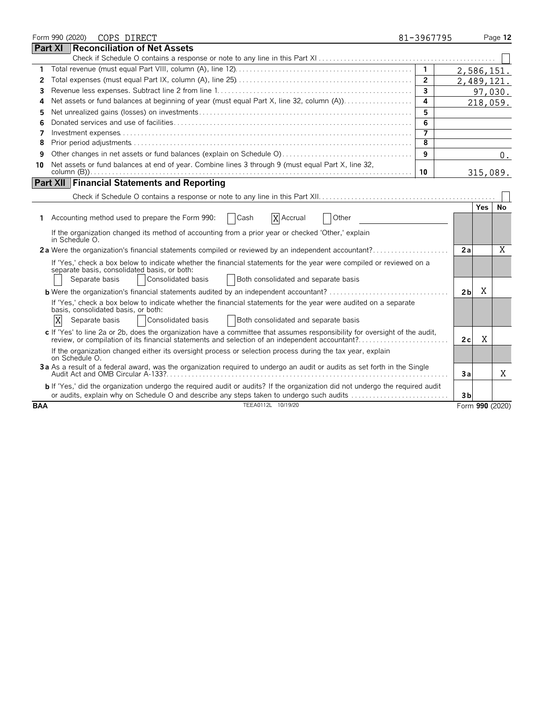| <b>Reconciliation of Net Assets</b><br><b>Part XI</b><br>$\overline{1}$<br>1.<br>2,586,151.<br>$\overline{2}$<br>2<br>2,489,121.<br>3<br>3<br>97,030.<br>4<br>4<br>218,059.<br>5<br>5<br>6<br>6<br>$\overline{7}$<br>7<br>8<br>8<br>9<br>9<br>0.<br>Net assets or fund balances at end of year. Combine lines 3 through 9 (must equal Part X, line 32,<br>10<br>10<br>315,089.<br><b>Part XII Financial Statements and Reporting</b><br><b>Yes</b><br>No<br>X Accrual<br>Accounting method used to prepare the Form 990:<br>Cash<br>Other<br>1<br>If the organization changed its method of accounting from a prior year or checked 'Other,' explain<br>in Schedule O.<br>X<br>2a Were the organization's financial statements compiled or reviewed by an independent accountant?<br>2a<br>If 'Yes,' check a box below to indicate whether the financial statements for the year were compiled or reviewed on a<br>separate basis, consolidated basis, or both:<br>Both consolidated and separate basis<br>Separate basis<br>Consolidated basis<br>Χ<br><b>b</b> Were the organization's financial statements audited by an independent accountant?<br>2 <sub>b</sub><br>If 'Yes,' check a box below to indicate whether the financial statements for the year were audited on a separate<br>basis, consolidated basis, or both:<br>X<br>Consolidated basis<br>Both consolidated and separate basis<br>Separate basis<br>c If 'Yes' to line 2a or 2b, does the organization have a committee that assumes responsibility for oversight of the audit,<br>Χ<br>2c<br>If the organization changed either its oversight process or selection process during the tax year, explain<br>on Schedule O.<br>3a As a result of a federal award, was the organization required to undergo an audit or audits as set forth in the Single<br>Χ<br>Зa<br>b If 'Yes,' did the organization undergo the required audit or audits? If the organization did not undergo the required audit<br>or audits, explain why on Schedule O and describe any steps taken to undergo such audits<br>3 <sub>b</sub><br>TEEA0112L 10/19/20<br>Form 990 (2020) |            | Form 990 (2020) | COPS DIRECT | 81-3967795 |  | Page 12 |
|---------------------------------------------------------------------------------------------------------------------------------------------------------------------------------------------------------------------------------------------------------------------------------------------------------------------------------------------------------------------------------------------------------------------------------------------------------------------------------------------------------------------------------------------------------------------------------------------------------------------------------------------------------------------------------------------------------------------------------------------------------------------------------------------------------------------------------------------------------------------------------------------------------------------------------------------------------------------------------------------------------------------------------------------------------------------------------------------------------------------------------------------------------------------------------------------------------------------------------------------------------------------------------------------------------------------------------------------------------------------------------------------------------------------------------------------------------------------------------------------------------------------------------------------------------------------------------------------------------------------------------------------------------------------------------------------------------------------------------------------------------------------------------------------------------------------------------------------------------------------------------------------------------------------------------------------------------------------------------------------------------------------------------------------------------------------------------------------------------------------------------|------------|-----------------|-------------|------------|--|---------|
|                                                                                                                                                                                                                                                                                                                                                                                                                                                                                                                                                                                                                                                                                                                                                                                                                                                                                                                                                                                                                                                                                                                                                                                                                                                                                                                                                                                                                                                                                                                                                                                                                                                                                                                                                                                                                                                                                                                                                                                                                                                                                                                                 |            |                 |             |            |  |         |
|                                                                                                                                                                                                                                                                                                                                                                                                                                                                                                                                                                                                                                                                                                                                                                                                                                                                                                                                                                                                                                                                                                                                                                                                                                                                                                                                                                                                                                                                                                                                                                                                                                                                                                                                                                                                                                                                                                                                                                                                                                                                                                                                 |            |                 |             |            |  |         |
|                                                                                                                                                                                                                                                                                                                                                                                                                                                                                                                                                                                                                                                                                                                                                                                                                                                                                                                                                                                                                                                                                                                                                                                                                                                                                                                                                                                                                                                                                                                                                                                                                                                                                                                                                                                                                                                                                                                                                                                                                                                                                                                                 |            |                 |             |            |  |         |
|                                                                                                                                                                                                                                                                                                                                                                                                                                                                                                                                                                                                                                                                                                                                                                                                                                                                                                                                                                                                                                                                                                                                                                                                                                                                                                                                                                                                                                                                                                                                                                                                                                                                                                                                                                                                                                                                                                                                                                                                                                                                                                                                 |            |                 |             |            |  |         |
|                                                                                                                                                                                                                                                                                                                                                                                                                                                                                                                                                                                                                                                                                                                                                                                                                                                                                                                                                                                                                                                                                                                                                                                                                                                                                                                                                                                                                                                                                                                                                                                                                                                                                                                                                                                                                                                                                                                                                                                                                                                                                                                                 |            |                 |             |            |  |         |
|                                                                                                                                                                                                                                                                                                                                                                                                                                                                                                                                                                                                                                                                                                                                                                                                                                                                                                                                                                                                                                                                                                                                                                                                                                                                                                                                                                                                                                                                                                                                                                                                                                                                                                                                                                                                                                                                                                                                                                                                                                                                                                                                 |            |                 |             |            |  |         |
|                                                                                                                                                                                                                                                                                                                                                                                                                                                                                                                                                                                                                                                                                                                                                                                                                                                                                                                                                                                                                                                                                                                                                                                                                                                                                                                                                                                                                                                                                                                                                                                                                                                                                                                                                                                                                                                                                                                                                                                                                                                                                                                                 |            |                 |             |            |  |         |
|                                                                                                                                                                                                                                                                                                                                                                                                                                                                                                                                                                                                                                                                                                                                                                                                                                                                                                                                                                                                                                                                                                                                                                                                                                                                                                                                                                                                                                                                                                                                                                                                                                                                                                                                                                                                                                                                                                                                                                                                                                                                                                                                 |            |                 |             |            |  |         |
|                                                                                                                                                                                                                                                                                                                                                                                                                                                                                                                                                                                                                                                                                                                                                                                                                                                                                                                                                                                                                                                                                                                                                                                                                                                                                                                                                                                                                                                                                                                                                                                                                                                                                                                                                                                                                                                                                                                                                                                                                                                                                                                                 |            |                 |             |            |  |         |
|                                                                                                                                                                                                                                                                                                                                                                                                                                                                                                                                                                                                                                                                                                                                                                                                                                                                                                                                                                                                                                                                                                                                                                                                                                                                                                                                                                                                                                                                                                                                                                                                                                                                                                                                                                                                                                                                                                                                                                                                                                                                                                                                 |            |                 |             |            |  |         |
|                                                                                                                                                                                                                                                                                                                                                                                                                                                                                                                                                                                                                                                                                                                                                                                                                                                                                                                                                                                                                                                                                                                                                                                                                                                                                                                                                                                                                                                                                                                                                                                                                                                                                                                                                                                                                                                                                                                                                                                                                                                                                                                                 |            |                 |             |            |  |         |
|                                                                                                                                                                                                                                                                                                                                                                                                                                                                                                                                                                                                                                                                                                                                                                                                                                                                                                                                                                                                                                                                                                                                                                                                                                                                                                                                                                                                                                                                                                                                                                                                                                                                                                                                                                                                                                                                                                                                                                                                                                                                                                                                 |            |                 |             |            |  |         |
|                                                                                                                                                                                                                                                                                                                                                                                                                                                                                                                                                                                                                                                                                                                                                                                                                                                                                                                                                                                                                                                                                                                                                                                                                                                                                                                                                                                                                                                                                                                                                                                                                                                                                                                                                                                                                                                                                                                                                                                                                                                                                                                                 |            |                 |             |            |  |         |
|                                                                                                                                                                                                                                                                                                                                                                                                                                                                                                                                                                                                                                                                                                                                                                                                                                                                                                                                                                                                                                                                                                                                                                                                                                                                                                                                                                                                                                                                                                                                                                                                                                                                                                                                                                                                                                                                                                                                                                                                                                                                                                                                 |            |                 |             |            |  |         |
|                                                                                                                                                                                                                                                                                                                                                                                                                                                                                                                                                                                                                                                                                                                                                                                                                                                                                                                                                                                                                                                                                                                                                                                                                                                                                                                                                                                                                                                                                                                                                                                                                                                                                                                                                                                                                                                                                                                                                                                                                                                                                                                                 |            |                 |             |            |  |         |
|                                                                                                                                                                                                                                                                                                                                                                                                                                                                                                                                                                                                                                                                                                                                                                                                                                                                                                                                                                                                                                                                                                                                                                                                                                                                                                                                                                                                                                                                                                                                                                                                                                                                                                                                                                                                                                                                                                                                                                                                                                                                                                                                 |            |                 |             |            |  |         |
|                                                                                                                                                                                                                                                                                                                                                                                                                                                                                                                                                                                                                                                                                                                                                                                                                                                                                                                                                                                                                                                                                                                                                                                                                                                                                                                                                                                                                                                                                                                                                                                                                                                                                                                                                                                                                                                                                                                                                                                                                                                                                                                                 |            |                 |             |            |  |         |
|                                                                                                                                                                                                                                                                                                                                                                                                                                                                                                                                                                                                                                                                                                                                                                                                                                                                                                                                                                                                                                                                                                                                                                                                                                                                                                                                                                                                                                                                                                                                                                                                                                                                                                                                                                                                                                                                                                                                                                                                                                                                                                                                 |            |                 |             |            |  |         |
|                                                                                                                                                                                                                                                                                                                                                                                                                                                                                                                                                                                                                                                                                                                                                                                                                                                                                                                                                                                                                                                                                                                                                                                                                                                                                                                                                                                                                                                                                                                                                                                                                                                                                                                                                                                                                                                                                                                                                                                                                                                                                                                                 |            |                 |             |            |  |         |
|                                                                                                                                                                                                                                                                                                                                                                                                                                                                                                                                                                                                                                                                                                                                                                                                                                                                                                                                                                                                                                                                                                                                                                                                                                                                                                                                                                                                                                                                                                                                                                                                                                                                                                                                                                                                                                                                                                                                                                                                                                                                                                                                 |            |                 |             |            |  |         |
|                                                                                                                                                                                                                                                                                                                                                                                                                                                                                                                                                                                                                                                                                                                                                                                                                                                                                                                                                                                                                                                                                                                                                                                                                                                                                                                                                                                                                                                                                                                                                                                                                                                                                                                                                                                                                                                                                                                                                                                                                                                                                                                                 |            |                 |             |            |  |         |
|                                                                                                                                                                                                                                                                                                                                                                                                                                                                                                                                                                                                                                                                                                                                                                                                                                                                                                                                                                                                                                                                                                                                                                                                                                                                                                                                                                                                                                                                                                                                                                                                                                                                                                                                                                                                                                                                                                                                                                                                                                                                                                                                 |            |                 |             |            |  |         |
|                                                                                                                                                                                                                                                                                                                                                                                                                                                                                                                                                                                                                                                                                                                                                                                                                                                                                                                                                                                                                                                                                                                                                                                                                                                                                                                                                                                                                                                                                                                                                                                                                                                                                                                                                                                                                                                                                                                                                                                                                                                                                                                                 |            |                 |             |            |  |         |
|                                                                                                                                                                                                                                                                                                                                                                                                                                                                                                                                                                                                                                                                                                                                                                                                                                                                                                                                                                                                                                                                                                                                                                                                                                                                                                                                                                                                                                                                                                                                                                                                                                                                                                                                                                                                                                                                                                                                                                                                                                                                                                                                 |            |                 |             |            |  |         |
|                                                                                                                                                                                                                                                                                                                                                                                                                                                                                                                                                                                                                                                                                                                                                                                                                                                                                                                                                                                                                                                                                                                                                                                                                                                                                                                                                                                                                                                                                                                                                                                                                                                                                                                                                                                                                                                                                                                                                                                                                                                                                                                                 |            |                 |             |            |  |         |
|                                                                                                                                                                                                                                                                                                                                                                                                                                                                                                                                                                                                                                                                                                                                                                                                                                                                                                                                                                                                                                                                                                                                                                                                                                                                                                                                                                                                                                                                                                                                                                                                                                                                                                                                                                                                                                                                                                                                                                                                                                                                                                                                 |            |                 |             |            |  |         |
|                                                                                                                                                                                                                                                                                                                                                                                                                                                                                                                                                                                                                                                                                                                                                                                                                                                                                                                                                                                                                                                                                                                                                                                                                                                                                                                                                                                                                                                                                                                                                                                                                                                                                                                                                                                                                                                                                                                                                                                                                                                                                                                                 |            |                 |             |            |  |         |
|                                                                                                                                                                                                                                                                                                                                                                                                                                                                                                                                                                                                                                                                                                                                                                                                                                                                                                                                                                                                                                                                                                                                                                                                                                                                                                                                                                                                                                                                                                                                                                                                                                                                                                                                                                                                                                                                                                                                                                                                                                                                                                                                 |            |                 |             |            |  |         |
|                                                                                                                                                                                                                                                                                                                                                                                                                                                                                                                                                                                                                                                                                                                                                                                                                                                                                                                                                                                                                                                                                                                                                                                                                                                                                                                                                                                                                                                                                                                                                                                                                                                                                                                                                                                                                                                                                                                                                                                                                                                                                                                                 |            |                 |             |            |  |         |
|                                                                                                                                                                                                                                                                                                                                                                                                                                                                                                                                                                                                                                                                                                                                                                                                                                                                                                                                                                                                                                                                                                                                                                                                                                                                                                                                                                                                                                                                                                                                                                                                                                                                                                                                                                                                                                                                                                                                                                                                                                                                                                                                 | <b>BAA</b> |                 |             |            |  |         |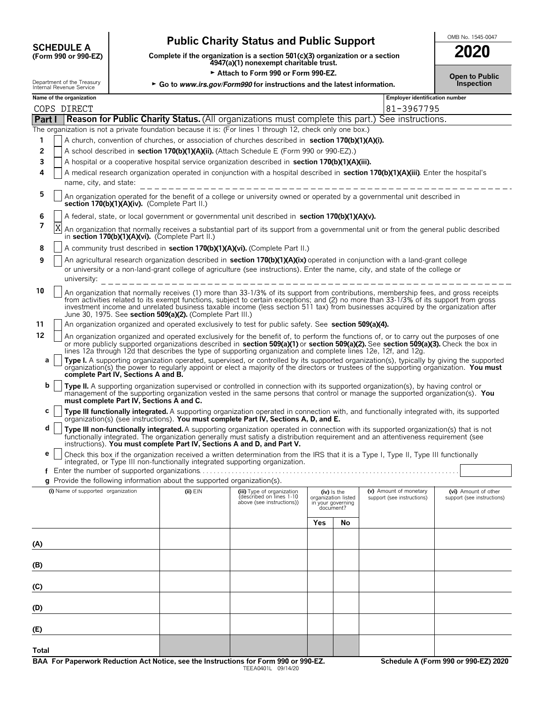# **CHEDULE A** Public Charity Status and Public Support<br>
(Form 990 or 990-EZ) Complete if the organization is a section 501(c)(3) organization or a section

**(Form 990 or 990-EZ) Complete if the organization is a section 501(c)(3) organization or a section 2020 4947(a)(1) nonexempt charitable trust.**

► Attach to Form 990 or Form 990-EZ.<br>gov/Form990 for instructions and the latest information. **Democial condensation** Department of the Treasury  $\bullet$  Go to *www.irs.gov/Form990* for instructions and the latest information.

| $n$ . The main vevenue of vice |  |  |
|--------------------------------|--|--|
| Name of the organization       |  |  |

**Total**

| Name of the organization                                                                                                                                                                                                                                                                                                                                                                                 |                                                                                                                                                                                                                                                                                                                                                                                                                                                                                  |                                                                                     |                                                       |               | Employer identification number                       |                                                    |
|----------------------------------------------------------------------------------------------------------------------------------------------------------------------------------------------------------------------------------------------------------------------------------------------------------------------------------------------------------------------------------------------------------|----------------------------------------------------------------------------------------------------------------------------------------------------------------------------------------------------------------------------------------------------------------------------------------------------------------------------------------------------------------------------------------------------------------------------------------------------------------------------------|-------------------------------------------------------------------------------------|-------------------------------------------------------|---------------|------------------------------------------------------|----------------------------------------------------|
| COPS DIRECT                                                                                                                                                                                                                                                                                                                                                                                              |                                                                                                                                                                                                                                                                                                                                                                                                                                                                                  |                                                                                     |                                                       |               | 81-3967795                                           |                                                    |
| <b>Reason for Public Charity Status.</b> (All organizations must complete this part.) See instructions.<br>Part I                                                                                                                                                                                                                                                                                        |                                                                                                                                                                                                                                                                                                                                                                                                                                                                                  |                                                                                     |                                                       |               |                                                      |                                                    |
| The organization is not a private foundation because it is: (For lines 1 through 12, check only one box.)                                                                                                                                                                                                                                                                                                |                                                                                                                                                                                                                                                                                                                                                                                                                                                                                  |                                                                                     |                                                       |               |                                                      |                                                    |
| A church, convention of churches, or association of churches described in section 170(b)(1)(A)(i).<br>1                                                                                                                                                                                                                                                                                                  |                                                                                                                                                                                                                                                                                                                                                                                                                                                                                  |                                                                                     |                                                       |               |                                                      |                                                    |
| 2<br>A school described in section 170(b)(1)(A)(ii). (Attach Schedule E (Form 990 or 990-EZ).)                                                                                                                                                                                                                                                                                                           |                                                                                                                                                                                                                                                                                                                                                                                                                                                                                  |                                                                                     |                                                       |               |                                                      |                                                    |
| 3<br>A hospital or a cooperative hospital service organization described in section 170(b)(1)(A)(iii).                                                                                                                                                                                                                                                                                                   |                                                                                                                                                                                                                                                                                                                                                                                                                                                                                  |                                                                                     |                                                       |               |                                                      |                                                    |
| A medical research organization operated in conjunction with a hospital described in section 170(b)(1)(A)(iii). Enter the hospital's<br>4                                                                                                                                                                                                                                                                |                                                                                                                                                                                                                                                                                                                                                                                                                                                                                  |                                                                                     |                                                       |               |                                                      |                                                    |
| name, city, and state:                                                                                                                                                                                                                                                                                                                                                                                   |                                                                                                                                                                                                                                                                                                                                                                                                                                                                                  |                                                                                     |                                                       |               |                                                      |                                                    |
| 5<br>An organization operated for the benefit of a college or university owned or operated by a governmental unit described in<br>section 170(b)(1)(A)(iv). (Complete Part II.)                                                                                                                                                                                                                          |                                                                                                                                                                                                                                                                                                                                                                                                                                                                                  |                                                                                     |                                                       |               |                                                      |                                                    |
| A federal, state, or local government or governmental unit described in section 170(b)(1)(A)(v).<br>6                                                                                                                                                                                                                                                                                                    |                                                                                                                                                                                                                                                                                                                                                                                                                                                                                  |                                                                                     |                                                       |               |                                                      |                                                    |
| 7<br>Χ<br>An organization that normally receives a substantial part of its support from a governmental unit or from the general public described<br>in section 170(b)(1)(A)(vi). (Complete Part II.)                                                                                                                                                                                                     |                                                                                                                                                                                                                                                                                                                                                                                                                                                                                  |                                                                                     |                                                       |               |                                                      |                                                    |
| A community trust described in section 170(b)(1)(A)(vi). (Complete Part II.)<br>8                                                                                                                                                                                                                                                                                                                        |                                                                                                                                                                                                                                                                                                                                                                                                                                                                                  |                                                                                     |                                                       |               |                                                      |                                                    |
| An agricultural research organization described in section 170(b)(1)(A)(ix) operated in conjunction with a land-grant college<br>9                                                                                                                                                                                                                                                                       |                                                                                                                                                                                                                                                                                                                                                                                                                                                                                  |                                                                                     |                                                       |               |                                                      |                                                    |
| or university or a non-land-grant college of agriculture (see instructions). Enter the name, city, and state of the college or                                                                                                                                                                                                                                                                           |                                                                                                                                                                                                                                                                                                                                                                                                                                                                                  |                                                                                     |                                                       |               |                                                      |                                                    |
| 10                                                                                                                                                                                                                                                                                                                                                                                                       | An organization that normally receives (1) more than 33-1/3% of its support from contributions, membership fees, and gross receipts<br>from activities related to its exempt functions, subject to certain exceptions; and (2) no more than 33-1/3% of its support from gross<br>investment income and unrelated business taxable income (less section 511 tax) from businesses acquired by the organization after<br>June 30, 1975. See section 509(a)(2). (Complete Part III.) |                                                                                     |                                                       |               |                                                      |                                                    |
| 11<br>An organization organized and operated exclusively to test for public safety. See section 509(a)(4).                                                                                                                                                                                                                                                                                               |                                                                                                                                                                                                                                                                                                                                                                                                                                                                                  |                                                                                     |                                                       |               |                                                      |                                                    |
| 12<br>An organization organized and operated exclusively for the benefit of, to perform the functions of, or to carry out the purposes of one<br>or more publicly supported organizations described in section 509(a)(1) or section 509(a)(2). See section 509(a)(3). Check the box in<br>lines 12a through 12d that describes the type of supporting organization and complete lines 12e, 12f, and 12g. |                                                                                                                                                                                                                                                                                                                                                                                                                                                                                  |                                                                                     |                                                       |               |                                                      |                                                    |
| Type I. A supporting organization operated, supervised, or controlled by its supported organization(s), typically by giving the supported<br>a<br>organization(s) the power to regularly appoint or elect a majority of the directors or trustees of the supporting organization. You must<br>complete Part IV, Sections A and B.                                                                        |                                                                                                                                                                                                                                                                                                                                                                                                                                                                                  |                                                                                     |                                                       |               |                                                      |                                                    |
| b<br>Type II. A supporting organization supervised or controlled in connection with its supported organization(s), by having control or<br>management of the supporting organization vested in the same persons that control or manage the supported organization(s). You<br>must complete Part IV, Sections A and C.                                                                                    |                                                                                                                                                                                                                                                                                                                                                                                                                                                                                  |                                                                                     |                                                       |               |                                                      |                                                    |
| c<br>Type III functionally integrated. A supporting organization operated in connection with, and functionally integrated with, its supported<br>organization(s) (see instructions). You must complete Part IV, Sections A, D, and E.                                                                                                                                                                    |                                                                                                                                                                                                                                                                                                                                                                                                                                                                                  |                                                                                     |                                                       |               |                                                      |                                                    |
| d<br>Type III non-functionally integrated. A supporting organization operated in connection with its supported organization(s) that is not<br>functionally integrated. The organization generally must satisfy a distribution requirement and an attentiveness requirement (see<br>instructions). You must complete Part IV, Sections A and D, and Part V.                                               |                                                                                                                                                                                                                                                                                                                                                                                                                                                                                  |                                                                                     |                                                       |               |                                                      |                                                    |
| Check this box if the organization received a written determination from the IRS that it is a Type I, Type II, Type III functionally<br>е<br>integrated, or Type III non-functionally integrated supporting organization.                                                                                                                                                                                |                                                                                                                                                                                                                                                                                                                                                                                                                                                                                  |                                                                                     |                                                       |               |                                                      |                                                    |
|                                                                                                                                                                                                                                                                                                                                                                                                          |                                                                                                                                                                                                                                                                                                                                                                                                                                                                                  |                                                                                     |                                                       |               |                                                      |                                                    |
| g Provide the following information about the supported organization(s).                                                                                                                                                                                                                                                                                                                                 |                                                                                                                                                                                                                                                                                                                                                                                                                                                                                  |                                                                                     |                                                       |               |                                                      |                                                    |
| (i) Name of supported organization                                                                                                                                                                                                                                                                                                                                                                       | (ii) EIN                                                                                                                                                                                                                                                                                                                                                                                                                                                                         | (iii) Type of organization<br>(described on lines 1-10<br>above (see instructions)) | organization listed<br>in your governing<br>document? | $(iv)$ is the | (v) Amount of monetary<br>support (see instructions) | (vi) Amount of other<br>support (see instructions) |
|                                                                                                                                                                                                                                                                                                                                                                                                          |                                                                                                                                                                                                                                                                                                                                                                                                                                                                                  |                                                                                     | Yes                                                   | No            |                                                      |                                                    |
| (A)                                                                                                                                                                                                                                                                                                                                                                                                      |                                                                                                                                                                                                                                                                                                                                                                                                                                                                                  |                                                                                     |                                                       |               |                                                      |                                                    |
|                                                                                                                                                                                                                                                                                                                                                                                                          |                                                                                                                                                                                                                                                                                                                                                                                                                                                                                  |                                                                                     |                                                       |               |                                                      |                                                    |
| (B)                                                                                                                                                                                                                                                                                                                                                                                                      |                                                                                                                                                                                                                                                                                                                                                                                                                                                                                  |                                                                                     |                                                       |               |                                                      |                                                    |
| (C)                                                                                                                                                                                                                                                                                                                                                                                                      |                                                                                                                                                                                                                                                                                                                                                                                                                                                                                  |                                                                                     |                                                       |               |                                                      |                                                    |
| (D)                                                                                                                                                                                                                                                                                                                                                                                                      |                                                                                                                                                                                                                                                                                                                                                                                                                                                                                  |                                                                                     |                                                       |               |                                                      |                                                    |
| (E)                                                                                                                                                                                                                                                                                                                                                                                                      |                                                                                                                                                                                                                                                                                                                                                                                                                                                                                  |                                                                                     |                                                       |               |                                                      |                                                    |
|                                                                                                                                                                                                                                                                                                                                                                                                          |                                                                                                                                                                                                                                                                                                                                                                                                                                                                                  |                                                                                     |                                                       |               |                                                      |                                                    |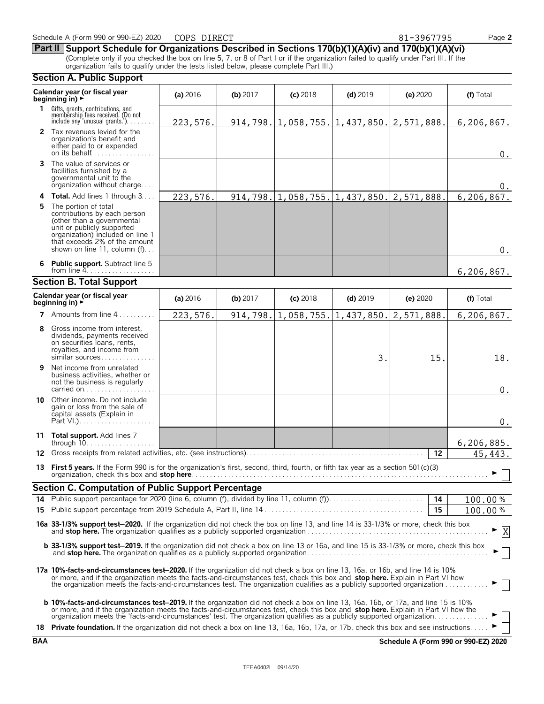**Part II Support Schedule for Organizations Described in Sections 170(b)(1)(A)(iv) and 170(b)(1)(A)(vi)** (Complete only if you checked the box on line 5, 7, or 8 of Part I or if the organization failed to qualify under Part III. If the organization fails to qualify under the tests listed below, please complete Part III.)

#### **Section A. Public Support**

|    | Calendar year (or fiscal year<br>beginning in) $\blacktriangleright$                                                                                                                                                                                                                                                                                                                                    | (a) 2016                | (b) $2017$ | $(c)$ 2018 | $(d)$ 2019                                       | $(e)$ 2020 | (f) Total    |
|----|---------------------------------------------------------------------------------------------------------------------------------------------------------------------------------------------------------------------------------------------------------------------------------------------------------------------------------------------------------------------------------------------------------|-------------------------|------------|------------|--------------------------------------------------|------------|--------------|
| 1. | Gifts, grants, contributions, and<br>membership fees received. (Do not<br>include any 'unusual grants.'). $\ldots$                                                                                                                                                                                                                                                                                      | 223,576.                |            |            | $914, 798.$   1,058,755.  1,437,850.  2,571,888. |            | 6, 206, 867. |
|    | 2 Tax revenues levied for the<br>organization's benefit and<br>either paid to or expended<br>on its behalf                                                                                                                                                                                                                                                                                              |                         |            |            |                                                  |            | $0$ .        |
|    | 3 The value of services or<br>facilities furnished by a<br>governmental unit to the<br>organization without charge                                                                                                                                                                                                                                                                                      |                         |            |            |                                                  |            | 0.           |
|    | <b>Total.</b> Add lines 1 through 3                                                                                                                                                                                                                                                                                                                                                                     | 223,576.                |            |            | $914, 798.$   1,058,755.  1,437,850.             | 2,571,888. | 6,206,867.   |
| 5. | The portion of total<br>contributions by each person<br>(other than a governmental<br>unit or publicly supported<br>organization) included on line 1<br>that exceeds 2% of the amount<br>shown on line 11, column (f)                                                                                                                                                                                   |                         |            |            |                                                  |            | $0$ .        |
|    | 6 Public support. Subtract line 5<br>from line $4$                                                                                                                                                                                                                                                                                                                                                      |                         |            |            |                                                  |            | 6,206,867.   |
|    | <b>Section B. Total Support</b>                                                                                                                                                                                                                                                                                                                                                                         |                         |            |            |                                                  |            |              |
|    | Calendar year (or fiscal year<br>beginning in) $\blacktriangleright$                                                                                                                                                                                                                                                                                                                                    | (a) 2016                | (b) 2017   | $(c)$ 2018 | $(d)$ 2019                                       | (e) 2020   | (f) Total    |
|    | <b>7</b> Amounts from line $4, \ldots, \ldots$                                                                                                                                                                                                                                                                                                                                                          | $\overline{2}$ 23, 576. | 914,798.   | 1,058,755. | 1,437,850.                                       | 2,571,888. | 6,206,867.   |
| 8  | Gross income from interest.<br>dividends, payments received<br>on securities loans, rents,<br>royalties, and income from<br>similar sources                                                                                                                                                                                                                                                             |                         |            |            | 3.                                               | 15.        | 18.          |
| 9. | Net income from unrelated<br>business activities, whether or<br>not the business is regularly<br>carried on                                                                                                                                                                                                                                                                                             |                         |            |            |                                                  |            | 0.           |
| 10 | Other income. Do not include<br>gain or loss from the sale of<br>capital assets (Explain in                                                                                                                                                                                                                                                                                                             |                         |            |            |                                                  |            | 0.           |
|    | 11 Total support. Add lines 7                                                                                                                                                                                                                                                                                                                                                                           |                         |            |            |                                                  |            | 6,206,885.   |
| 12 |                                                                                                                                                                                                                                                                                                                                                                                                         |                         |            |            |                                                  | $12 \,$    | 45, 443.     |
|    | 13 First 5 years. If the Form 990 is for the organization's first, second, third, fourth, or fifth tax year as a section 501(c)(3)                                                                                                                                                                                                                                                                      |                         |            |            |                                                  |            |              |
|    | <b>Section C. Computation of Public Support Percentage</b>                                                                                                                                                                                                                                                                                                                                              |                         |            |            |                                                  |            |              |
|    |                                                                                                                                                                                                                                                                                                                                                                                                         |                         |            |            |                                                  | 14         | 100.00%      |
|    |                                                                                                                                                                                                                                                                                                                                                                                                         |                         |            |            |                                                  | 15         | 100.00%      |
|    | 16a 33-1/3% support test-2020. If the organization did not check the box on line 13, and line 14 is 33-1/3% or more, check this box                                                                                                                                                                                                                                                                     |                         |            |            |                                                  |            | X            |
|    | b 33-1/3% support test-2019. If the organization did not check a box on line 13 or 16a, and line 15 is 33-1/3% or more, check this box                                                                                                                                                                                                                                                                  |                         |            |            |                                                  |            |              |
|    | 17a 10%-facts-and-circumstances test-2020. If the organization did not check a box on line 13, 16a, or 16b, and line 14 is 10%<br>or more, and if the organization meets the facts-and-circumstances test, check this box and stop here. Explain in Part VI how<br>the organization meets the facts-and-circumstances test. The organization qualifies as a publicly supported organization             |                         |            |            |                                                  |            |              |
|    | <b>b 10%-facts-and-circumstances test-2019.</b> If the organization did not check a box on line 13, 16a, 16b, or 17a, and line 15 is 10%<br>or more, and if the organization meets the facts-and-circumstances test, check this box and stop here. Explain in Part VI how the<br>organization meets the 'facts-and-circumstances' test. The organization qualifies as a publicly supported organization |                         |            |            |                                                  |            |              |
|    | 18 Private foundation. If the organization did not check a box on line 13, 16a, 16b, 17a, or 17b, check this box and see instructions                                                                                                                                                                                                                                                                   |                         |            |            |                                                  |            |              |

**BAA Schedule A (Form 990 or 990-EZ) 2020**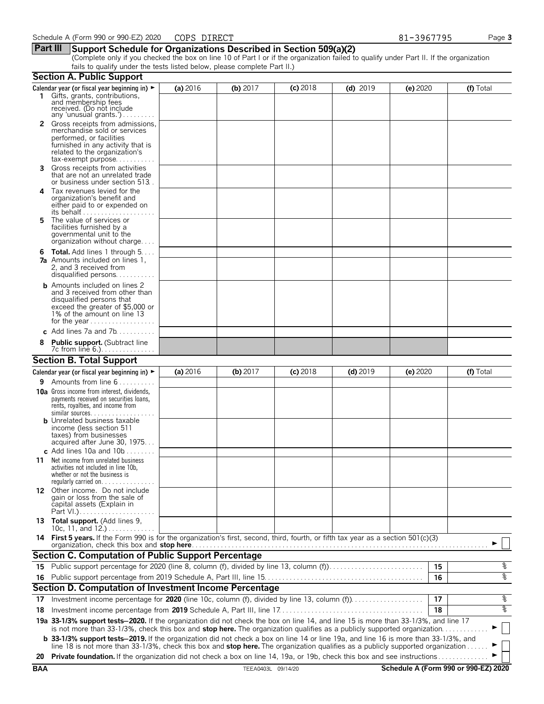#### **Part III Support Schedule for Organizations Described in Section 509(a)(2)**

(Complete only if you checked the box on line 10 of Part I or if the organization failed to qualify under Part II. If the organization fails to qualify under the tests listed below, please complete Part II.)

|     | <b>Section A. Public Support</b>                                                                                                                                                                                                                                               |            |                    |            |            |          |    |                                      |
|-----|--------------------------------------------------------------------------------------------------------------------------------------------------------------------------------------------------------------------------------------------------------------------------------|------------|--------------------|------------|------------|----------|----|--------------------------------------|
|     | Calendar year (or fiscal year beginning in) $\blacktriangleright$<br>1 Gifts, grants, contributions,<br>and membership fees<br>received. (Do not include                                                                                                                       | (a) $2016$ | (b) $2017$         | $(c)$ 2018 | $(d)$ 2019 | (e) 2020 |    | (f) Total                            |
|     | any 'unusual grants.')<br>Gross receipts from admissions,<br>merchandise sold or services<br>performed, or facilities                                                                                                                                                          |            |                    |            |            |          |    |                                      |
|     | furnished in any activity that is<br>related to the organization's<br>$tax\text{-}exempt$ purpose                                                                                                                                                                              |            |                    |            |            |          |    |                                      |
| 3   | Gross receipts from activities<br>that are not an unrelated trade<br>or business under section 513.                                                                                                                                                                            |            |                    |            |            |          |    |                                      |
| 4   | Tax revenues levied for the<br>organization's benefit and<br>either paid to or expended on                                                                                                                                                                                     |            |                    |            |            |          |    |                                      |
| 5.  | The value of services or<br>facilities furnished by a<br>governmental unit to the<br>organization without charge                                                                                                                                                               |            |                    |            |            |          |    |                                      |
|     | <b>6 Total.</b> Add lines 1 through $5 \ldots$<br><b>7a</b> Amounts included on lines 1.<br>2, and 3 received from                                                                                                                                                             |            |                    |            |            |          |    |                                      |
|     | <b>b</b> Amounts included on lines 2<br>and 3 received from other than<br>disqualified persons that<br>exceed the greater of \$5,000 or<br>1% of the amount on line 13                                                                                                         |            |                    |            |            |          |    |                                      |
|     | c Add lines 7a and 7b                                                                                                                                                                                                                                                          |            |                    |            |            |          |    |                                      |
|     | <b>Public support.</b> (Subtract line                                                                                                                                                                                                                                          |            |                    |            |            |          |    |                                      |
|     | <b>Section B. Total Support</b>                                                                                                                                                                                                                                                |            |                    |            |            |          |    |                                      |
|     | Calendar year (or fiscal year beginning in) $\blacktriangleright$                                                                                                                                                                                                              | (a) $2016$ | $(b)$ 2017         | $(c)$ 2018 | $(d)$ 2019 | (e) 2020 |    | (f) Total                            |
|     | 9 Amounts from line 6                                                                                                                                                                                                                                                          |            |                    |            |            |          |    |                                      |
|     | <b>10a</b> Gross income from interest, dividends,<br>payments received on securities loans,<br>rents, royalties, and income from<br>similar sources.                                                                                                                           |            |                    |            |            |          |    |                                      |
|     | <b>b</b> Unrelated business taxable<br>income (less section 511<br>taxes) from businesses<br>acquired after June 30, 1975<br>c Add lines 10a and $10b$                                                                                                                         |            |                    |            |            |          |    |                                      |
| 11  | Net income from unrelated business<br>activities not included in line 10b,<br>whether or not the business is<br>regularly carried on. $\ldots$                                                                                                                                 |            |                    |            |            |          |    |                                      |
|     | 12 Other income. Do not include<br>gain or loss from the sale of<br>capital assets (Explain in                                                                                                                                                                                 |            |                    |            |            |          |    |                                      |
|     | 13 Total support. (Add lines 9,<br>10c, 11, and $12.$ )                                                                                                                                                                                                                        |            |                    |            |            |          |    |                                      |
|     | 14 First 5 years. If the Form 990 is for the organization's first, second, third, fourth, or fifth tax year as a section 501(c)(3)<br>organization, check this box and stop here                                                                                               |            |                    |            |            |          |    |                                      |
|     | <b>Section C. Computation of Public Support Percentage</b>                                                                                                                                                                                                                     |            |                    |            |            |          |    |                                      |
|     | 15 Public support percentage for 2020 (line 8, column (f), divided by line 13, column (f)                                                                                                                                                                                      |            |                    |            |            |          | 15 | နွ                                   |
| 16  |                                                                                                                                                                                                                                                                                |            |                    |            |            |          | 16 | ०१०                                  |
|     | Section D. Computation of Investment Income Percentage                                                                                                                                                                                                                         |            |                    |            |            |          |    |                                      |
| 17  | Investment income percentage for 2020 (line 10c, column (f), divided by line 13, column (f)                                                                                                                                                                                    |            |                    |            |            |          | 17 | ४०                                   |
| 18  |                                                                                                                                                                                                                                                                                |            |                    |            |            |          | 18 | ४०                                   |
|     | 19a 33-1/3% support tests-2020. If the organization did not check the box on line 14, and line 15 is more than 33-1/3%, and line 17<br>is not more than 33-1/3%, check this box and stop here. The organization qualifies as a publicly supported organization                 |            |                    |            |            |          |    |                                      |
|     | <b>b 33-1/3% support tests-2019.</b> If the organization did not check a box on line 14 or line 19a, and line 16 is more than 33-1/3%, and<br>line 18 is not more than 33-1/3%, check this box and stop here. The organization qualifies as a publicly supported organization. |            |                    |            |            |          |    |                                      |
| 20  | Private foundation. If the organization did not check a box on line 14, 19a, or 19b, check this box and see instructions.                                                                                                                                                      |            |                    |            |            |          |    |                                      |
| BAA |                                                                                                                                                                                                                                                                                |            | TEEA0403L 09/14/20 |            |            |          |    | Schedule A (Form 990 or 990-EZ) 2020 |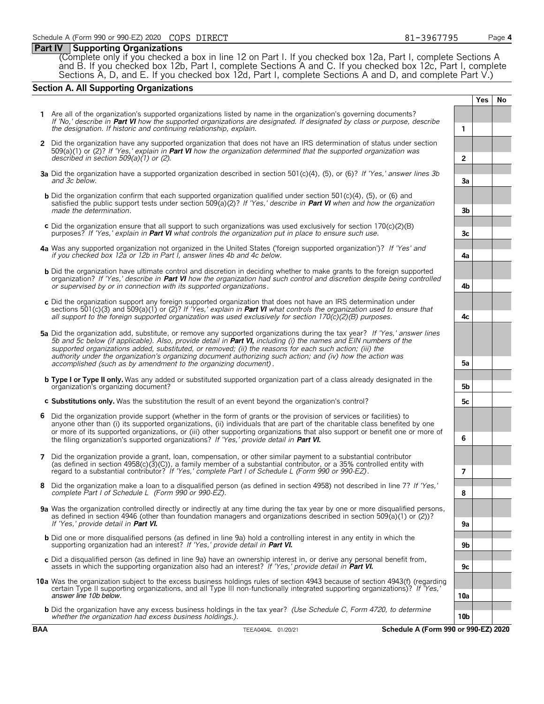#### **Part IV Supporting Organizations**

(Complete only if you checked a box in line 12 on Part I. If you checked box 12a, Part I, complete Sections A and B. If you checked box 12b, Part I, complete Sections A and C. If you checked box 12c, Part I, complete Sections A, D, and E. If you checked box 12d, Part I, complete Sections A and D, and complete Part V.)

### **Section A. All Supporting Organizations**

|     | Are all of the organization's supported organizations listed by name in the organization's governing documents?<br>If 'No,' describe in Part VI how the supported organizations are designated. If designated by class or purpose, describe<br>the designation. If historic and continuing relationship, explain.                                                                                                                                                                                                                            | $\mathbf{1}$   |  |
|-----|----------------------------------------------------------------------------------------------------------------------------------------------------------------------------------------------------------------------------------------------------------------------------------------------------------------------------------------------------------------------------------------------------------------------------------------------------------------------------------------------------------------------------------------------|----------------|--|
|     | 2 Did the organization have any supported organization that does not have an IRS determination of status under section<br>509(a)(1) or (2)? If 'Yes,' explain in <b>Part VI</b> how the organization determined that the supported organization was<br>described in section $509(a)(1)$ or (2).                                                                                                                                                                                                                                              | $\overline{2}$ |  |
|     | 3a Did the organization have a supported organization described in section 501(c)(4), (5), or (6)? If 'Yes,' answer lines 3b<br>and 3c below.                                                                                                                                                                                                                                                                                                                                                                                                | За             |  |
|     | <b>b</b> Did the organization confirm that each supported organization qualified under section $501(c)(4)$ , (5), or (6) and<br>satisfied the public support tests under section 509(a)(2)? If 'Yes,' describe in Part VI when and how the organization<br>made the determination.                                                                                                                                                                                                                                                           | 3 <sub>b</sub> |  |
|     | c Did the organization ensure that all support to such organizations was used exclusively for section $170(c)(2)(B)$<br>purposes? If 'Yes,' explain in <b>Part VI</b> what controls the organization put in place to ensure such use.                                                                                                                                                                                                                                                                                                        | 3c             |  |
|     | 4a Was any supported organization not organized in the United States ('foreign supported organization')? If 'Yes' and<br>if you checked box 12a or 12b in Part I, answer lines 4b and 4c below.                                                                                                                                                                                                                                                                                                                                              | 4a             |  |
|     | <b>b</b> Did the organization have ultimate control and discretion in deciding whether to make grants to the foreign supported<br>organization? If 'Yes,' describe in Part VI how the organization had such control and discretion despite being controlled<br>or supervised by or in connection with its supported organizations.                                                                                                                                                                                                           | 4b             |  |
|     | c Did the organization support any foreign supported organization that does not have an IRS determination under<br>sections 501(c)(3) and 509(a)(1) or (2)? If 'Yes,' explain in <b>Part VI</b> what controls the organization used to ensure that<br>all support to the foreign supported organization was used exclusively for section $170(c)(2)(B)$ purposes.                                                                                                                                                                            | 4c             |  |
|     | 5a Did the organization add, substitute, or remove any supported organizations during the tax year? If 'Yes,' answer lines<br>5b and 5c below (if applicable). Also, provide detail in Part VI, including (i) the names and EIN numbers of the<br>supported organizations added, substituted, or removed; (ii) the reasons for each such action; (iii) the<br>authority under the organization's organizing document authorizing such action; and (iv) how the action was<br>accomplished (such as by amendment to the organizing document). | 5a             |  |
|     | <b>b</b> Type I or Type II only. Was any added or substituted supported organization part of a class already designated in the<br>organization's organizing document?                                                                                                                                                                                                                                                                                                                                                                        | 5b             |  |
|     | c Substitutions only. Was the substitution the result of an event beyond the organization's control?                                                                                                                                                                                                                                                                                                                                                                                                                                         | 5c             |  |
| 6   | Did the organization provide support (whether in the form of grants or the provision of services or facilities) to<br>anyone other than (i) its supported organizations, (ii) individuals that are part of the charitable class benefited by one<br>or more of its supported organizations, or (iii) other supporting organizations that also support or benefit one or more of<br>the filing organization's supported organizations? If 'Yes,' provide detail in Part VI.                                                                   | 6              |  |
| 7   | Did the organization provide a grant, loan, compensation, or other similar payment to a substantial contributor<br>(as defined in section $4958(c)(3)(C)$ ), a family member of a substantial contributor, or a 35% controlled entity with<br>regard to a substantial contributor? If 'Yes,' complete Part I of Schedule L (Form 990 or 990-EZ).                                                                                                                                                                                             | $\overline{7}$ |  |
| 8   | Did the organization make a loan to a disqualified person (as defined in section 4958) not described in line 7? If 'Yes,'<br>complete Part I of Schedule L (Form 990 or 990-EZ).                                                                                                                                                                                                                                                                                                                                                             | 8              |  |
|     | 9a Was the organization controlled directly or indirectly at any time during the tax year by one or more disqualified persons,<br>as defined in section 4946 (other than foundation managers and organizations described in section 509(a)(1) or (2))?<br>If 'Yes,' provide detail in <b>Part VI.</b>                                                                                                                                                                                                                                        | 9а             |  |
|     | <b>b</b> Did one or more disqualified persons (as defined in line 9a) hold a controlling interest in any entity in which the<br>supporting organization had an interest? If 'Yes,' provide detail in <b>Part VI.</b>                                                                                                                                                                                                                                                                                                                         | 9b             |  |
|     | c Did a disqualified person (as defined in line 9a) have an ownership interest in, or derive any personal benefit from,<br>assets in which the supporting organization also had an interest? If 'Yes,' provide detail in Part VI.                                                                                                                                                                                                                                                                                                            | 9с             |  |
|     | 10a Was the organization subject to the excess business holdings rules of section 4943 because of section 4943(f) (regarding<br>certain Type II supporting organizations, and all Type III non-functionally integrated supporting organizations)? If 'Yes,'<br>answer line 10b below.                                                                                                                                                                                                                                                        | 10a            |  |
|     | <b>b</b> Did the organization have any excess business holdings in the tax year? (Use Schedule C, Form 4720, to determine<br>whether the organization had excess business holdings.).                                                                                                                                                                                                                                                                                                                                                        | 10b            |  |
| BAA | Schedule A (Form 990 or 990-EZ) 2020<br>TEEA0404L 01/20/21                                                                                                                                                                                                                                                                                                                                                                                                                                                                                   |                |  |

**Yes No**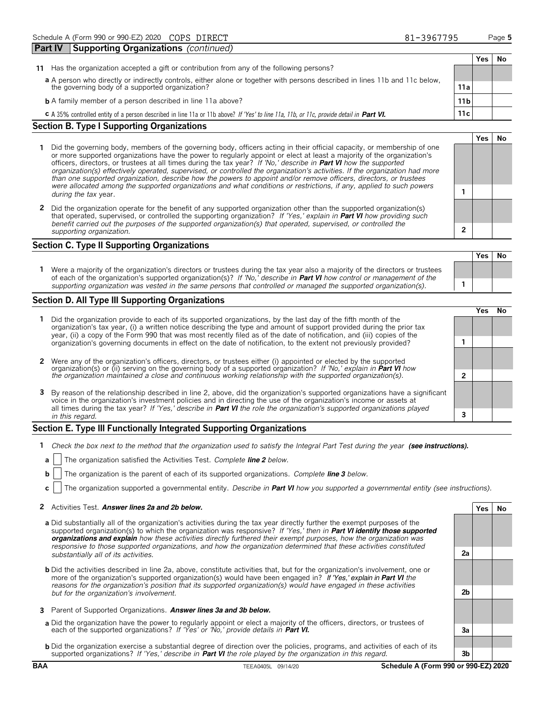|                                                                                                                                         |                 | Yes |  |
|-----------------------------------------------------------------------------------------------------------------------------------------|-----------------|-----|--|
| 11 Has the organization accepted a gift or contribution from any of the following persons?                                              |                 |     |  |
| a A person who directly or indirectly controls, either alone or together with persons described in lines 11b and 11c below,             |                 |     |  |
| the governing body of a supported organization?                                                                                         | 11a             |     |  |
| <b>b</b> A family member of a person described in line 11a above?                                                                       | 11 <sub>b</sub> |     |  |
| C A 35% controlled entity of a person described in line 11a or 11b above? If 'Yes' to line 11a, 11b, or 11c, provide detail in Part VI. | 11 c            |     |  |
| Costion R. Tyno I Supporting Organizations                                                                                              |                 |     |  |

## **Section B. Type I Supporting Organizations**

- **1** Did the governing body, members of the governing body, officers acting in their official capacity, or membership of one or more supported organizations have the power to regularly appoint or elect at least a majority of the organization's officers, directors, or trustees at all times during the tax year? *If 'No,' describe in* **Part VI** *how the supported organization(s) effectively operated, supervised, or controlled the organization's activities. If the organization had more than one supported organization, describe how the powers to appoint and/or remove officers, directors, or trustees were allocated among the supported organizations and what conditions or restrictions, if any, applied to such powers* **1** *during the tax* year.
- **2** Did the organization operate for the benefit of any supported organization other than the supported organization(s) that operated, supervised, or controlled the supporting organization? *If 'Yes,' explain in* **Part VI** *how providing such benefit carried out the purposes of the supported organization(s) that operated, supervised, or controlled the supporting organization.* **2**

#### **Section C. Type II Supporting Organizations**

**Yes No 1** Were a majority of the organization's directors or trustees during the tax year also a majority of the directors or trustees of each of the organization's supported organization(s)? *If 'No,' describe in* **Part VI** *how control or management of the supporting organization was vested in the same persons that controlled or managed the supported organization(s).* **1**

#### **Section D. All Type III Supporting Organizations**

|                                                                                                                                                                                                                                                                                                                                                                                       |   | res) |  |
|---------------------------------------------------------------------------------------------------------------------------------------------------------------------------------------------------------------------------------------------------------------------------------------------------------------------------------------------------------------------------------------|---|------|--|
| Did the organization provide to each of its supported organizations, by the last day of the fifth month of the<br>organization's tax year, (i) a written notice describing the type and amount of support provided during the prior tax<br>year, (ii) a copy of the Form 990 that was most recently filed as of the date of notification, and (iii) copies of the                     |   |      |  |
| organization's governing documents in effect on the date of notification, to the extent not previously provided?                                                                                                                                                                                                                                                                      |   |      |  |
| 2 Were any of the organization's officers, directors, or trustees either (i) appointed or elected by the supported                                                                                                                                                                                                                                                                    |   |      |  |
| organization(s) or (ii) serving on the governing body of a supported organization? If 'No,' explain in <b>Part VI</b> how the organization maintained a close and continuous working relationship with the supported organization(s                                                                                                                                                   | ◠ |      |  |
| 3 By reason of the relationship described in line 2, above, did the organization's supported organizations have a significant<br>voice in the organization's investment policies and in directing the use of the organization's income or assets at<br>all times during the tax year? If 'Yes,' describe in <b>Part VI</b> the role the organization's supported organizations played |   |      |  |
| in this regard.                                                                                                                                                                                                                                                                                                                                                                       |   |      |  |

#### **Section E. Type III Functionally Integrated Supporting Organizations**

- **1** *Check the box next to the method that the organization used to satisfy the Integral Part Test during the year* **(see instructions).**
- **a** The organization satisfied the Activities Test. *Complete line 2 below.*
- **b** The organization is the parent of each of its supported organizations. *Complete line 3 below.*
- **c** The organization supported a governmental entity. *Describe in* **Part VI** *how you supported a governmental entity (see instructions).*

#### **2** Activities Test. **Answer lines 2a and 2b below. Yes No**

- **a** Did substantially all of the organization's activities during the tax year directly further the exempt purposes of the supported organization(s) to which the organization was responsive? *If 'Yes,' then in* **Part VI identify those supported organizations and explain** *how these activities directly furthered their exempt purposes, how the organization was responsive to those supported organizations, and how the organization determined that these activities constituted substantially all of its activities.* **2a**
- **b** Did the activities described in line 2a, above, constitute activities that, but for the organization's involvement, one or more of the organization's supported organization(s) would have been engaged in? If 'Yes,' explain in **Part VI** *the reasons for the organization's position that its supported organization(s) would have engaged in these activities but for the organization's involvement.* **2b**
- **3** Parent of Supported Organizations. **Answer lines 3a and 3b below.**
- **a** Did the organization have the power to regularly appoint or elect a majority of the officers, directors, or trustees of each of the supported organizations? *If 'Yes' or 'No,' provide details in* **Part VI. 3a**
- **b** Did the organization exercise a substantial degree of direction over the policies, programs, and activities of each of its supported organizations? *If 'Yes,' describe in* **Part VI** *the role played by the organization in this regard.* **3b**

**Yes No**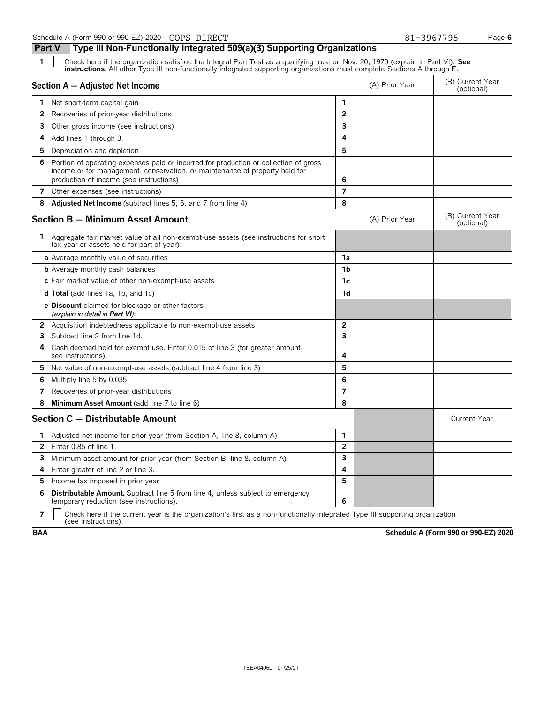**Part V Type III Non-Functionally Integrated 509(a)(3) Supporting Organizations**

| 1.<br>Check here if the organization satisfied the Integral Part Test as a qualifying trust on Nov. 20, 1970 (explain in Part VI). See<br><b>instructions.</b> All other Type III non-functionally integrated supporting organizations must complete Sections A through E. |                         |                |                                |
|----------------------------------------------------------------------------------------------------------------------------------------------------------------------------------------------------------------------------------------------------------------------------|-------------------------|----------------|--------------------------------|
| Section A - Adjusted Net Income                                                                                                                                                                                                                                            |                         | (A) Prior Year | (B) Current Year<br>(optional) |
| Net short-term capital gain<br>1.                                                                                                                                                                                                                                          | 1                       |                |                                |
| $\mathbf{2}$<br>Recoveries of prior-year distributions                                                                                                                                                                                                                     | $\overline{2}$          |                |                                |
| 3<br>Other gross income (see instructions)                                                                                                                                                                                                                                 | 3                       |                |                                |
| 4<br>Add lines 1 through 3.                                                                                                                                                                                                                                                | 4                       |                |                                |
| 5.<br>Depreciation and depletion                                                                                                                                                                                                                                           | 5                       |                |                                |
| Portion of operating expenses paid or incurred for production or collection of gross<br>6<br>income or for management, conservation, or maintenance of property held for<br>production of income (see instructions)                                                        | 6                       |                |                                |
| <b>7</b> Other expenses (see instructions)                                                                                                                                                                                                                                 | $\overline{7}$          |                |                                |
| Adjusted Net Income (subtract lines 5, 6, and 7 from line 4)<br>8                                                                                                                                                                                                          | 8                       |                |                                |
| <b>Section B - Minimum Asset Amount</b>                                                                                                                                                                                                                                    |                         | (A) Prior Year | (B) Current Year<br>(optional) |
| 1.<br>Aggregate fair market value of all non-exempt-use assets (see instructions for short<br>tax year or assets held for part of year):                                                                                                                                   |                         |                |                                |
| a Average monthly value of securities                                                                                                                                                                                                                                      | 1a                      |                |                                |
| <b>b</b> Average monthly cash balances                                                                                                                                                                                                                                     | 1b                      |                |                                |
| c Fair market value of other non-exempt-use assets                                                                                                                                                                                                                         | 1c                      |                |                                |
| <b>d Total</b> (add lines 1a, 1b, and 1c)                                                                                                                                                                                                                                  | 1d                      |                |                                |
| e Discount claimed for blockage or other factors<br>(explain in detail in <b>Part VI</b> ):                                                                                                                                                                                |                         |                |                                |
| Acquisition indebtedness applicable to non-exempt-use assets<br>2                                                                                                                                                                                                          | $\overline{2}$          |                |                                |
| Subtract line 2 from line 1d.<br>3                                                                                                                                                                                                                                         | $\overline{\mathbf{3}}$ |                |                                |
| 4<br>Cash deemed held for exempt use. Enter 0.015 of line 3 (for greater amount,<br>see instructions).                                                                                                                                                                     | 4                       |                |                                |
| 5 Net value of non-exempt-use assets (subtract line 4 from line 3)                                                                                                                                                                                                         | 5                       |                |                                |
| Multiply line 5 by 0.035.<br>6                                                                                                                                                                                                                                             | 6                       |                |                                |
| 7<br>Recoveries of prior-year distributions                                                                                                                                                                                                                                | $\overline{7}$          |                |                                |
| Minimum Asset Amount (add line 7 to line 6)<br>8                                                                                                                                                                                                                           | 8                       |                |                                |
| Section C - Distributable Amount                                                                                                                                                                                                                                           |                         |                | <b>Current Year</b>            |
| Adjusted net income for prior year (from Section A, line 8, column A)<br>1                                                                                                                                                                                                 | 1                       |                |                                |
| Enter 0.85 of line 1.<br>$\mathbf{2}$                                                                                                                                                                                                                                      | $\overline{2}$          |                |                                |
| 3<br>Minimum asset amount for prior year (from Section B, line 8, column A)                                                                                                                                                                                                | 3                       |                |                                |
| Enter greater of line 2 or line 3.<br>4                                                                                                                                                                                                                                    | 4                       |                |                                |
| Income tax imposed in prior year<br>5.                                                                                                                                                                                                                                     | 5                       |                |                                |
| <b>Distributable Amount.</b> Subtract line 5 from line 4, unless subject to emergency<br>6<br>temporary reduction (see instructions).                                                                                                                                      | 6                       |                |                                |

**7**  $\Box$  Check here if the current year is the organization's first as a non-functionally integrated Type III supporting organization (see instructions).

**BAA Schedule A (Form 990 or 990-EZ) 2020**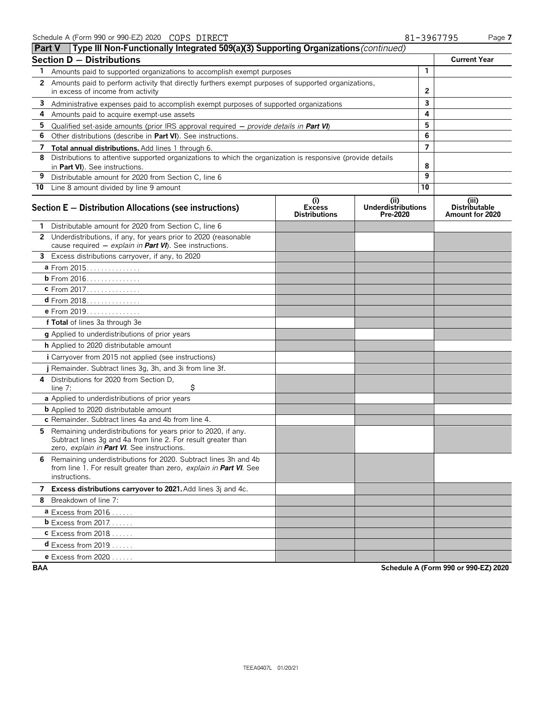|              | <b>Part V</b> Type III Non-Functionally Integrated 509(a)(3) Supporting Organizations (continued)                                                                             |                                              |                                        |                |                                                         |
|--------------|-------------------------------------------------------------------------------------------------------------------------------------------------------------------------------|----------------------------------------------|----------------------------------------|----------------|---------------------------------------------------------|
|              | <b>Section D - Distributions</b>                                                                                                                                              |                                              |                                        |                | <b>Current Year</b>                                     |
| 1.           | Amounts paid to supported organizations to accomplish exempt purposes                                                                                                         |                                              | 1                                      |                |                                                         |
| $\mathbf{2}$ | Amounts paid to perform activity that directly furthers exempt purposes of supported organizations,<br>in excess of income from activity                                      |                                              | $\overline{2}$                         |                |                                                         |
| 3            | Administrative expenses paid to accomplish exempt purposes of supported organizations                                                                                         |                                              |                                        | 3              |                                                         |
| 4            | Amounts paid to acquire exempt-use assets                                                                                                                                     |                                              |                                        | 4              |                                                         |
| 5            | Qualified set-aside amounts (prior IRS approval required $-$ provide details in Part VI)                                                                                      |                                              |                                        | 5              |                                                         |
| 6            | Other distributions (describe in Part VI). See instructions.                                                                                                                  |                                              |                                        | 6              |                                                         |
| 7            | Total annual distributions. Add lines 1 through 6.                                                                                                                            |                                              |                                        | $\overline{7}$ |                                                         |
| 8            | Distributions to attentive supported organizations to which the organization is responsive (provide details<br>in Part VI). See instructions.                                 |                                              |                                        | 8              |                                                         |
| 9            | Distributable amount for 2020 from Section C, line 6                                                                                                                          |                                              |                                        | 9              |                                                         |
| 10           | Line 8 amount divided by line 9 amount                                                                                                                                        |                                              |                                        | 10             |                                                         |
|              | Section E - Distribution Allocations (see instructions)                                                                                                                       | (i)<br><b>Excess</b><br><b>Distributions</b> | (ii)<br>Underdistributions<br>Pre-2020 |                | (iii)<br><b>Distributable</b><br><b>Amount for 2020</b> |
|              | 1 Distributable amount for 2020 from Section C, line 6                                                                                                                        |                                              |                                        |                |                                                         |
|              | 2 Underdistributions, if any, for years prior to 2020 (reasonable<br>cause required $-$ explain in <b>Part VI</b> ). See instructions.                                        |                                              |                                        |                |                                                         |
| 3            | Excess distributions carryover, if any, to 2020                                                                                                                               |                                              |                                        |                |                                                         |
|              | a From 2015.                                                                                                                                                                  |                                              |                                        |                |                                                         |
|              | <b>b</b> From 2016.                                                                                                                                                           |                                              |                                        |                |                                                         |
|              | C From 2017.                                                                                                                                                                  |                                              |                                        |                |                                                         |
|              |                                                                                                                                                                               |                                              |                                        |                |                                                         |
|              | e From 2019.                                                                                                                                                                  |                                              |                                        |                |                                                         |
|              | f Total of lines 3a through 3e                                                                                                                                                |                                              |                                        |                |                                                         |
|              | g Applied to underdistributions of prior years                                                                                                                                |                                              |                                        |                |                                                         |
|              | h Applied to 2020 distributable amount                                                                                                                                        |                                              |                                        |                |                                                         |
|              | <i>i</i> Carryover from 2015 not applied (see instructions)                                                                                                                   |                                              |                                        |                |                                                         |
|              | j Remainder. Subtract lines 3g, 3h, and 3i from line 3f.                                                                                                                      |                                              |                                        |                |                                                         |
| 4            | Distributions for 2020 from Section D,<br>\$<br>$line 7$ :                                                                                                                    |                                              |                                        |                |                                                         |
|              | a Applied to underdistributions of prior years                                                                                                                                |                                              |                                        |                |                                                         |
|              | <b>b</b> Applied to 2020 distributable amount                                                                                                                                 |                                              |                                        |                |                                                         |
|              | c Remainder. Subtract lines 4a and 4b from line 4.                                                                                                                            |                                              |                                        |                |                                                         |
| 5.           | Remaining underdistributions for years prior to 2020, if any.<br>Subtract lines 3g and 4a from line 2. For result greater than<br>zero, explain in Part VI. See instructions. |                                              |                                        |                |                                                         |
|              | 6 Remaining underdistributions for 2020. Subtract lines 3h and 4b<br>from line 1. For result greater than zero, explain in <b>Part VI</b> . See<br>instructions.              |                                              |                                        |                |                                                         |
|              | 7 Excess distributions carryover to 2021. Add lines 3j and 4c.                                                                                                                |                                              |                                        |                |                                                         |
| 8            | Breakdown of line 7:                                                                                                                                                          |                                              |                                        |                |                                                         |
|              | <b>a</b> Excess from $2016$                                                                                                                                                   |                                              |                                        |                |                                                         |
|              | <b>b</b> Excess from $2017$                                                                                                                                                   |                                              |                                        |                |                                                         |
|              | <b>c</b> Excess from 2018                                                                                                                                                     |                                              |                                        |                |                                                         |
|              | $d$ Excess from 2019                                                                                                                                                          |                                              |                                        |                |                                                         |
|              | <b>e</b> Excess from 2020                                                                                                                                                     |                                              |                                        |                |                                                         |

**BAA Schedule A (Form 990 or 990-EZ) 2020**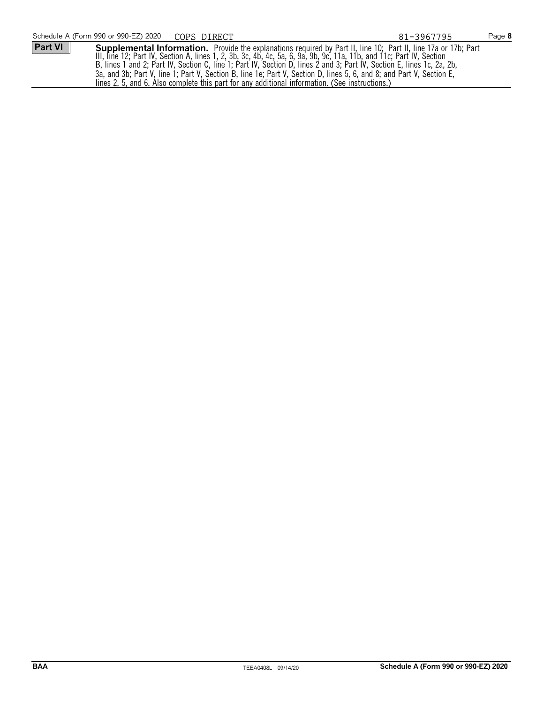**Part VI** | Supplemental Information. Provide the explanations required by Part II, line 10; Part II, line 17a or 17b; Part III, line 12; Part IV, Section A, lines 1, 2, 3b, 3c, 4b, 4c, 5a, 6, 9a, 9b, 9c, 11a, 11b, and 11c; Part IV, Section B, lines 1 and 2; Part IV, Section C, line 1; Part IV, Section D, lines 2 and 3; Part IV, Section E, lines 1c, 2a, 2b, 3a, and 3b; Part V, line 1; Part V, Section B, line 1e; Part V, Section D, lines 5, 6, and 8; and Part V, Section E, lines 2, 5, and 6. Also complete this part for any additional information. (See instructions.)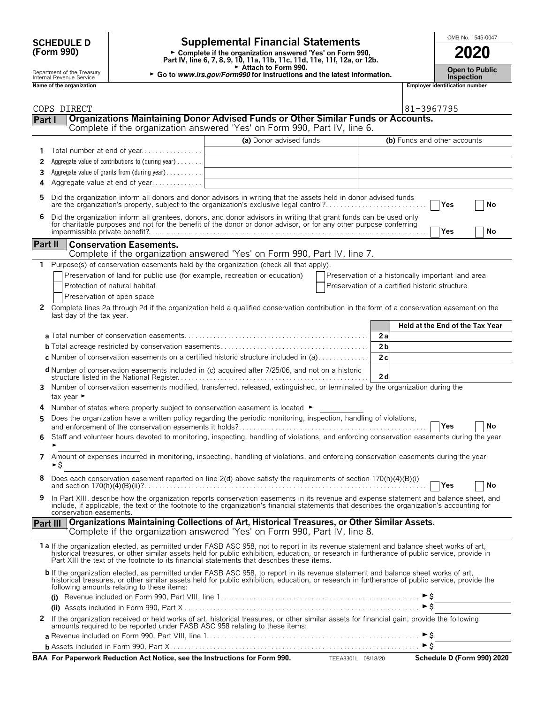# **(Form 990)**

## **SCHEDULE D**  $\begin{bmatrix} \text{OMB No. 1545-0047} \\ \text{OMB No. 1545-0047} \end{bmatrix}$

**Part IV, line 6, 7, 8, 9, 10, 11a, 11b, 11c, 11d, 11e, 11f, 12a, or 12b.**<br>
Part IV, line 6, 7, 8, 9, 10, 11a, 11b, 11c, 11d, 11e, 11f, 12a, or 12b.

G **Attach to Form 990.**

Department of the Treasury ▶ Go to www.irs.gov/Form990 for instructions and the latest information. Departo Public<br>Inspection Internal Revenue Service ▶ Go to www.irs.gov/Form990 for instructions and the latest informatio

|         | Name of the organization                                                                                                                                                                                                                                                                                                                                                                |                         |                                                | <b>Employer identification number</b>              |
|---------|-----------------------------------------------------------------------------------------------------------------------------------------------------------------------------------------------------------------------------------------------------------------------------------------------------------------------------------------------------------------------------------------|-------------------------|------------------------------------------------|----------------------------------------------------|
|         |                                                                                                                                                                                                                                                                                                                                                                                         |                         |                                                | 81-3967795                                         |
| Part I  | COPS DIRECT<br>Organizations Maintaining Donor Advised Funds or Other Similar Funds or Accounts.                                                                                                                                                                                                                                                                                        |                         |                                                |                                                    |
|         | Complete if the organization answered 'Yes' on Form 990, Part IV, line 6.                                                                                                                                                                                                                                                                                                               |                         |                                                |                                                    |
|         |                                                                                                                                                                                                                                                                                                                                                                                         | (a) Donor advised funds |                                                | (b) Funds and other accounts                       |
| ı       |                                                                                                                                                                                                                                                                                                                                                                                         |                         |                                                |                                                    |
| 2       | Aggregate value of contributions to (during year)                                                                                                                                                                                                                                                                                                                                       |                         |                                                |                                                    |
| 3       | Aggregate value of grants from (during year)                                                                                                                                                                                                                                                                                                                                            |                         |                                                |                                                    |
| 4       | Aggregate value at end of year                                                                                                                                                                                                                                                                                                                                                          |                         |                                                |                                                    |
| 5       | Did the organization inform all donors and donor advisors in writing that the assets held in donor advised funds<br>are the organization's property, subject to the organization's exclusive legal control?                                                                                                                                                                             |                         |                                                | Yes<br>No                                          |
| 6       | Did the organization inform all grantees, donors, and donor advisors in writing that grant funds can be used only<br>for charitable purposes and not for the benefit of the donor or donor advisor, or for any other purpose conf                                                                                                                                                       |                         |                                                | Yes<br>No                                          |
| Part II | <b>Conservation Easements.</b><br>Complete if the organization answered 'Yes' on Form 990, Part IV, line 7.                                                                                                                                                                                                                                                                             |                         |                                                |                                                    |
|         | Purpose(s) of conservation easements held by the organization (check all that apply).                                                                                                                                                                                                                                                                                                   |                         |                                                |                                                    |
|         | Preservation of land for public use (for example, recreation or education)                                                                                                                                                                                                                                                                                                              |                         |                                                | Preservation of a historically important land area |
|         | Protection of natural habitat                                                                                                                                                                                                                                                                                                                                                           |                         | Preservation of a certified historic structure |                                                    |
|         | Preservation of open space                                                                                                                                                                                                                                                                                                                                                              |                         |                                                |                                                    |
| 2       | Complete lines 2a through 2d if the organization held a qualified conservation contribution in the form of a conservation easement on the<br>last day of the tax year.                                                                                                                                                                                                                  |                         |                                                |                                                    |
|         |                                                                                                                                                                                                                                                                                                                                                                                         |                         | 2a                                             | Held at the End of the Tax Year                    |
|         |                                                                                                                                                                                                                                                                                                                                                                                         |                         | 2 <sub>b</sub>                                 |                                                    |
|         | <b>c</b> Number of conservation easements on a certified historic structure included in (a) $\dots$                                                                                                                                                                                                                                                                                     |                         | 2c                                             |                                                    |
|         |                                                                                                                                                                                                                                                                                                                                                                                         |                         |                                                |                                                    |
|         | <b>d</b> Number of conservation easements included in (c) acquired after 7/25/06, and not on a historic                                                                                                                                                                                                                                                                                 |                         | 2d                                             |                                                    |
| 3       | Number of conservation easements modified, transferred, released, extinguished, or terminated by the organization during the<br>tax year $\blacktriangleright$                                                                                                                                                                                                                          |                         |                                                |                                                    |
| 4       | Number of states where property subject to conservation easement is located $\blacktriangleright$                                                                                                                                                                                                                                                                                       |                         |                                                |                                                    |
| 5       | Does the organization have a written policy regarding the periodic monitoring, inspection, handling of violations,                                                                                                                                                                                                                                                                      |                         |                                                | Yes<br>No                                          |
| 6       | Staff and volunteer hours devoted to monitoring, inspecting, handling of violations, and enforcing conservation easements during the year                                                                                                                                                                                                                                               |                         |                                                |                                                    |
|         | Amount of expenses incurred in monitoring, inspecting, handling of violations, and enforcing conservation easements during the year<br>►\$                                                                                                                                                                                                                                              |                         |                                                |                                                    |
|         | Does each conservation easement reported on line $2(d)$ above satisfy the requirements of section $170(h)(4)(B)(i)$                                                                                                                                                                                                                                                                     |                         |                                                | Yes<br>No                                          |
| 9       | In Part XIII, describe how the organization reports conservation easements in its revenue and expense statement and balance sheet, and<br>include, if applicable, the text of the footnote to the organization's financial statements that describes the organization's accounting for<br>conservation easements.                                                                       |                         |                                                |                                                    |
|         | Part III   Organizations Maintaining Collections of Art, Historical Treasures, or Other Similar Assets.<br>Complete if the organization answered 'Yes' on Form 990, Part IV, line 8.                                                                                                                                                                                                    |                         |                                                |                                                    |
|         | 1 a If the organization elected, as permitted under FASB ASC 958, not to report in its revenue statement and balance sheet works of art,<br>historical treasures, or other similar assets held for public exhibition, education, or research in furtherance of public service, provide in<br>Part XIII the text of the footnote to its financial statements that describes these items. |                         |                                                |                                                    |
|         | <b>b</b> If the organization elected, as permitted under FASB ASC 958, to report in its revenue statement and balance sheet works of art,<br>historical treasures, or other similar assets held for public exhibition, education, or research in furtherance of public service, provide the<br>following amounts relating to these items:                                               |                         |                                                |                                                    |
|         |                                                                                                                                                                                                                                                                                                                                                                                         |                         |                                                |                                                    |
|         |                                                                                                                                                                                                                                                                                                                                                                                         |                         |                                                | $\blacktriangleright$ \$                           |
| 2       | If the organization received or held works of art, historical treasures, or other similar assets for financial gain, provide the following<br>amounts required to be reported under FASB ASC 958 relating to these items:                                                                                                                                                               |                         |                                                |                                                    |
|         |                                                                                                                                                                                                                                                                                                                                                                                         |                         |                                                |                                                    |
|         |                                                                                                                                                                                                                                                                                                                                                                                         |                         |                                                | $\triangleright$ \$                                |

**BAA For Paperwork Reduction Act Notice, see the Instructions for Form 990.** TEEA3301L 08/18/20 **Schedule D (Form 990) 2020**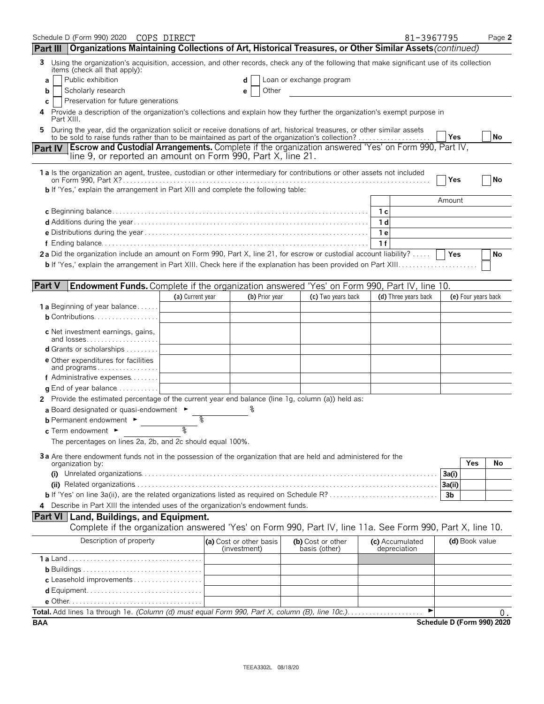| Schedule D (Form 990) 2020 COPS DIRECT<br>Part III   Organizations Maintaining Collections of Art, Historical Treasures, or Other Similar Assets (continued)               |                  |                                         |                |                                    |                                 | 81-3967795                 |                     | Page 2 |
|----------------------------------------------------------------------------------------------------------------------------------------------------------------------------|------------------|-----------------------------------------|----------------|------------------------------------|---------------------------------|----------------------------|---------------------|--------|
| Using the organization's acquisition, accession, and other records, check any of the following that make significant use of its collection<br>3                            |                  |                                         |                |                                    |                                 |                            |                     |        |
| items (check all that apply):                                                                                                                                              |                  |                                         |                |                                    |                                 |                            |                     |        |
| Public exhibition<br>a                                                                                                                                                     |                  | d                                       |                | Loan or exchange program           |                                 |                            |                     |        |
| Scholarly research<br>b                                                                                                                                                    |                  | e                                       | Other          |                                    |                                 |                            |                     |        |
| Preservation for future generations<br>c<br>Provide a description of the organization's collections and explain how they further the organization's exempt purpose in<br>4 |                  |                                         |                |                                    |                                 |                            |                     |        |
| Part XIII.<br>During the year, did the organization solicit or receive donations of art, historical treasures, or other similar assets<br>5                                |                  |                                         |                |                                    |                                 | Yes                        |                     | No     |
| <b>Part IV Escrow and Custodial Arrangements.</b> Complete if the organization answered 'Yes' on Form 990, Part IV,                                                        |                  |                                         |                |                                    |                                 |                            |                     |        |
| line 9, or reported an amount on Form 990, Part X, line 21.                                                                                                                |                  |                                         |                |                                    |                                 |                            |                     |        |
| 1 a Is the organization an agent, trustee, custodian or other intermediary for contributions or other assets not included                                                  |                  |                                         |                |                                    |                                 |                            |                     |        |
|                                                                                                                                                                            |                  |                                         |                |                                    |                                 | Yes                        |                     | No     |
| b If 'Yes,' explain the arrangement in Part XIII and complete the following table:                                                                                         |                  |                                         |                |                                    |                                 |                            |                     |        |
|                                                                                                                                                                            |                  |                                         |                |                                    |                                 | Amount                     |                     |        |
|                                                                                                                                                                            |                  |                                         |                |                                    | – 1 с<br>1d                     |                            |                     |        |
|                                                                                                                                                                            |                  |                                         |                |                                    | 1 e                             |                            |                     |        |
|                                                                                                                                                                            |                  |                                         |                |                                    | 1f                              |                            |                     |        |
| 2a Did the organization include an amount on Form 990, Part X, line 21, for escrow or custodial account liability?                                                         |                  |                                         |                |                                    |                                 | Yes                        |                     | No     |
|                                                                                                                                                                            |                  |                                         |                |                                    |                                 |                            |                     |        |
|                                                                                                                                                                            |                  |                                         |                |                                    |                                 |                            |                     |        |
| <b>Part V</b><br>Endowment Funds. Complete if the organization answered 'Yes' on Form 990, Part IV, line 10.                                                               |                  |                                         |                |                                    |                                 |                            |                     |        |
|                                                                                                                                                                            | (a) Current year |                                         | (b) Prior year | (c) Two years back                 | (d) Three years back            |                            | (e) Four years back |        |
| <b>1 a</b> Beginning of year balance                                                                                                                                       |                  |                                         |                |                                    |                                 |                            |                     |        |
| <b>b</b> Contributions. $\ldots$ , $\ldots$ , $\ldots$ , $\ldots$                                                                                                          |                  |                                         |                |                                    |                                 |                            |                     |        |
| c Net investment earnings, gains,<br>and losses                                                                                                                            |                  |                                         |                |                                    |                                 |                            |                     |        |
| <b>d</b> Grants or scholarships $\ldots \ldots \ldots$                                                                                                                     |                  |                                         |                |                                    |                                 |                            |                     |        |
| <b>e</b> Other expenditures for facilities<br>and programs                                                                                                                 |                  |                                         |                |                                    |                                 |                            |                     |        |
| f Administrative expenses                                                                                                                                                  |                  |                                         |                |                                    |                                 |                            |                     |        |
| <b>q</b> End of year balance $\dots\dots\dots\dots$                                                                                                                        |                  |                                         |                |                                    |                                 |                            |                     |        |
| 2 Provide the estimated percentage of the current year end balance (line 1g, column (a)) held as:                                                                          |                  |                                         |                |                                    |                                 |                            |                     |        |
| a Board designated or quasi-endowment $\blacktriangleright$                                                                                                                |                  |                                         | ℅              |                                    |                                 |                            |                     |        |
| <b>b</b> Permanent endowment $\blacktriangleright$                                                                                                                         | နွ               |                                         |                |                                    |                                 |                            |                     |        |
| $c$ Term endowment $\blacktriangleright$                                                                                                                                   |                  |                                         |                |                                    |                                 |                            |                     |        |
| The percentages on lines 2a, 2b, and 2c should equal 100%.                                                                                                                 |                  |                                         |                |                                    |                                 |                            |                     |        |
| 3a Are there endowment funds not in the possession of the organization that are held and administered for the<br>organization by:                                          |                  |                                         |                |                                    |                                 |                            | Yes                 | No     |
| (i)                                                                                                                                                                        |                  |                                         |                |                                    |                                 | 3a(i)                      |                     |        |
|                                                                                                                                                                            |                  |                                         |                |                                    |                                 | 3a(ii)                     |                     |        |
|                                                                                                                                                                            |                  |                                         |                |                                    |                                 | 3 <sub>b</sub>             |                     |        |
| Describe in Part XIII the intended uses of the organization's endowment funds.                                                                                             |                  |                                         |                |                                    |                                 |                            |                     |        |
| <b>Part VI   Land, Buildings, and Equipment.</b>                                                                                                                           |                  |                                         |                |                                    |                                 |                            |                     |        |
| Complete if the organization answered 'Yes' on Form 990, Part IV, line 11a. See Form 990, Part X, line 10.                                                                 |                  |                                         |                |                                    |                                 |                            |                     |        |
| Description of property                                                                                                                                                    |                  | (a) Cost or other basis<br>(investment) |                | (b) Cost or other<br>basis (other) | (c) Accumulated<br>depreciation |                            | (d) Book value      |        |
|                                                                                                                                                                            |                  |                                         |                |                                    |                                 |                            |                     |        |
|                                                                                                                                                                            |                  |                                         |                |                                    |                                 |                            |                     |        |
|                                                                                                                                                                            |                  |                                         |                |                                    |                                 |                            |                     |        |
|                                                                                                                                                                            |                  |                                         |                |                                    |                                 |                            |                     |        |
|                                                                                                                                                                            |                  |                                         |                |                                    |                                 |                            |                     |        |
| Total. Add lines 1a through 1e. (Column (d) must equal Form 990, Part X, column (B), line 10c.)                                                                            |                  |                                         |                |                                    |                                 |                            |                     | $0$ .  |
| BAA                                                                                                                                                                        |                  |                                         |                |                                    |                                 | Schedule D (Form 990) 2020 |                     |        |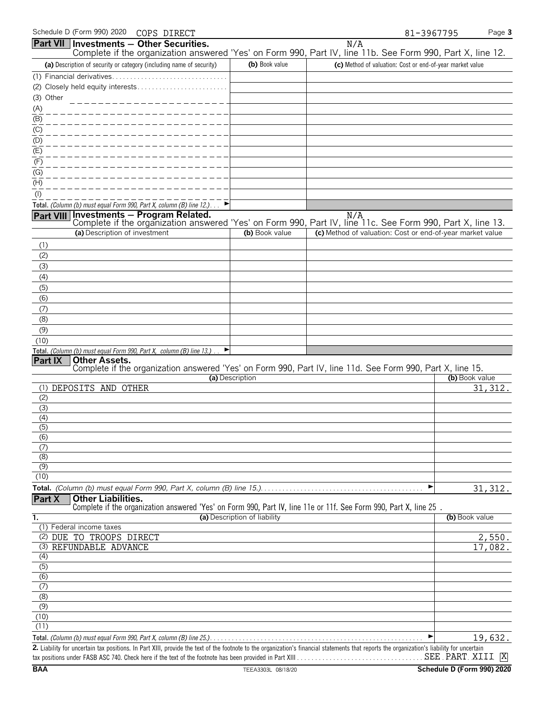| Part VII Investments - Other Securities.                                                                                                                 |                              | N/A<br>Complete if the organization answered 'Yes' on Form 990, Part IV, line 11b. See Form 990, Part X, line 12.                                                                      |                   |
|----------------------------------------------------------------------------------------------------------------------------------------------------------|------------------------------|----------------------------------------------------------------------------------------------------------------------------------------------------------------------------------------|-------------------|
| (a) Description of security or category (including name of security)                                                                                     | (b) Book value               | (c) Method of valuation: Cost or end-of-year market value                                                                                                                              |                   |
| (1) Financial derivatives                                                                                                                                |                              |                                                                                                                                                                                        |                   |
| (2) Closely held equity interests                                                                                                                        |                              |                                                                                                                                                                                        |                   |
| (3) Other                                                                                                                                                |                              |                                                                                                                                                                                        |                   |
| $\underline{(\mathsf{A})}$                                                                                                                               |                              |                                                                                                                                                                                        |                   |
| $\frac{1}{2}$                                                                                                                                            |                              |                                                                                                                                                                                        |                   |
| $\frac{(C)}{C}$<br>(D)                                                                                                                                   |                              |                                                                                                                                                                                        |                   |
| $\overline{E)}$                                                                                                                                          |                              |                                                                                                                                                                                        |                   |
| (F)                                                                                                                                                      |                              |                                                                                                                                                                                        |                   |
| (G)                                                                                                                                                      |                              |                                                                                                                                                                                        |                   |
| (H)                                                                                                                                                      |                              |                                                                                                                                                                                        |                   |
| $\frac{1}{2}$                                                                                                                                            |                              |                                                                                                                                                                                        |                   |
| Total. (Column (b) must equal Form 990, Part X, column (B) line 12.)                                                                                     |                              |                                                                                                                                                                                        |                   |
| <b>Part VIII</b>                                                                                                                                         |                              | <b>Investments - Program Related.</b> M/A N/A Research Program Related. M/A Complete if the organization answered 'Yes' on Form 990, Part IV, line 11c. See Form 990, Part X, line 13. |                   |
| (a) Description of investment                                                                                                                            | (b) Book value               | (c) Method of valuation: Cost or end-of-year market value                                                                                                                              |                   |
| (1)                                                                                                                                                      |                              |                                                                                                                                                                                        |                   |
| (2)                                                                                                                                                      |                              |                                                                                                                                                                                        |                   |
| (3)                                                                                                                                                      |                              |                                                                                                                                                                                        |                   |
| (4)                                                                                                                                                      |                              |                                                                                                                                                                                        |                   |
| (5)                                                                                                                                                      |                              |                                                                                                                                                                                        |                   |
| (6)<br>(7)                                                                                                                                               |                              |                                                                                                                                                                                        |                   |
| (8)                                                                                                                                                      |                              |                                                                                                                                                                                        |                   |
| (9)                                                                                                                                                      |                              |                                                                                                                                                                                        |                   |
| (10)                                                                                                                                                     |                              |                                                                                                                                                                                        |                   |
| Total. (Column (b) must equal Form 990, Part X, column (B) line 13.)<br>▶<br>Part IX<br><b>Other Assets.</b>                                             |                              | Complete if the organization answered 'Yes' on Form 990, Part IV, line 11d. See Form 990, Part X, line 15.                                                                             |                   |
|                                                                                                                                                          | (a) Description              | (b) Book value                                                                                                                                                                         |                   |
| DEPOSITS AND OTHER<br>(1)                                                                                                                                |                              |                                                                                                                                                                                        | 31, 312.          |
| (2)                                                                                                                                                      |                              |                                                                                                                                                                                        |                   |
| (3)<br>(4)                                                                                                                                               |                              |                                                                                                                                                                                        |                   |
| (5)                                                                                                                                                      |                              |                                                                                                                                                                                        |                   |
| (6)                                                                                                                                                      |                              |                                                                                                                                                                                        |                   |
| (7)                                                                                                                                                      |                              |                                                                                                                                                                                        |                   |
| (8)<br>(9)                                                                                                                                               |                              |                                                                                                                                                                                        |                   |
| (10)                                                                                                                                                     |                              |                                                                                                                                                                                        |                   |
| Total. (Column (b) must equal Form 990, Part X, column (B) line 15.)                                                                                     |                              | ▶                                                                                                                                                                                      | 31, 312.          |
| Part X<br><b>Other Liabilities.</b><br>Complete if the organization answered 'Yes' on Form 990, Part IV, line 11e or 11f. See Form 990, Part X, line 25. |                              |                                                                                                                                                                                        |                   |
| 1.                                                                                                                                                       | (a) Description of liability | (b) Book value                                                                                                                                                                         |                   |
| (1) Federal income taxes                                                                                                                                 |                              |                                                                                                                                                                                        |                   |
| (2) DUE TO TROOPS DIRECT<br>(3) REFUNDABLE ADVANCE                                                                                                       |                              |                                                                                                                                                                                        | 2,550.<br>17,082. |
| (4)                                                                                                                                                      |                              |                                                                                                                                                                                        |                   |
| (5)                                                                                                                                                      |                              |                                                                                                                                                                                        |                   |
| (6)                                                                                                                                                      |                              |                                                                                                                                                                                        |                   |
| $\overline{(\overline{7})}$                                                                                                                              |                              |                                                                                                                                                                                        |                   |
| (8)                                                                                                                                                      |                              |                                                                                                                                                                                        |                   |
| (9)<br>(10)                                                                                                                                              |                              |                                                                                                                                                                                        |                   |
| (11)                                                                                                                                                     |                              |                                                                                                                                                                                        |                   |
| Total. (Column (b) must equal Form 990, Part X, column (B) line 25.)                                                                                     |                              |                                                                                                                                                                                        | 19,632.           |
| $2 + i$ akilia.<br>incertain tou positions. In Dart VIII, provide the tout of the                                                                        |                              |                                                                                                                                                                                        |                   |

**2.** Liability for uncertain tax positions. In Part XIII, provide the text of the footnote to the organization's financial statements that reports the organization's liability for uncertain tax positions under FASB ASC 740. Check here if the text of the footnote has been provided in Part XIII . . . . . . . . . . . . . . . . . . . . . . . . . . . . . . . . . . . . . . . . . . . . . . . . . . . . . . . X SEE PART XIII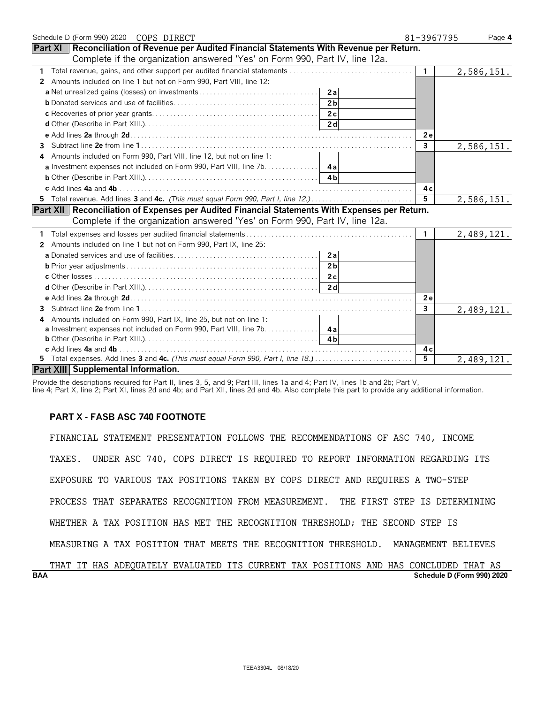| Schedule D (Form 990) 2020 COPS DIRECT                                                               | 81-3967795     | Page 4     |
|------------------------------------------------------------------------------------------------------|----------------|------------|
| <b>Part XI   Reconciliation of Revenue per Audited Financial Statements With Revenue per Return.</b> |                |            |
| Complete if the organization answered 'Yes' on Form 990, Part IV, line 12a.                          |                |            |
|                                                                                                      | $\mathbf{1}$   | 2,586,151. |
| Amounts included on line 1 but not on Form 990, Part VIII, line 12:<br>2                             |                |            |
|                                                                                                      |                |            |
| 2 <sub>b</sub>                                                                                       |                |            |
|                                                                                                      |                |            |
|                                                                                                      |                |            |
|                                                                                                      | 2e             |            |
| 3                                                                                                    | $\mathbf{3}$   | 2,586,151. |
| Amounts included on Form 990, Part VIII, line 12, but not on line 1:<br>4                            |                |            |
| a Investment expenses not included on Form 990, Part VIII, line 7b. 4a                               |                |            |
|                                                                                                      |                |            |
|                                                                                                      | 4 c            |            |
|                                                                                                      | 5 <sup>5</sup> | 2,586,151. |
| Part XII   Reconciliation of Expenses per Audited Financial Statements With Expenses per Return.     |                |            |
| Complete if the organization answered 'Yes' on Form 990, Part IV, line 12a.                          |                |            |
|                                                                                                      | $\mathbf{1}$   | 2,489,121. |
| Amounts included on line 1 but not on Form 990, Part IX, line 25:<br>2                               |                |            |
| 2a                                                                                                   |                |            |
| 2 <sub>b</sub>                                                                                       |                |            |
|                                                                                                      |                |            |
|                                                                                                      |                |            |
|                                                                                                      | 2e             |            |
| З.                                                                                                   | 3              | 2,489,121. |
| Amounts included on Form 990, Part IX, line 25, but not on line 1:<br>4                              |                |            |
| <b>a</b> Investment expenses not included on Form 990, Part VIII, line 7b. 4a                        |                |            |
|                                                                                                      |                |            |
|                                                                                                      | 4 c            |            |
| 5 Total expenses. Add lines 3 and 4c. (This must equal Form 990, Part I, line 18.)                   | 5              | 2,489,121. |
| Part XIII Supplemental Information.                                                                  |                |            |

Provide the descriptions required for Part II, lines 3, 5, and 9; Part III, lines 1a and 4; Part IV, lines 1b and 2b; Part V,

line 4; Part X, line 2; Part XI, lines 2d and 4b; and Part XII, lines 2d and 4b. Also complete this part to provide any additional information.

### **PART X - FASB ASC 740 FOOTNOTE**

FINANCIAL STATEMENT PRESENTATION FOLLOWS THE RECOMMENDATIONS OF ASC 740, INCOME TAXES. UNDER ASC 740, COPS DIRECT IS REQUIRED TO REPORT INFORMATION REGARDING ITS EXPOSURE TO VARIOUS TAX POSITIONS TAKEN BY COPS DIRECT AND REQUIRES A TWO-STEP PROCESS THAT SEPARATES RECOGNITION FROM MEASUREMENT. THE FIRST STEP IS DETERMINING WHETHER A TAX POSITION HAS MET THE RECOGNITION THRESHOLD; THE SECOND STEP IS MEASURING A TAX POSITION THAT MEETS THE RECOGNITION THRESHOLD. MANAGEMENT BELIEVES

**BAA Schedule D (Form 990) 2020** THAT IT HAS ADEQUATELY EVALUATED ITS CURRENT TAX POSITIONS AND HAS CONCLUDED THAT AS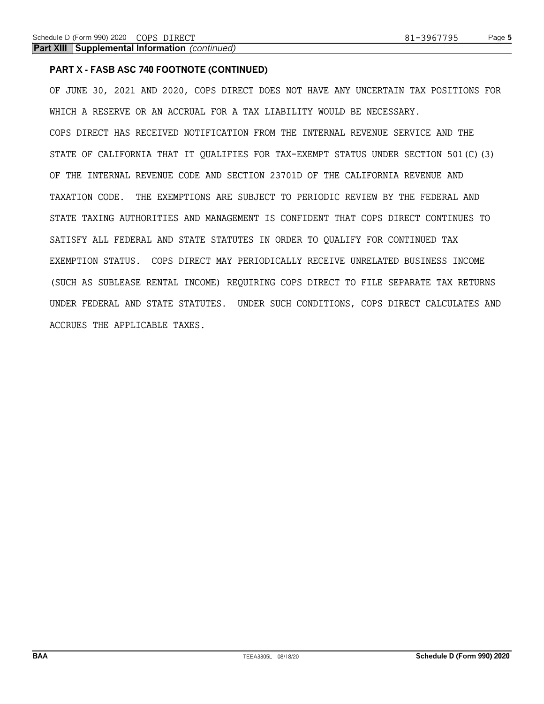### **PART X - FASB ASC 740 FOOTNOTE (CONTINUED)**

OF JUNE 30, 2021 AND 2020, COPS DIRECT DOES NOT HAVE ANY UNCERTAIN TAX POSITIONS FOR WHICH A RESERVE OR AN ACCRUAL FOR A TAX LIABILITY WOULD BE NECESSARY. COPS DIRECT HAS RECEIVED NOTIFICATION FROM THE INTERNAL REVENUE SERVICE AND THE STATE OF CALIFORNIA THAT IT QUALIFIES FOR TAX-EXEMPT STATUS UNDER SECTION 501(C)(3) OF THE INTERNAL REVENUE CODE AND SECTION 23701D OF THE CALIFORNIA REVENUE AND TAXATION CODE. THE EXEMPTIONS ARE SUBJECT TO PERIODIC REVIEW BY THE FEDERAL AND STATE TAXING AUTHORITIES AND MANAGEMENT IS CONFIDENT THAT COPS DIRECT CONTINUES TO SATISFY ALL FEDERAL AND STATE STATUTES IN ORDER TO QUALIFY FOR CONTINUED TAX EXEMPTION STATUS. COPS DIRECT MAY PERIODICALLY RECEIVE UNRELATED BUSINESS INCOME (SUCH AS SUBLEASE RENTAL INCOME) REQUIRING COPS DIRECT TO FILE SEPARATE TAX RETURNS UNDER FEDERAL AND STATE STATUTES. UNDER SUCH CONDITIONS, COPS DIRECT CALCULATES AND ACCRUES THE APPLICABLE TAXES.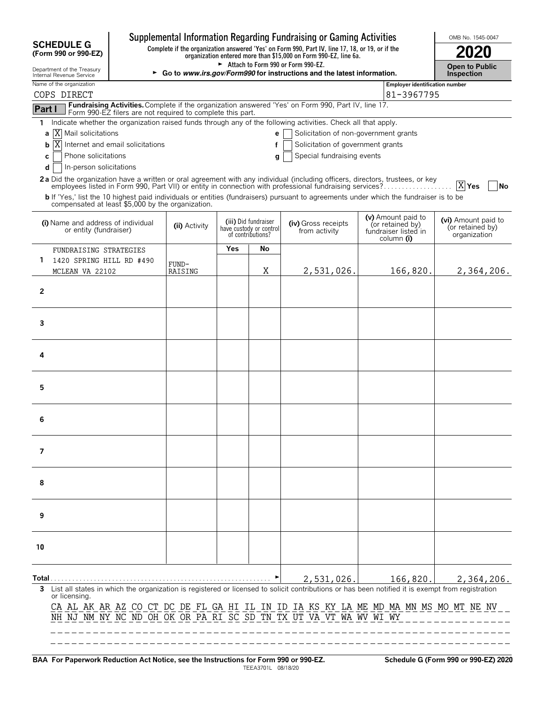| <b>SCHEDULE G</b><br>(Form 990 or 990-EZ)                    | Supplemental Information Regarding Fundraising or Gaming Activities<br>Complete if the organization answered 'Yes' on Form 990, Part IV, line 17, 18, or 19, or if the | OMB No. 1545-0047<br><b>Open to Public</b> |     |                                                                      |                                                                                                                                                                                                                                                  |                                                                              |                                                         |
|--------------------------------------------------------------|------------------------------------------------------------------------------------------------------------------------------------------------------------------------|--------------------------------------------|-----|----------------------------------------------------------------------|--------------------------------------------------------------------------------------------------------------------------------------------------------------------------------------------------------------------------------------------------|------------------------------------------------------------------------------|---------------------------------------------------------|
| Department of the Treasury<br>Internal Revenue Service       |                                                                                                                                                                        |                                            |     |                                                                      | Attach to Form 990 or Form 990-EZ.<br>► Go to www.irs.gov/Form990 for instructions and the latest information.                                                                                                                                   |                                                                              | <b>Inspection</b>                                       |
| Name of the organization                                     |                                                                                                                                                                        |                                            |     |                                                                      |                                                                                                                                                                                                                                                  | <b>Employer identification number</b><br>81-3967795                          |                                                         |
| COPS DIRECT                                                  |                                                                                                                                                                        |                                            |     |                                                                      | Fundraising Activities. Complete if the organization answered 'Yes' on Form 990, Part IV, line 17.                                                                                                                                               |                                                                              |                                                         |
| Part I                                                       | Form 990-EZ filers are not required to complete this part.                                                                                                             |                                            |     |                                                                      |                                                                                                                                                                                                                                                  |                                                                              |                                                         |
| 1.<br>a X Mail solicitations                                 |                                                                                                                                                                        |                                            |     | e                                                                    | Indicate whether the organization raised funds through any of the following activities. Check all that apply.<br>Solicitation of non-government grants                                                                                           |                                                                              |                                                         |
| ΙX<br>b                                                      | Internet and email solicitations                                                                                                                                       |                                            |     | f                                                                    | Solicitation of government grants                                                                                                                                                                                                                |                                                                              |                                                         |
| Phone solicitations<br>C                                     |                                                                                                                                                                        |                                            |     | g                                                                    | Special fundraising events                                                                                                                                                                                                                       |                                                                              |                                                         |
| In-person solicitations<br>d                                 |                                                                                                                                                                        |                                            |     |                                                                      |                                                                                                                                                                                                                                                  |                                                                              |                                                         |
|                                                              |                                                                                                                                                                        |                                            |     |                                                                      | 2a Did the organization have a written or oral agreement with any individual (including officers, directors, trustees, or key                                                                                                                    |                                                                              | X Yes                                                   |
|                                                              | compensated at least \$5,000 by the organization.                                                                                                                      |                                            |     |                                                                      | employees listed in Form 990, Part VII) or entity in connection with professional fundraising services?<br>b If 'Yes,' list the 10 highest paid individuals or entities (fundraisers) pursuant to agreements under which the fundraiser is to be |                                                                              | l No                                                    |
| (i) Name and address of individual<br>or entity (fundraiser) |                                                                                                                                                                        | (ii) Activity                              |     | (iii) Did fundraiser<br>have custody or control<br>of contributions? | (iv) Gross receipts<br>from activity                                                                                                                                                                                                             | (v) Amount paid to<br>(or retained by)<br>fundraiser listed in<br>column (i) | (vi) Amount paid to<br>(or retained by)<br>organization |
| FUNDRAISING STRATEGIES                                       |                                                                                                                                                                        |                                            | Yes | No                                                                   |                                                                                                                                                                                                                                                  |                                                                              |                                                         |
| 1.<br>1420 SPRING HILL RD #490<br>MCLEAN VA 22102            |                                                                                                                                                                        | FUND-<br>RAISING                           |     | Χ                                                                    | 2,531,026.                                                                                                                                                                                                                                       | 166,820.                                                                     | 2,364,206.                                              |
| $\overline{2}$                                               |                                                                                                                                                                        |                                            |     |                                                                      |                                                                                                                                                                                                                                                  |                                                                              |                                                         |
| 3                                                            |                                                                                                                                                                        |                                            |     |                                                                      |                                                                                                                                                                                                                                                  |                                                                              |                                                         |
| 4                                                            |                                                                                                                                                                        |                                            |     |                                                                      |                                                                                                                                                                                                                                                  |                                                                              |                                                         |
| 5                                                            |                                                                                                                                                                        |                                            |     |                                                                      |                                                                                                                                                                                                                                                  |                                                                              |                                                         |
| 6                                                            |                                                                                                                                                                        |                                            |     |                                                                      |                                                                                                                                                                                                                                                  |                                                                              |                                                         |
| 7                                                            |                                                                                                                                                                        |                                            |     |                                                                      |                                                                                                                                                                                                                                                  |                                                                              |                                                         |
| 8                                                            |                                                                                                                                                                        |                                            |     |                                                                      |                                                                                                                                                                                                                                                  |                                                                              |                                                         |
| 9                                                            |                                                                                                                                                                        |                                            |     |                                                                      |                                                                                                                                                                                                                                                  |                                                                              |                                                         |
| 10                                                           |                                                                                                                                                                        |                                            |     |                                                                      |                                                                                                                                                                                                                                                  |                                                                              |                                                         |
| 3                                                            |                                                                                                                                                                        |                                            |     |                                                                      | 2,531,026.<br>List all states in which the organization is registered or licensed to solicit contributions or has been notified it is exempt from registration                                                                                   | 166, 820.                                                                    | 2,364,206.                                              |
| or licensing.                                                |                                                                                                                                                                        |                                            |     |                                                                      | CA AL AK AR AZ CO CT DC DE FL GA HI IL IN ID IA KS KY LA ME MD MA MN MS MO MT NE NV<br>NH NJ NM NY NC ND OH OK OR PA RI SC SD TN TX UT VA VT WA WV WI WY                                                                                         |                                                                              |                                                         |

**BAA For Paperwork Reduction Act Notice, see the Instructions for Form 990 or 990-EZ. Schedule G (Form 990 or 990-EZ) 2020** TEEA3701L 08/18/20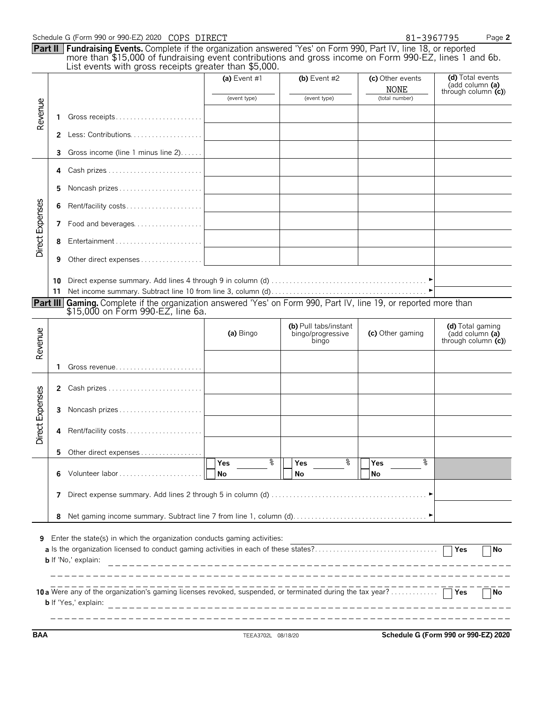|                 |    | Schedule G (Form 990 or 990-EZ) 2020 COPS DIRECT                                                                                                                                                                                                                                             |                 |                                                     | 81-3967795                      | Page 2                                                      |
|-----------------|----|----------------------------------------------------------------------------------------------------------------------------------------------------------------------------------------------------------------------------------------------------------------------------------------------|-----------------|-----------------------------------------------------|---------------------------------|-------------------------------------------------------------|
|                 |    | <b>Part II</b> Fundraising Events. Complete if the organization answered 'Yes' on Form 990, Part IV, line 18, or reported<br>more than \$15,000 of fundraising event contributions and gross income on Form 990-EZ, lines 1 and 6b.<br>List events with gross receipts greater than \$5,000. |                 |                                                     |                                 |                                                             |
|                 |    |                                                                                                                                                                                                                                                                                              | (a) Event #1    | (b) Event $#2$                                      | (c) Other events<br><b>NONE</b> | (d) Total events<br>(add column (a)<br>through column $(c)$ |
|                 |    |                                                                                                                                                                                                                                                                                              | (event type)    | (event type)                                        | (total number)                  |                                                             |
| Revenue         | 1. | Gross receipts                                                                                                                                                                                                                                                                               |                 |                                                     |                                 |                                                             |
|                 | 2  | Less: Contributions                                                                                                                                                                                                                                                                          |                 |                                                     |                                 |                                                             |
|                 | 3  | Gross income (line 1 minus line 2)                                                                                                                                                                                                                                                           |                 |                                                     |                                 |                                                             |
|                 | 4  |                                                                                                                                                                                                                                                                                              |                 |                                                     |                                 |                                                             |
|                 | 5  | Noncash prizes                                                                                                                                                                                                                                                                               |                 |                                                     |                                 |                                                             |
| Direct Expenses | 6  | Rent/facility costs                                                                                                                                                                                                                                                                          |                 |                                                     |                                 |                                                             |
|                 |    | 7 Food and beverages                                                                                                                                                                                                                                                                         |                 |                                                     |                                 |                                                             |
|                 | 8  |                                                                                                                                                                                                                                                                                              |                 |                                                     |                                 |                                                             |
|                 | 9  | Other direct expenses                                                                                                                                                                                                                                                                        |                 |                                                     |                                 |                                                             |
|                 | 10 |                                                                                                                                                                                                                                                                                              |                 |                                                     |                                 |                                                             |
|                 | 11 |                                                                                                                                                                                                                                                                                              |                 |                                                     |                                 |                                                             |
|                 |    | <b>Part III</b> Gaming. Complete if the organization answered 'Yes' on Form 990, Part IV, line 19, or reported more than<br>\$15,000 on Form 990-EZ, line 6a.                                                                                                                                |                 |                                                     |                                 |                                                             |
| Revenue         |    |                                                                                                                                                                                                                                                                                              | (a) Bingo       | (b) Pull tabs/instant<br>bingo/progressive<br>bingo | (c) Other gaming                | (d) Total gaming<br>(add column (a)<br>through column $(c)$ |
|                 | 1  |                                                                                                                                                                                                                                                                                              |                 |                                                     |                                 |                                                             |
|                 | 2  |                                                                                                                                                                                                                                                                                              |                 |                                                     |                                 |                                                             |
| Expenses        |    |                                                                                                                                                                                                                                                                                              |                 |                                                     |                                 |                                                             |
|                 |    | 3 Noncash prizes                                                                                                                                                                                                                                                                             |                 |                                                     |                                 |                                                             |
| <b>Direct</b>   |    | 4 Rent/facility costs                                                                                                                                                                                                                                                                        |                 |                                                     |                                 |                                                             |
|                 | 5  | Other direct expenses                                                                                                                                                                                                                                                                        |                 |                                                     |                                 |                                                             |
|                 | 6  | Volunteer labor                                                                                                                                                                                                                                                                              | နွ<br>Yes<br>No | ႜ<br>Yes<br>No                                      | န္<br>Yes<br>No                 |                                                             |
|                 | 7  |                                                                                                                                                                                                                                                                                              |                 |                                                     |                                 |                                                             |
|                 | 8  |                                                                                                                                                                                                                                                                                              |                 |                                                     |                                 |                                                             |
| 9               |    | Enter the state(s) in which the organization conducts gaming activities:<br>a Is the organization licensed to conduct gaming activities in each of these states?<br><b>b</b> If 'No,' explain:                                                                                               |                 |                                                     |                                 | Yes<br>No                                                   |
|                 |    | 10 a Were any of the organization's gaming licenses revoked, suspended, or terminated during the tax year? $\ldots$<br><b>b</b> If 'Yes,' explain:                                                                                                                                           |                 |                                                     |                                 | Yes<br><b>No</b>                                            |

**BAA** TEEA3702L 08/18/20 **Schedule G (Form 990 or 990-EZ) 2020**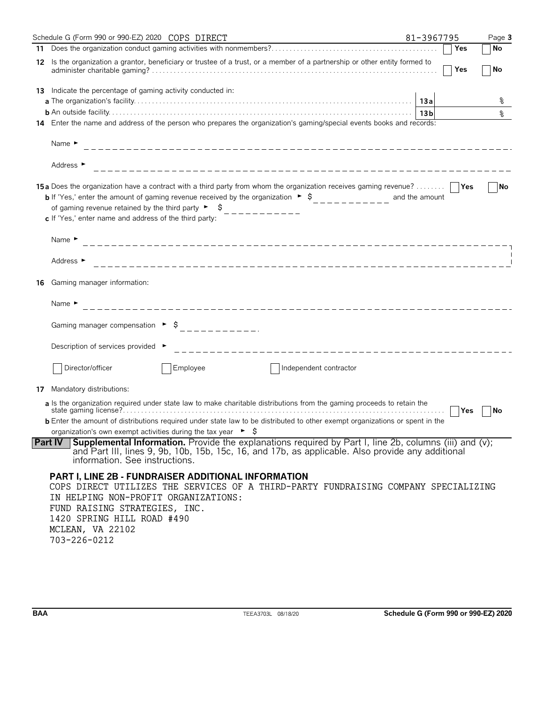|    | Schedule G (Form 990 or 990-EZ) 2020 COPS DIRECT                                                                                                                                                                                                                                                                                                                                                           | 81-3967795 | Page 3    |
|----|------------------------------------------------------------------------------------------------------------------------------------------------------------------------------------------------------------------------------------------------------------------------------------------------------------------------------------------------------------------------------------------------------------|------------|-----------|
|    |                                                                                                                                                                                                                                                                                                                                                                                                            | Yes        | No        |
|    | 12 Is the organization a grantor, beneficiary or trustee of a trust, or a member of a partnership or other entity formed to                                                                                                                                                                                                                                                                                | Yes        | <b>No</b> |
|    | <b>13</b> Indicate the percentage of gaming activity conducted in:                                                                                                                                                                                                                                                                                                                                         |            |           |
|    |                                                                                                                                                                                                                                                                                                                                                                                                            |            | န္        |
|    | 14 Enter the name and address of the person who prepares the organization's gaming/special events books and records:                                                                                                                                                                                                                                                                                       |            |           |
|    | Name $\blacktriangleright$                                                                                                                                                                                                                                                                                                                                                                                 |            |           |
|    | Address ►                                                                                                                                                                                                                                                                                                                                                                                                  |            |           |
|    | 15a Does the organization have a contract with a third party from whom the organization receives gaming revenue?      Yes<br><b>b</b> If 'Yes,' enter the amount of gaming revenue received by the organization $\rightarrow$ \$__________ and the amount<br>of gaming revenue retained by the third party $\begin{bmatrix} 6 & 1 \end{bmatrix}$<br>c If 'Yes,' enter name and address of the third party: |            | <b>No</b> |
|    | Name $\blacktriangleright$                                                                                                                                                                                                                                                                                                                                                                                 |            |           |
|    | Address ►                                                                                                                                                                                                                                                                                                                                                                                                  |            |           |
| 16 | Gaming manager information:                                                                                                                                                                                                                                                                                                                                                                                |            |           |
|    | Name $\blacktriangleright$                                                                                                                                                                                                                                                                                                                                                                                 |            |           |
|    | Gaming manager compensation $\rightarrow$ \$<br>------------                                                                                                                                                                                                                                                                                                                                               |            |           |
|    | Description of services provided ►                                                                                                                                                                                                                                                                                                                                                                         |            |           |
|    | Director/officer<br>Employee<br>Independent contractor                                                                                                                                                                                                                                                                                                                                                     |            |           |
| 17 | Mandatory distributions:                                                                                                                                                                                                                                                                                                                                                                                   |            |           |
|    | a Is the organization required under state law to make charitable distributions from the gaming proceeds to retain the                                                                                                                                                                                                                                                                                     | Yes        | No        |
|    | <b>b</b> Enter the amount of distributions required under state law to be distributed to other exempt organizations or spent in the                                                                                                                                                                                                                                                                        |            |           |
|    | organization's own exempt activities during the tax year $\triangleright$ $\sharp$                                                                                                                                                                                                                                                                                                                         |            |           |
|    | <b>Part IV</b> Supplemental Information. Provide the explanations required by Part I, line 2b, columns (iii) and (v);<br>and Part III, lines 9, 9b, 10b, 15b, 15c, 16, and 17b, as applicable. Also provide any additional<br>information. See instructions.                                                                                                                                               |            |           |
|    | <b>PART I, LINE 2B - FUNDRAISER ADDITIONAL INFORMATION</b><br>COPS DIRECT UTILIZES THE SERVICES OF A THIRD-PARTY FUNDRAISING COMPANY SPECIALIZING<br>IN HELPING NON-PROFIT ORGANIZATIONS:<br>FUND RAISING STRATEGIES, INC.<br>1420 SPRING HILL ROAD #490<br>MCLEAN, VA 22102<br>703-226-0212                                                                                                               |            |           |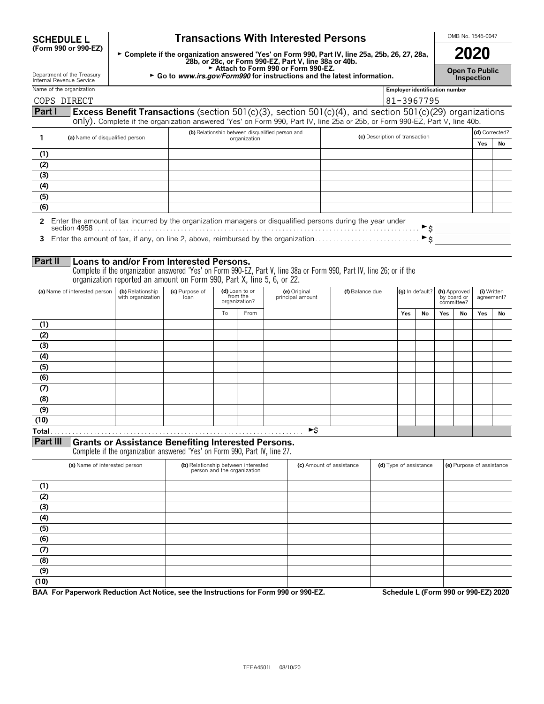| <b>SCHEDULE L</b>    |  |  |
|----------------------|--|--|
| (Form 990 or 990-EZ) |  |  |

# **Transactions With Interested Persons**  $\left\{\right.$  OMB No. 1545-0047

| (Form 990 or 990-EZ)       | ► Complete if the organization answered 'Yes' on Form 990, Part IV, line 25a, 25b, 26, 27, 28a,<br>28b, or 28c, or Form 990-EZ, Part V, line 38a or 40b. | 2020                  |
|----------------------------|----------------------------------------------------------------------------------------------------------------------------------------------------------|-----------------------|
| Department of the Treasury | Attach to Form 990 or Form 990-EZ.                                                                                                                       | <b>Open To Public</b> |
| Internal Revenue Service   | $\triangleright$ Go to <i>www.irs.gov/Form990</i> for instructions and the latest information.                                                           | <b>Inspection</b>     |

| Name of the organization | <br>Emplover identification number |  |
|--------------------------|------------------------------------|--|

| vanno on uno organization |  |  |  |
|---------------------------|--|--|--|
| aana ninnam               |  |  |  |

COPS DIRECT 81-3967795

| Part I | <b>Excess Benefit Transactions</b> (section 501(c)(3), section 501(c)(4), and section 501(c)(29) organizations              |  |
|--------|-----------------------------------------------------------------------------------------------------------------------------|--|
|        | only). Complete if the organization answered 'Yes' on Form 990, Part IV, line 25a or 25b, or Form 990-EZ, Part V, line 40b. |  |

|     | (a) Name of disqualified person | (b) Relationship between disqualified person and | (c) Description of transaction                                                                                  | (d) Corrected? |    |
|-----|---------------------------------|--------------------------------------------------|-----------------------------------------------------------------------------------------------------------------|----------------|----|
|     |                                 | organization                                     |                                                                                                                 | Yes            | No |
|     |                                 |                                                  |                                                                                                                 |                |    |
| (2) |                                 |                                                  |                                                                                                                 |                |    |
| (3) |                                 |                                                  |                                                                                                                 |                |    |
| (4) |                                 |                                                  |                                                                                                                 |                |    |
| (5) |                                 |                                                  |                                                                                                                 |                |    |
| (6) |                                 |                                                  |                                                                                                                 |                |    |
|     |                                 |                                                  | the contract of the contract of the contract of the contract of the contract of the contract of the contract of |                |    |

**2** Enter the amount of tax incurred by the organization managers or disqualified persons during the year under ي جي المستعدد المستعدد المستقدم المستعدد المستعدد المستعدد المستعدد المستعدد المستعدد المستعدد المستعدد المستع<br>المستعدد المستعدد المستعدد المستعدد المستعدد المستعدد المستعدد المستعدد المستعدد المستعدد المستعدد المستعدد ا

**<sup>3</sup>** Enter the amount of tax, if any, on line 2, above, reimbursed by the organization. . . . . . . . . . . . . . . . . . . . . . . . . . . . . G\$

#### **Part II Loans to and/or From Interested Persons.**

Complete if the organization answered 'Yes' on Form 990-EZ, Part V, line 38a or Form 990, Part IV, line 26; or if the organization reported an amount on Form 990, Part X, line 5, 6, or 22.

| (a) Name of interested person | (b) Relationship<br>with organization | (c) Purpose of<br>loan |    | (d) Loan to or<br>from the<br>organization? | (e) Original<br>principal amount | (f) Balance due | (g) In default? |    | (h) Approved<br>by board or<br>committee? |    | (i) Written<br>agreement? |    |
|-------------------------------|---------------------------------------|------------------------|----|---------------------------------------------|----------------------------------|-----------------|-----------------|----|-------------------------------------------|----|---------------------------|----|
|                               |                                       |                        | To | From                                        |                                  |                 | Yes             | No | Yes                                       | No | Yes                       | No |
| (1)                           |                                       |                        |    |                                             |                                  |                 |                 |    |                                           |    |                           |    |
| (2)                           |                                       |                        |    |                                             |                                  |                 |                 |    |                                           |    |                           |    |
| (3)                           |                                       |                        |    |                                             |                                  |                 |                 |    |                                           |    |                           |    |
| (4)                           |                                       |                        |    |                                             |                                  |                 |                 |    |                                           |    |                           |    |
| (5)                           |                                       |                        |    |                                             |                                  |                 |                 |    |                                           |    |                           |    |
| (6)                           |                                       |                        |    |                                             |                                  |                 |                 |    |                                           |    |                           |    |
| (7)                           |                                       |                        |    |                                             |                                  |                 |                 |    |                                           |    |                           |    |
| (8)                           |                                       |                        |    |                                             |                                  |                 |                 |    |                                           |    |                           |    |
| (9)                           |                                       |                        |    |                                             |                                  |                 |                 |    |                                           |    |                           |    |
| (10)                          |                                       |                        |    |                                             |                                  |                 |                 |    |                                           |    |                           |    |
| ►\$<br>Total.                 |                                       |                        |    |                                             |                                  |                 |                 |    |                                           |    |                           |    |

**Part III Grants or Assistance Benefiting Interested Persons.** Complete if the organization answered 'Yes' on Form 990, Part IV, line 27.

| (a) Name of interested person | (b) Relationship between interested<br>person and the organization | (c) Amount of assistance | (d) Type of assistance | (e) Purpose of assistance |
|-------------------------------|--------------------------------------------------------------------|--------------------------|------------------------|---------------------------|
|                               |                                                                    |                          |                        |                           |
|                               |                                                                    |                          |                        |                           |
|                               |                                                                    |                          |                        |                           |
|                               |                                                                    |                          |                        |                           |
|                               |                                                                    |                          |                        |                           |
|                               |                                                                    |                          |                        |                           |
|                               |                                                                    |                          |                        |                           |
|                               |                                                                    |                          |                        |                           |
|                               |                                                                    |                          |                        |                           |
|                               |                                                                    |                          |                        |                           |
|                               | $\tilde{\phantom{a}}$                                              |                          |                        |                           |

**BAA For Paperwork Reduction Act Notice, see the Instructions for Form 990 or 990-EZ. Schedule L (Form 990 or 990-EZ) 2020**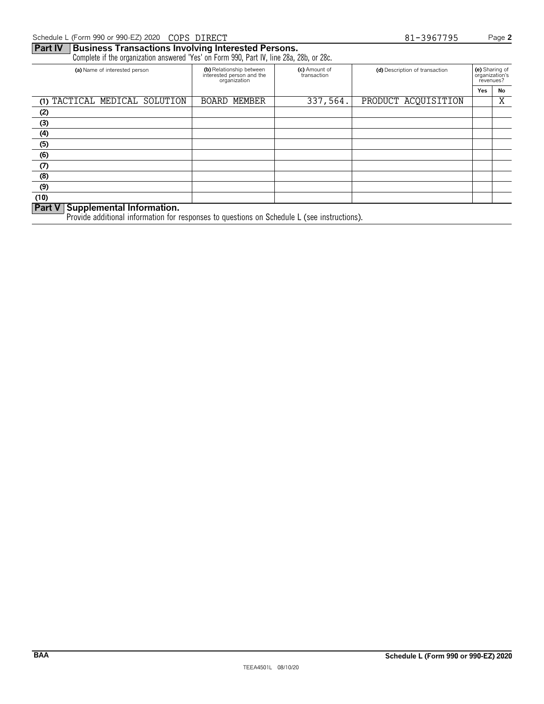| Schedule L (Form 990 or 990-EZ) 2020    COPS    DIRECT |  | 81-3967795 | Page $2$ |
|--------------------------------------------------------|--|------------|----------|
|--------------------------------------------------------|--|------------|----------|

### **Part IV Business Transactions Involving Interested Persons.**

Complete if the organization answered 'Yes' on Form 990, Part IV, line 28a, 28b, or 28c.

| (a) Name of interested person    | (b) Relationship between<br>interested person and the<br>organization | (c) Amount of<br>transaction | (d) Description of transaction | revenues? | (e) Sharing of<br>organization's |
|----------------------------------|-----------------------------------------------------------------------|------------------------------|--------------------------------|-----------|----------------------------------|
|                                  |                                                                       |                              |                                | Yes       | No                               |
| TACTICAL MEDICAL SOLUTION<br>(1) | MEMBER<br><b>BOARD</b>                                                | 337,564.                     | PRODUCT ACQUISITION            |           | Χ                                |
| (2)                              |                                                                       |                              |                                |           |                                  |
| (3)                              |                                                                       |                              |                                |           |                                  |
| (4)                              |                                                                       |                              |                                |           |                                  |
| (5)                              |                                                                       |                              |                                |           |                                  |
| (6)                              |                                                                       |                              |                                |           |                                  |
| (7)                              |                                                                       |                              |                                |           |                                  |
| (8)                              |                                                                       |                              |                                |           |                                  |
| (9)                              |                                                                       |                              |                                |           |                                  |
| (10)                             |                                                                       |                              |                                |           |                                  |
| Part V Supplemental Information. |                                                                       |                              |                                |           |                                  |

Provide additional information for responses to questions on Schedule L (see instructions).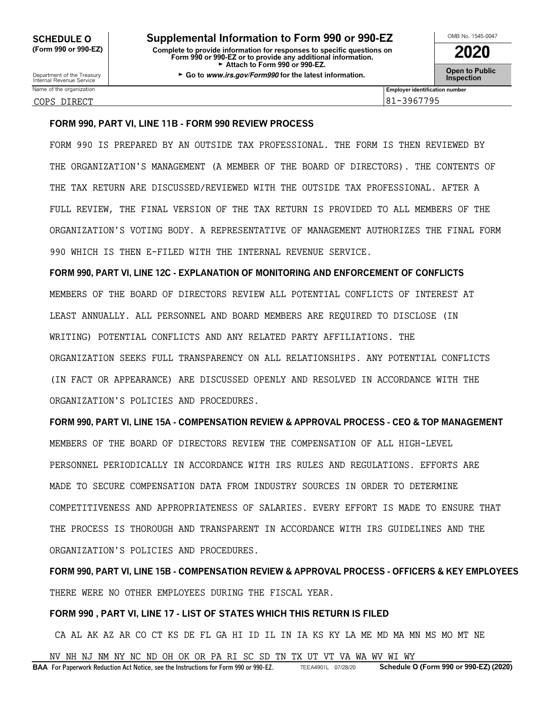# **OMB No. 1545-0047 <b>Supplemental Information to Form 990 or 990-EZ** North MB No. 1545-0047 **(Form 990 or 990-EZ) Complete to provide information for responses to specific questions on Form 990 or 990-EZ or to provide any additional information. 2020** Attach to Form 990 or 990-EZ. Department of the Treasury **GGO to Sublic**<br>Internal Revenue Service **Inspection**<br>Internal Revenue Service



Name of the organization **intervalse of the organization number Employer identification number Employer identification number** 

#### COPS DIRECT 81-3967795

#### **FORM 990, PART VI, LINE 11B - FORM 990 REVIEW PROCESS**

FORM 990 IS PREPARED BY AN OUTSIDE TAX PROFESSIONAL. THE FORM IS THEN REVIEWED BY THE ORGANIZATION'S MANAGEMENT (A MEMBER OF THE BOARD OF DIRECTORS). THE CONTENTS OF THE TAX RETURN ARE DISCUSSED/REVIEWED WITH THE OUTSIDE TAX PROFESSIONAL. AFTER A FULL REVIEW, THE FINAL VERSION OF THE TAX RETURN IS PROVIDED TO ALL MEMBERS OF THE ORGANIZATION'S VOTING BODY. A REPRESENTATIVE OF MANAGEMENT AUTHORIZES THE FINAL FORM 990 WHICH IS THEN E-FILED WITH THE INTERNAL REVENUE SERVICE.

**FORM 990, PART VI, LINE 12C - EXPLANATION OF MONITORING AND ENFORCEMENT OF CONFLICTS** MEMBERS OF THE BOARD OF DIRECTORS REVIEW ALL POTENTIAL CONFLICTS OF INTEREST AT LEAST ANNUALLY. ALL PERSONNEL AND BOARD MEMBERS ARE REQUIRED TO DISCLOSE (IN WRITING) POTENTIAL CONFLICTS AND ANY RELATED PARTY AFFILIATIONS. THE ORGANIZATION SEEKS FULL TRANSPARENCY ON ALL RELATIONSHIPS. ANY POTENTIAL CONFLICTS (IN FACT OR APPEARANCE) ARE DISCUSSED OPENLY AND RESOLVED IN ACCORDANCE WITH THE ORGANIZATION'S POLICIES AND PROCEDURES.

**FORM 990, PART VI, LINE 15A - COMPENSATION REVIEW & APPROVAL PROCESS - CEO & TOP MANAGEMENT** MEMBERS OF THE BOARD OF DIRECTORS REVIEW THE COMPENSATION OF ALL HIGH-LEVEL PERSONNEL PERIODICALLY IN ACCORDANCE WITH IRS RULES AND REGULATIONS. EFFORTS ARE MADE TO SECURE COMPENSATION DATA FROM INDUSTRY SOURCES IN ORDER TO DETERMINE COMPETITIVENESS AND APPROPRIATENESS OF SALARIES. EVERY EFFORT IS MADE TO ENSURE THAT THE PROCESS IS THOROUGH AND TRANSPARENT IN ACCORDANCE WITH IRS GUIDELINES AND THE ORGANIZATION'S POLICIES AND PROCEDURES.

**FORM 990, PART VI, LINE 15B - COMPENSATION REVIEW & APPROVAL PROCESS - OFFICERS & KEY EMPLOYEES** THERE WERE NO OTHER EMPLOYEES DURING THE FISCAL YEAR.

#### **FORM 990 , PART VI, LINE 17 - LIST OF STATES WHICH THIS RETURN IS FILED**

CA AL AK AZ AR CO CT KS DE FL GA HI ID IL IN IA KS KY LA ME MD MA MN MS MO MT NE

**BAA For Paperwork Reduction Act Notice, see the Instructions for Form 990 or 990-EZ.** TEEA4901L 07/28/20 **Schedule O (Form 990 or 990-EZ) (2020)** NV NH NJ NM NY NC ND OH OK OR PA RI SC SD TN TX UT VT VA WA WV WI WY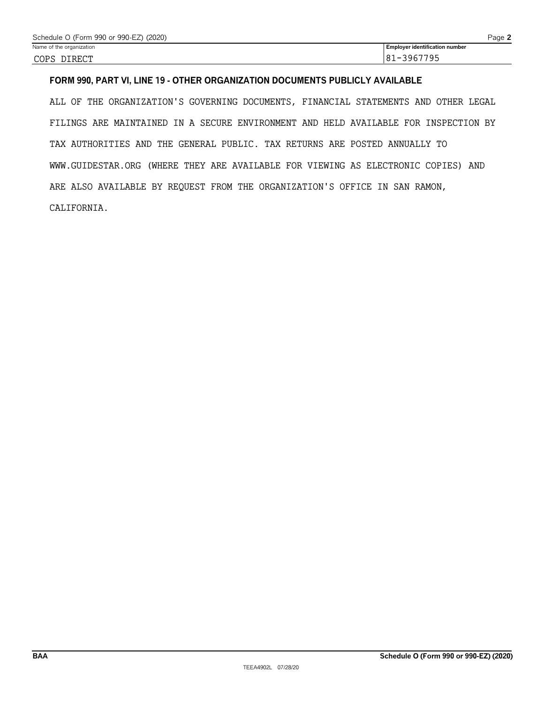#### **FORM 990, PART VI, LINE 19 - OTHER ORGANIZATION DOCUMENTS PUBLICLY AVAILABLE**

ALL OF THE ORGANIZATION'S GOVERNING DOCUMENTS, FINANCIAL STATEMENTS AND OTHER LEGAL FILINGS ARE MAINTAINED IN A SECURE ENVIRONMENT AND HELD AVAILABLE FOR INSPECTION BY TAX AUTHORITIES AND THE GENERAL PUBLIC. TAX RETURNS ARE POSTED ANNUALLY TO WWW.GUIDESTAR.ORG (WHERE THEY ARE AVAILABLE FOR VIEWING AS ELECTRONIC COPIES) AND ARE ALSO AVAILABLE BY REQUEST FROM THE ORGANIZATION'S OFFICE IN SAN RAMON, CALIFORNIA.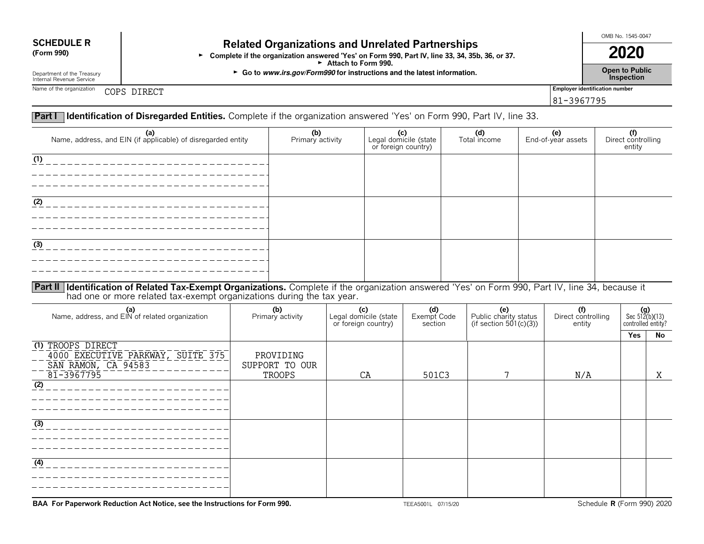# **SCHEDULE R**

# **Related Organizations and Unrelated Partnerships**

**(Form 990)** <sup>G</sup>**Complete if the organization answered 'Yes' on Form 990, Part IV, line 33, 34, 35b, 36, or 37.**G **Attach to Form 990.**

G **Go to www.irs.gov/Form990 Open to Public** Department of the Treasury **for instructions and the latest information.** e and **Inspection**<br>e

OMB No. 1545-0047

 **2020Open to Public** 

Department of the Treasury<br>Internal Revenue Service

Name of the organization

<sup>n</sup> COPS DIRECT **Imployer identification number** 81-3967795

#### **Part I Identification of Disregarded Entities.** Complete if the organization answered 'Yes' on Form 990, Part IV, line 33.

| (a)<br>Name, address, and EIN (if applicable) of disregarded entity                                                                                                                                                              | (b)<br>Primary activity | (c)<br>Legal domicile (state<br>or foreign country) |                                                     |    | (d)<br>Total income           |  | (e)<br>End-of-year assets | (f)<br>Direct controlling<br>entity                    |     |                           |                                               |         |
|----------------------------------------------------------------------------------------------------------------------------------------------------------------------------------------------------------------------------------|-------------------------|-----------------------------------------------------|-----------------------------------------------------|----|-------------------------------|--|---------------------------|--------------------------------------------------------|-----|---------------------------|-----------------------------------------------|---------|
| (1)                                                                                                                                                                                                                              |                         |                                                     |                                                     |    |                               |  |                           |                                                        |     |                           |                                               |         |
| (2)<br>-------------------------------                                                                                                                                                                                           |                         |                                                     |                                                     |    |                               |  |                           |                                                        |     |                           |                                               |         |
| (3)<br>________________________________                                                                                                                                                                                          |                         |                                                     |                                                     |    |                               |  |                           |                                                        |     |                           |                                               |         |
| <b>Part II   Identification of Related Tax-Exempt Organizations.</b> Complete if the organization answered 'Yes' on Form 990, Part IV, line 34, because it had one or more related tax-exempt organizations during the tax year. |                         |                                                     |                                                     |    |                               |  |                           |                                                        |     |                           |                                               |         |
| (a)<br>Name, address, and EIN of related organization                                                                                                                                                                            | (b)<br>Primary activity |                                                     | (c)<br>Legal domicile (state<br>or foreign country) |    | (d)<br>Exempt Code<br>section |  |                           | (e)<br>Public charity status<br>(if section 501(c)(3)) |     | (f)<br>Direct controlling | $(g)$<br>Sec 512(b)(13)<br>controlled entity? |         |
| (1) TROOPS DIRECT<br>4000 EXECUTIVE PARKWAY, SUITE 375<br>SAN RAMON, CA 94583<br>$81 - 3967795$                                                                                                                                  |                         | PROVIDING<br>SUPPORT TO OUR<br><b>TROOPS</b>        |                                                     | CA | 501C3                         |  | 7                         |                                                        | N/A |                           | Yes                                           | No<br>X |
| (2)<br>______________________                                                                                                                                                                                                    |                         |                                                     |                                                     |    |                               |  |                           |                                                        |     |                           |                                               |         |
| (3)<br>___________________________                                                                                                                                                                                               |                         |                                                     |                                                     |    |                               |  |                           |                                                        |     |                           |                                               |         |
| (4)<br>___________________________                                                                                                                                                                                               |                         |                                                     |                                                     |    |                               |  |                           |                                                        |     |                           |                                               |         |

**BAA For Paperwork Reduction Act Notice, see the Instructions for Form 990.**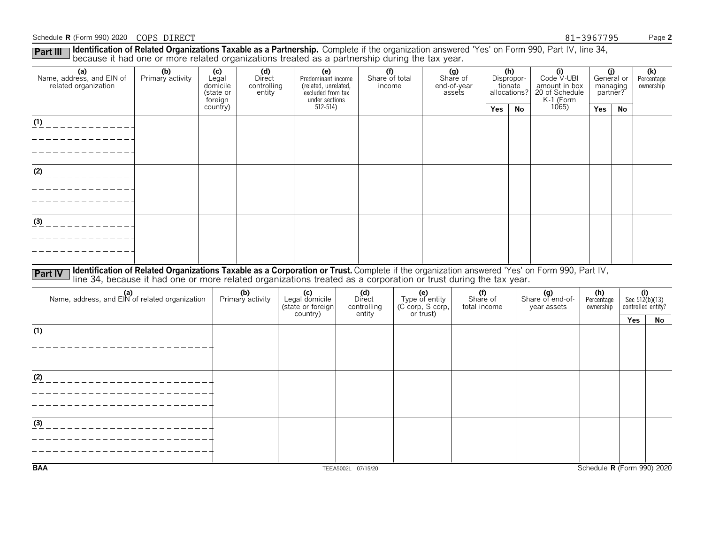#### Schedule **R** (Form 990) 2020 COPS DIRECT

Part III Identification of Related Organizations Taxable as a Partnership. Complete if the organization answered 'Yes' on Form 990, Part IV, line 34,<br>because it had one or more related organizations treated as a partnershi T 81-3967795

| (a)<br>Name, address, and EIN of<br>related organization | (b)<br>Primary activity                                                                                                                                                                                                                                          | (c)<br>Legal<br>domicile<br>(state or<br>foreign | (d)<br>Direct<br>controlling<br>entity |          | (e)<br>Predominant income<br>(related, unrelated,<br>excluded from tax<br>under sections |  | (f)<br>Share of total<br>income |                                           | (g)<br>Share of<br>end-of-year<br>assets |                          | (h)<br>Dispropor-<br>tionate<br>allocations? |           | (i)<br>Code V-UBI<br>amount in box<br>20 of Schedule<br>K-1 (Form | (j)<br>General or<br>managing<br>partner? |           | (k)<br>Percentage<br>ownership                |
|----------------------------------------------------------|------------------------------------------------------------------------------------------------------------------------------------------------------------------------------------------------------------------------------------------------------------------|--------------------------------------------------|----------------------------------------|----------|------------------------------------------------------------------------------------------|--|---------------------------------|-------------------------------------------|------------------------------------------|--------------------------|----------------------------------------------|-----------|-------------------------------------------------------------------|-------------------------------------------|-----------|-----------------------------------------------|
|                                                          |                                                                                                                                                                                                                                                                  | country)                                         |                                        |          | $512 - 514$                                                                              |  |                                 |                                           |                                          |                          | Yes                                          | <b>No</b> | 1065                                                              | Yes                                       | <b>No</b> |                                               |
| (1)<br>_ _ _ _ _ _ _ _ _ _ _ _                           |                                                                                                                                                                                                                                                                  |                                                  |                                        |          |                                                                                          |  |                                 |                                           |                                          |                          |                                              |           |                                                                   |                                           |           |                                               |
|                                                          |                                                                                                                                                                                                                                                                  |                                                  |                                        |          |                                                                                          |  |                                 |                                           |                                          |                          |                                              |           |                                                                   |                                           |           |                                               |
|                                                          |                                                                                                                                                                                                                                                                  |                                                  |                                        |          |                                                                                          |  |                                 |                                           |                                          |                          |                                              |           |                                                                   |                                           |           |                                               |
|                                                          |                                                                                                                                                                                                                                                                  |                                                  |                                        |          |                                                                                          |  |                                 |                                           |                                          |                          |                                              |           |                                                                   |                                           |           |                                               |
| (2)<br>____________                                      |                                                                                                                                                                                                                                                                  |                                                  |                                        |          |                                                                                          |  |                                 |                                           |                                          |                          |                                              |           |                                                                   |                                           |           |                                               |
|                                                          |                                                                                                                                                                                                                                                                  |                                                  |                                        |          |                                                                                          |  |                                 |                                           |                                          |                          |                                              |           |                                                                   |                                           |           |                                               |
| ________                                                 |                                                                                                                                                                                                                                                                  |                                                  |                                        |          |                                                                                          |  |                                 |                                           |                                          |                          |                                              |           |                                                                   |                                           |           |                                               |
| $\frac{(3)}{(2)}$ _ _ _ _ _ _ _ _ _ _ _ _ _              |                                                                                                                                                                                                                                                                  |                                                  |                                        |          |                                                                                          |  |                                 |                                           |                                          |                          |                                              |           |                                                                   |                                           |           |                                               |
|                                                          |                                                                                                                                                                                                                                                                  |                                                  |                                        |          |                                                                                          |  |                                 |                                           |                                          |                          |                                              |           |                                                                   |                                           |           |                                               |
|                                                          |                                                                                                                                                                                                                                                                  |                                                  |                                        |          |                                                                                          |  |                                 |                                           |                                          |                          |                                              |           |                                                                   |                                           |           |                                               |
|                                                          |                                                                                                                                                                                                                                                                  |                                                  |                                        |          |                                                                                          |  |                                 |                                           |                                          |                          |                                              |           |                                                                   |                                           |           |                                               |
| <b>Part IV</b>                                           | Identification of Related Organizations Taxable as a Corporation or Trust. Complete if the organization answered 'Yes' on Form 990, Part IV,<br>line 34, because it had one or more related organizations treated as a corporation or trust during the tax year. |                                                  |                                        |          |                                                                                          |  |                                 |                                           |                                          |                          |                                              |           |                                                                   |                                           |           |                                               |
|                                                          |                                                                                                                                                                                                                                                                  |                                                  |                                        |          |                                                                                          |  | (d)<br>Direct                   |                                           |                                          | (f)                      |                                              |           | (g)<br>Share of end-of-                                           | (h)                                       |           |                                               |
| (a)<br>Name, address, and EIN of related organization    |                                                                                                                                                                                                                                                                  |                                                  | (b)<br>Primary activity                |          | (c)<br>Legal domicile<br>(state or foreign                                               |  | controlling                     | (e)<br>Type of entity<br>(C corp, S corp, |                                          | Share of<br>total income |                                              |           | year assets                                                       | Percentage<br>ownership                   |           | $(i)$<br>Sec 512(b)(13)<br>controlled entity? |
|                                                          |                                                                                                                                                                                                                                                                  |                                                  |                                        | country) |                                                                                          |  | entity                          |                                           | or trust)                                |                          |                                              |           |                                                                   |                                           | Yes       | No                                            |
| <u>(1)</u> _____________________________                 |                                                                                                                                                                                                                                                                  |                                                  |                                        |          |                                                                                          |  |                                 |                                           |                                          |                          |                                              |           |                                                                   |                                           |           |                                               |
|                                                          |                                                                                                                                                                                                                                                                  |                                                  |                                        |          |                                                                                          |  |                                 |                                           |                                          |                          |                                              |           |                                                                   |                                           |           |                                               |
|                                                          |                                                                                                                                                                                                                                                                  |                                                  |                                        |          |                                                                                          |  |                                 |                                           |                                          |                          |                                              |           |                                                                   |                                           |           |                                               |
| (2)                                                      |                                                                                                                                                                                                                                                                  |                                                  |                                        |          |                                                                                          |  |                                 |                                           |                                          |                          |                                              |           |                                                                   |                                           |           |                                               |
|                                                          |                                                                                                                                                                                                                                                                  |                                                  |                                        |          |                                                                                          |  |                                 |                                           |                                          |                          |                                              |           |                                                                   |                                           |           |                                               |
|                                                          |                                                                                                                                                                                                                                                                  |                                                  |                                        |          |                                                                                          |  |                                 |                                           |                                          |                          |                                              |           |                                                                   |                                           |           |                                               |
|                                                          |                                                                                                                                                                                                                                                                  |                                                  |                                        |          |                                                                                          |  |                                 |                                           |                                          |                          |                                              |           |                                                                   |                                           |           |                                               |
| (3)<br>________________________                          |                                                                                                                                                                                                                                                                  |                                                  |                                        |          |                                                                                          |  |                                 |                                           |                                          |                          |                                              |           |                                                                   |                                           |           |                                               |
|                                                          |                                                                                                                                                                                                                                                                  |                                                  |                                        |          |                                                                                          |  |                                 |                                           |                                          |                          |                                              |           |                                                                   |                                           |           |                                               |
|                                                          |                                                                                                                                                                                                                                                                  |                                                  |                                        |          |                                                                                          |  |                                 |                                           |                                          |                          |                                              |           |                                                                   |                                           |           |                                               |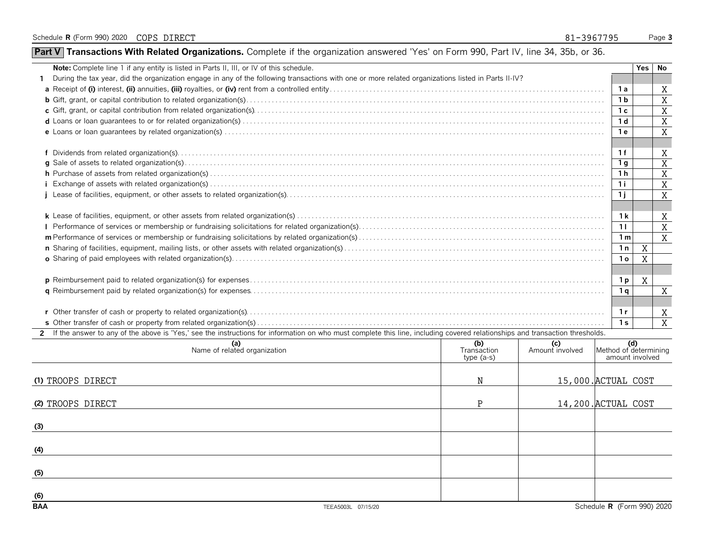**(4)**

**(5)**

**(6)BAA**

# **Part V** Transactions With Related Organizations. Complete if the organization answered 'Yes' on Form 990, Part IV, line 34, 35b, or 36.

| Note: Complete line 1 if any entity is listed in Parts II, III, or IV of this schedule.                                                                                        |                             |                        |                       | Yes | No             |  |  |  |  |  |  |
|--------------------------------------------------------------------------------------------------------------------------------------------------------------------------------|-----------------------------|------------------------|-----------------------|-----|----------------|--|--|--|--|--|--|
| During the tax year, did the organization engage in any of the following transactions with one or more related organizations listed in Parts II-IV?<br>1                       |                             |                        |                       |     |                |  |  |  |  |  |  |
|                                                                                                                                                                                |                             |                        | 1a                    |     | X              |  |  |  |  |  |  |
|                                                                                                                                                                                |                             |                        | 1 <sub>b</sub>        |     | $\overline{X}$ |  |  |  |  |  |  |
|                                                                                                                                                                                |                             |                        | 1 с                   |     | X              |  |  |  |  |  |  |
|                                                                                                                                                                                |                             |                        | 1 d                   |     | $\overline{X}$ |  |  |  |  |  |  |
|                                                                                                                                                                                |                             |                        | 1 e                   |     | X              |  |  |  |  |  |  |
|                                                                                                                                                                                |                             |                        |                       |     |                |  |  |  |  |  |  |
|                                                                                                                                                                                |                             |                        | 1f                    |     | Χ              |  |  |  |  |  |  |
|                                                                                                                                                                                |                             |                        | 1 g                   |     | $\overline{X}$ |  |  |  |  |  |  |
|                                                                                                                                                                                |                             |                        | 1 <sub>h</sub>        |     | X              |  |  |  |  |  |  |
|                                                                                                                                                                                |                             |                        | 11                    |     | X              |  |  |  |  |  |  |
|                                                                                                                                                                                |                             |                        | 1i                    |     | X              |  |  |  |  |  |  |
|                                                                                                                                                                                |                             |                        |                       |     |                |  |  |  |  |  |  |
|                                                                                                                                                                                |                             |                        |                       |     |                |  |  |  |  |  |  |
|                                                                                                                                                                                |                             |                        |                       |     |                |  |  |  |  |  |  |
|                                                                                                                                                                                |                             |                        |                       |     |                |  |  |  |  |  |  |
|                                                                                                                                                                                |                             |                        |                       |     |                |  |  |  |  |  |  |
|                                                                                                                                                                                |                             |                        | 1 <sub>o</sub>        | X   |                |  |  |  |  |  |  |
|                                                                                                                                                                                |                             |                        |                       |     |                |  |  |  |  |  |  |
|                                                                                                                                                                                |                             |                        | 1 p                   | X   |                |  |  |  |  |  |  |
|                                                                                                                                                                                |                             |                        | 1 <sub>q</sub>        |     | X              |  |  |  |  |  |  |
|                                                                                                                                                                                |                             |                        |                       |     |                |  |  |  |  |  |  |
|                                                                                                                                                                                |                             |                        | 1 r                   |     | Χ              |  |  |  |  |  |  |
|                                                                                                                                                                                |                             |                        | 1 <sub>s</sub>        |     | $\overline{X}$ |  |  |  |  |  |  |
| 2 If the answer to any of the above is 'Yes,' see the instructions for information on who must complete this line, including covered relationships and transaction thresholds. |                             |                        |                       |     |                |  |  |  |  |  |  |
| (a)<br>Name of related organization                                                                                                                                            | (b)                         | (c)<br>Amount involved | Method of determining |     |                |  |  |  |  |  |  |
|                                                                                                                                                                                | Transaction<br>type $(a-s)$ |                        | amount involved       |     |                |  |  |  |  |  |  |
|                                                                                                                                                                                |                             |                        |                       |     |                |  |  |  |  |  |  |
| (1) TROOPS DIRECT                                                                                                                                                              | N                           | 15,000. ACTUAL COST    |                       |     |                |  |  |  |  |  |  |
|                                                                                                                                                                                |                             |                        |                       |     |                |  |  |  |  |  |  |
|                                                                                                                                                                                | P                           | 14,200. ACTUAL COST    |                       |     |                |  |  |  |  |  |  |
| (2) TROOPS DIRECT                                                                                                                                                              |                             |                        |                       |     |                |  |  |  |  |  |  |
|                                                                                                                                                                                |                             |                        |                       |     |                |  |  |  |  |  |  |
| (3)                                                                                                                                                                            |                             |                        |                       |     |                |  |  |  |  |  |  |

<u> 1980 - Johann Barbara, martxa alemaniar argametar a martxa a shekara a shekara a shekara a shekara a shekara</u>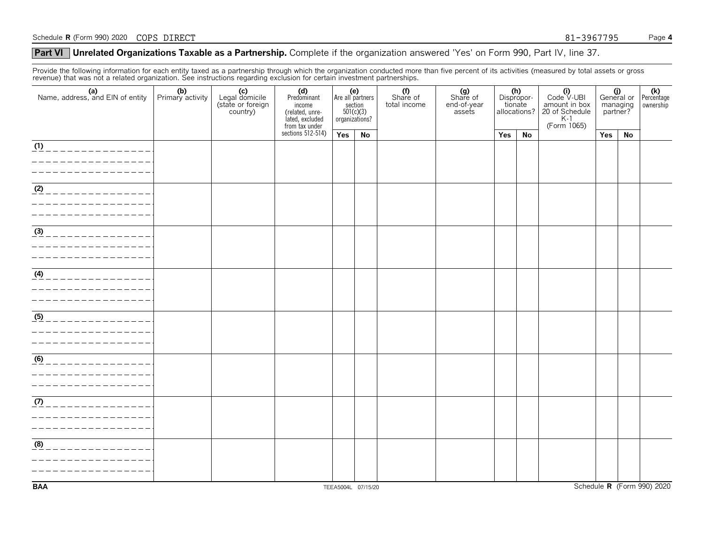### **Part VI** Unrelated Organizations Taxable as a Partnership. Complete if the organization answered 'Yes' on Form 990, Part IV, line 37.

Provide the following information for each entity taxed as a partnership through which the organization conducted more than five percent of its activities (measured by total assets or gross<br>revenue) that was not a related

| $\tilde{\phantom{a}}$                                       |                                                        |                                                                    |                                                                                 |    | . . |  |     |    |                          |                                          |                                              |  |                                                                                      |  |                                           |                                |
|-------------------------------------------------------------|--------------------------------------------------------|--------------------------------------------------------------------|---------------------------------------------------------------------------------|----|-----|--|-----|----|--------------------------|------------------------------------------|----------------------------------------------|--|--------------------------------------------------------------------------------------|--|-------------------------------------------|--------------------------------|
| (a)<br>Name, address, and EIN of entity<br>Primary activity | (c)<br>Legal domicile<br>(state or foreign<br>country) | (d)<br>Predominant<br>income<br>(related, unre-<br>lated, excluded | (e)<br>Are all partners<br>$\frac{\text{section}}{501(c)(3)}$<br>organizations? |    |     |  |     |    | Share of<br>total income | (g)<br>Share of<br>end-of-year<br>assets | (h)<br>Dispropor-<br>tionate<br>allocations? |  | $(i)$<br>Code $\vee$ -UBI<br>amount in box<br>20 of Schedule<br>$K-1$<br>(Form 1065) |  | (i)<br>General or<br>managing<br>partner? | (k)<br>Percentage<br>ownership |
|                                                             |                                                        | from tax under<br>sections 512-514)                                | Yes                                                                             | No |     |  | Yes | No |                          | Yes                                      | No                                           |  |                                                                                      |  |                                           |                                |
| (1)<br>_____________                                        |                                                        |                                                                    |                                                                                 |    |     |  |     |    |                          |                                          |                                              |  |                                                                                      |  |                                           |                                |
| (2)                                                         |                                                        |                                                                    |                                                                                 |    |     |  |     |    |                          |                                          |                                              |  |                                                                                      |  |                                           |                                |
| (3)                                                         |                                                        |                                                                    |                                                                                 |    |     |  |     |    |                          |                                          |                                              |  |                                                                                      |  |                                           |                                |
| $\frac{4}{4}$<br>_____________                              |                                                        |                                                                    |                                                                                 |    |     |  |     |    |                          |                                          |                                              |  |                                                                                      |  |                                           |                                |
| (5)<br>______________                                       |                                                        |                                                                    |                                                                                 |    |     |  |     |    |                          |                                          |                                              |  |                                                                                      |  |                                           |                                |
| $\overline{(6)}$<br>____________                            |                                                        |                                                                    |                                                                                 |    |     |  |     |    |                          |                                          |                                              |  |                                                                                      |  |                                           |                                |
| $\sqrt{7}$                                                  |                                                        |                                                                    |                                                                                 |    |     |  |     |    |                          |                                          |                                              |  |                                                                                      |  |                                           |                                |
| $\frac{1}{(8)}$<br>_____________                            |                                                        |                                                                    |                                                                                 |    |     |  |     |    |                          |                                          |                                              |  |                                                                                      |  |                                           |                                |